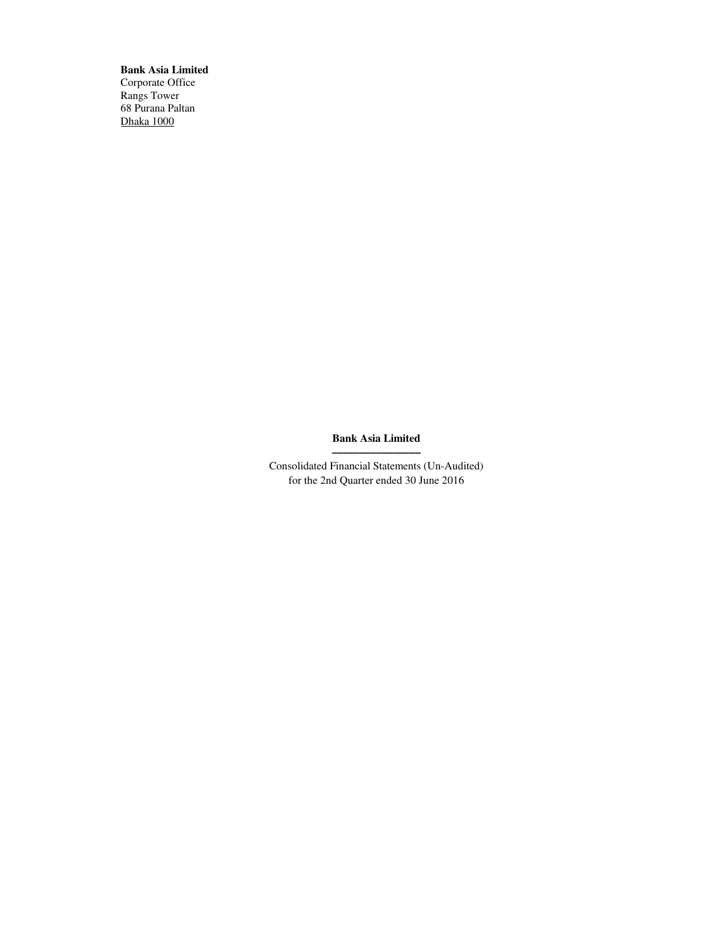**Bank Asia Limited** Corporate Office Rangs Tower 68 Purana Paltan Dhaka 1000

## **Bank Asia Limited ––––––––––––––––**

Consolidated Financial Statements (Un-Audited) for the 2nd Quarter ended 30 June 2016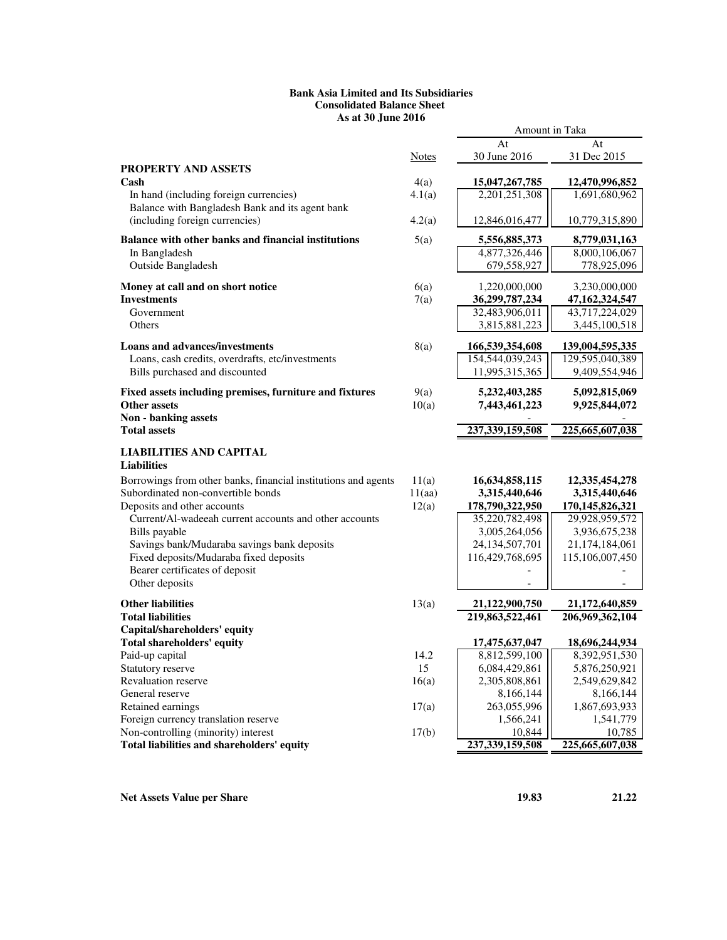## **Bank Asia Limited and Its Subsidiaries Consolidated Balance Sheet As at 30 June 2016**

|                                                                                           |               | Amount in Taka                     |                                   |
|-------------------------------------------------------------------------------------------|---------------|------------------------------------|-----------------------------------|
|                                                                                           |               | At                                 | At                                |
|                                                                                           | <b>Notes</b>  | 30 June 2016                       | 31 Dec 2015                       |
| <b>PROPERTY AND ASSETS</b>                                                                |               |                                    |                                   |
| Cash                                                                                      | 4(a)          | 15,047,267,785<br>2,201,251,308    | 12,470,996,852                    |
| In hand (including foreign currencies)<br>Balance with Bangladesh Bank and its agent bank | 4.1(a)        |                                    | 1,691,680,962                     |
| (including foreign currencies)                                                            | 4.2(a)        | 12,846,016,477                     | 10,779,315,890                    |
|                                                                                           |               |                                    |                                   |
| Balance with other banks and financial institutions                                       | 5(a)          | 5,556,885,373                      | 8,779,031,163                     |
| In Bangladesh                                                                             |               | 4,877,326,446                      | 8,000,106,067                     |
| Outside Bangladesh                                                                        |               | 679,558,927                        | 778,925,096                       |
| Money at call and on short notice                                                         | 6(a)          | 1,220,000,000                      | 3,230,000,000                     |
| <b>Investments</b>                                                                        | 7(a)          | 36,299,787,234                     | 47,162,324,547                    |
| Government                                                                                |               | 32,483,906,011                     | 43,717,224,029                    |
| Others                                                                                    |               | 3,815,881,223                      | 3,445,100,518                     |
| <b>Loans and advances/investments</b>                                                     | 8(a)          | 166,539,354,608                    | 139,004,595,335                   |
| Loans, cash credits, overdrafts, etc/investments                                          |               | 154,544,039,243                    | 129,595,040,389                   |
| Bills purchased and discounted                                                            |               | 11,995,315,365                     | 9,409,554,946                     |
|                                                                                           |               |                                    |                                   |
| Fixed assets including premises, furniture and fixtures<br><b>Other assets</b>            | 9(a)<br>10(a) | 5,232,403,285<br>7,443,461,223     | 5,092,815,069<br>9,925,844,072    |
| <b>Non - banking assets</b>                                                               |               |                                    |                                   |
| <b>Total assets</b>                                                                       |               | 237, 339, 159, 508                 | 225,665,607,038                   |
|                                                                                           |               |                                    |                                   |
| <b>LIABILITIES AND CAPITAL</b><br><b>Liabilities</b>                                      |               |                                    |                                   |
| Borrowings from other banks, financial institutions and agents                            | 11(a)         | 16,634,858,115                     | 12, 335, 454, 278                 |
| Subordinated non-convertible bonds                                                        | 11(aa)        | 3,315,440,646                      | 3,315,440,646                     |
| Deposits and other accounts                                                               | 12(a)         | 178,790,322,950                    | 170,145,826,321                   |
| Current/Al-wadeeah current accounts and other accounts                                    |               | 35,220,782,498                     | 29,928,959,572                    |
| Bills payable<br>Savings bank/Mudaraba savings bank deposits                              |               | 3,005,264,056<br>24, 134, 507, 701 | 3,936,675,238<br>21,174,184,061   |
| Fixed deposits/Mudaraba fixed deposits                                                    |               | 116,429,768,695                    | 115,106,007,450                   |
| Bearer certificates of deposit                                                            |               |                                    |                                   |
| Other deposits                                                                            |               |                                    |                                   |
|                                                                                           |               |                                    |                                   |
| <b>Other liabilities</b><br><b>Total liabilities</b>                                      | 13(a)         | 21,122,900,750<br>219,863,522,461  | 21,172,640,859<br>206,969,362,104 |
| Capital/shareholders' equity                                                              |               |                                    |                                   |
| <b>Total shareholders' equity</b>                                                         |               | 17,475,637,047                     | 18,696,244,934                    |
| Paid-up capital                                                                           | 14.2          | 8,812,599,100                      | 8,392,951,530                     |
| Statutory reserve                                                                         | 15            | 6,084,429,861                      | 5,876,250,921                     |
| Revaluation reserve                                                                       | 16(a)         | 2,305,808,861                      | 2,549,629,842                     |
| General reserve                                                                           |               | 8,166,144                          | 8,166,144                         |
| Retained earnings                                                                         | 17(a)         | 263,055,996                        | 1,867,693,933                     |
| Foreign currency translation reserve                                                      |               | 1,566,241                          | 1,541,779                         |
| Non-controlling (minority) interest                                                       | 17(b)         | 10,844                             | 10,785                            |
| Total liabilities and shareholders' equity                                                |               | 237, 339, 159, 508                 | 225,665,607,038                   |

**Net Assets Value per Share 19.83** 21.22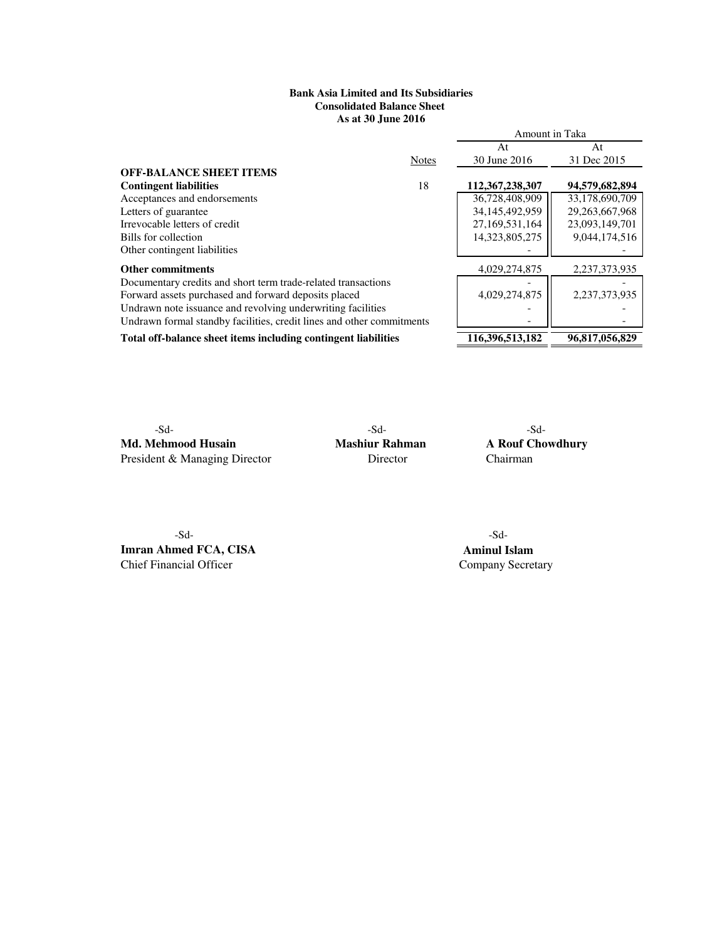## **As at 30 June 2016 Bank Asia Limited and Its Subsidiaries Consolidated Balance Sheet**

|                                                                       |              | Amount in Taka    |                |  |
|-----------------------------------------------------------------------|--------------|-------------------|----------------|--|
|                                                                       |              | At                | At             |  |
|                                                                       | <b>Notes</b> | 30 June 2016      | 31 Dec 2015    |  |
| <b>OFF-BALANCE SHEET ITEMS</b>                                        |              |                   |                |  |
| <b>Contingent liabilities</b>                                         | 18           | 112,367,238,307   | 94,579,682,894 |  |
| Acceptances and endorsements                                          |              | 36,728,408,909    | 33,178,690,709 |  |
| Letters of guarantee                                                  |              | 34, 145, 492, 959 | 29,263,667,968 |  |
| Irrevocable letters of credit                                         |              | 27,169,531,164    | 23,093,149,701 |  |
| Bills for collection                                                  |              | 14.323.805.275    | 9,044,174,516  |  |
| Other contingent liabilities                                          |              |                   |                |  |
| <b>Other commitments</b>                                              |              | 4,029,274,875     | 2,237,373,935  |  |
| Documentary credits and short term trade-related transactions         |              |                   |                |  |
| Forward assets purchased and forward deposits placed                  |              | 4,029,274,875     | 2,237,373,935  |  |
| Undrawn note issuance and revolving underwriting facilities           |              |                   |                |  |
| Undrawn formal standby facilities, credit lines and other commitments |              |                   |                |  |
| Total off-balance sheet items including contingent liabilities        |              | 116,396,513,182   | 96,817,056,829 |  |

Md. Mehmood Husain Mashiur Rahman A Rouf Chowdhury President & Managing Director Director Chairman

-Sd- -Sd- -Sd-

 -Sd- -Sd-**Imran Ahmed FCA, CISA Aminul Islam** Chief Financial Officer Company Secretary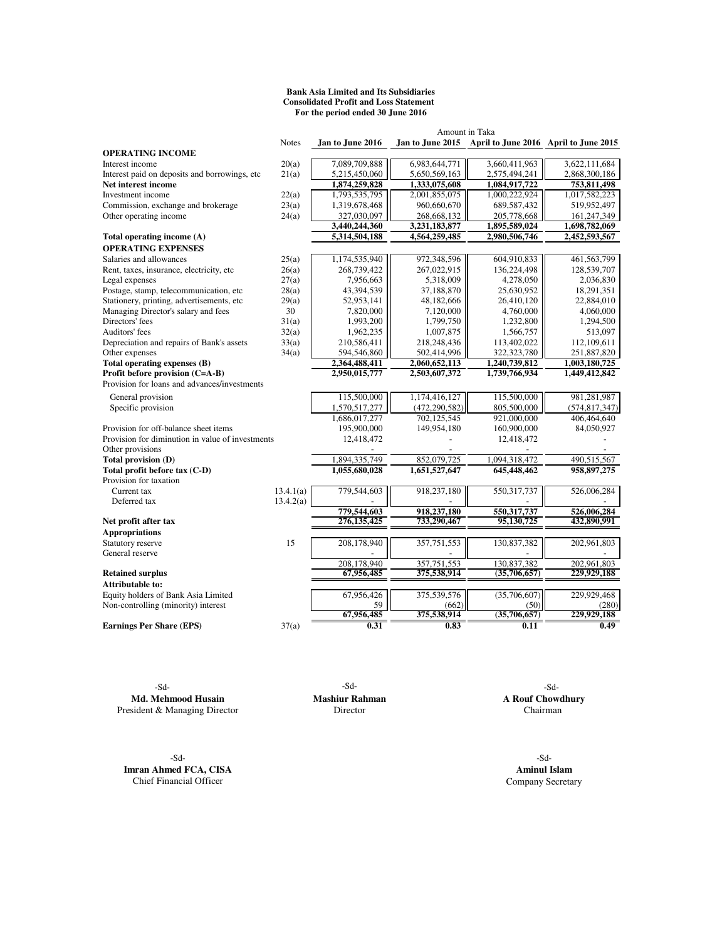#### **Bank Asia Limited and Its Subsidiaries Consolidated Profit and Loss Statement For the period ended 30 June 2016**

|                                                  | Amount in Taka |                  |                 |                                                        |                 |  |
|--------------------------------------------------|----------------|------------------|-----------------|--------------------------------------------------------|-----------------|--|
|                                                  | <b>Notes</b>   | Jan to June 2016 |                 | Jan to June 2015 April to June 2016 April to June 2015 |                 |  |
| <b>OPERATING INCOME</b>                          |                |                  |                 |                                                        |                 |  |
| Interest income                                  | 20(a)          | 7,089,709,888    | 6,983,644,771   | 3,660,411,963                                          | 3.622.111.684   |  |
| Interest paid on deposits and borrowings, etc.   | 21(a)          | 5,215,450,060    | 5,650,569,163   | 2,575,494,241                                          | 2,868,300,186   |  |
| Net interest income                              |                | 1,874,259,828    | 1,333,075,608   | 1,084,917,722                                          | 753,811,498     |  |
| Investment income                                | 22(a)          | 1,793,535,795    | 2,001,855,075   | 1,000,222,924                                          | 1,017,582,223   |  |
| Commission, exchange and brokerage               | 23(a)          | 1,319,678,468    | 960,660,670     | 689,587,432                                            | 519,952,497     |  |
| Other operating income                           | 24(a)          | 327,030,097      | 268,668,132     | 205,778,668                                            | 161,247,349     |  |
|                                                  |                | 3,440,244,360    | 3,231,183,877   | 1,895,589,024                                          | 1,698,782,069   |  |
| Total operating income (A)                       |                | 5,314,504,188    | 4,564,259,485   | 2,980,506,746                                          | 2,452,593,567   |  |
| <b>OPERATING EXPENSES</b>                        |                |                  |                 |                                                        |                 |  |
| Salaries and allowances                          | 25(a)          | 1,174,535,940    | 972,348,596     | 604,910,833                                            | 461,563,799     |  |
| Rent, taxes, insurance, electricity, etc         | 26(a)          | 268,739,422      | 267,022,915     | 136,224,498                                            | 128,539,707     |  |
| Legal expenses                                   | 27(a)          | 7,956,663        | 5,318,009       | 4,278,050                                              | 2,036,830       |  |
| Postage, stamp, telecommunication, etc           | 28(a)          | 43,394,539       | 37,188,870      | 25,630,952                                             | 18,291,351      |  |
| Stationery, printing, advertisements, etc        | 29(a)          | 52,953,141       | 48,182,666      | 26,410,120                                             | 22,884,010      |  |
| Managing Director's salary and fees              | 30             | 7,820,000        | 7,120,000       | 4,760,000                                              | 4,060,000       |  |
| Directors' fees                                  | 31(a)          | 1,993,200        | 1,799,750       | 1,232,800                                              | 1,294,500       |  |
| Auditors' fees                                   | 32(a)          | 1,962,235        | 1,007,875       | 1,566,757                                              | 513,097         |  |
| Depreciation and repairs of Bank's assets        | 33(a)          | 210,586,411      | 218,248,436     | 113,402,022                                            | 112,109,611     |  |
| Other expenses                                   | 34(a)          | 594,546,860      | 502,414,996     | 322, 323, 780                                          | 251,887,820     |  |
| Total operating expenses (B)                     |                | 2,364,488,411    | 2,060,652,113   | 1,240,739,812                                          | 1,003,180,725   |  |
| Profit before provision (C=A-B)                  |                | 2,950,015,777    | 2,503,607,372   | 1,739,766,934                                          | 1,449,412,842   |  |
| Provision for loans and advances/investments     |                |                  |                 |                                                        |                 |  |
| General provision                                |                | 115,500,000      | 1,174,416,127   | 115,500,000                                            | 981,281,987     |  |
| Specific provision                               |                | 1,570,517,277    | (472, 290, 582) | 805,500,000                                            | (574, 817, 347) |  |
|                                                  |                | 1,686,017,277    | 702,125,545     | 921,000,000                                            | 406,464,640     |  |
| Provision for off-balance sheet items            |                | 195,900,000      | 149,954,180     | 160,900,000                                            | 84,050,927      |  |
| Provision for diminution in value of investments |                | 12,418,472       |                 | 12,418,472                                             |                 |  |
| Other provisions                                 |                |                  |                 |                                                        |                 |  |
| Total provision (D)                              |                | 1,894,335,749    | 852,079,725     | 1,094,318,472                                          | 490,515,567     |  |
| Total profit before tax (C-D)                    |                | 1,055,680,028    | 1,651,527,647   | 645,448,462                                            | 958,897,275     |  |
| Provision for taxation                           |                |                  |                 |                                                        |                 |  |
| Current tax                                      | 13.4.1(a)      | 779,544,603      | 918,237,180     | 550, 317, 737                                          | 526,006,284     |  |
| Deferred tax                                     | 13.4.2(a)      |                  |                 |                                                        |                 |  |
|                                                  |                | 779,544,603      | 918.237.180     | 550,317,737                                            | 526,006,284     |  |
| Net profit after tax                             |                | 276, 135, 425    | 733,290,467     | 95,130,725                                             | 432,890,991     |  |
| <b>Appropriations</b>                            |                |                  |                 |                                                        |                 |  |
| Statutory reserve                                | 15             | 208,178,940      | 357,751,553     | 130,837,382                                            | 202,961,803     |  |
| General reserve                                  |                |                  |                 |                                                        |                 |  |
|                                                  |                | 208.178.940      | 357.751.553     | 130.837.382                                            | 202,961,803     |  |
| <b>Retained surplus</b>                          |                | 67,956,485       | 375,538,914     | (35,706,657)                                           | 229,929,188     |  |
| Attributable to:                                 |                |                  |                 |                                                        |                 |  |
| Equity holders of Bank Asia Limited              |                | 67,956,426       | 375,539,576     | (35,706,607)                                           | 229,929,468     |  |
| Non-controlling (minority) interest              |                | 59               | (662)           | (50)                                                   | (280)           |  |
|                                                  |                | 67,956,485       | 375,538,914     | (35,706,657)                                           | 229,929,188     |  |
| <b>Earnings Per Share (EPS)</b>                  | 37(a)          | 0.31             | 0.83            | 0.11                                                   | 0.49            |  |
|                                                  |                |                  |                 |                                                        |                 |  |

**Md. Mehmood Husain Mashiur Rahman A Rouf Chowdhury** Sident & Managing Director Chairman Director Chairman President & Managing Director

-Sd- -Sd-**Imran Ahmed FCA, CISA Aminul Islam**<br> **Company Secretary** Chief Financial Officer

-Sd- -Sd- -Sd-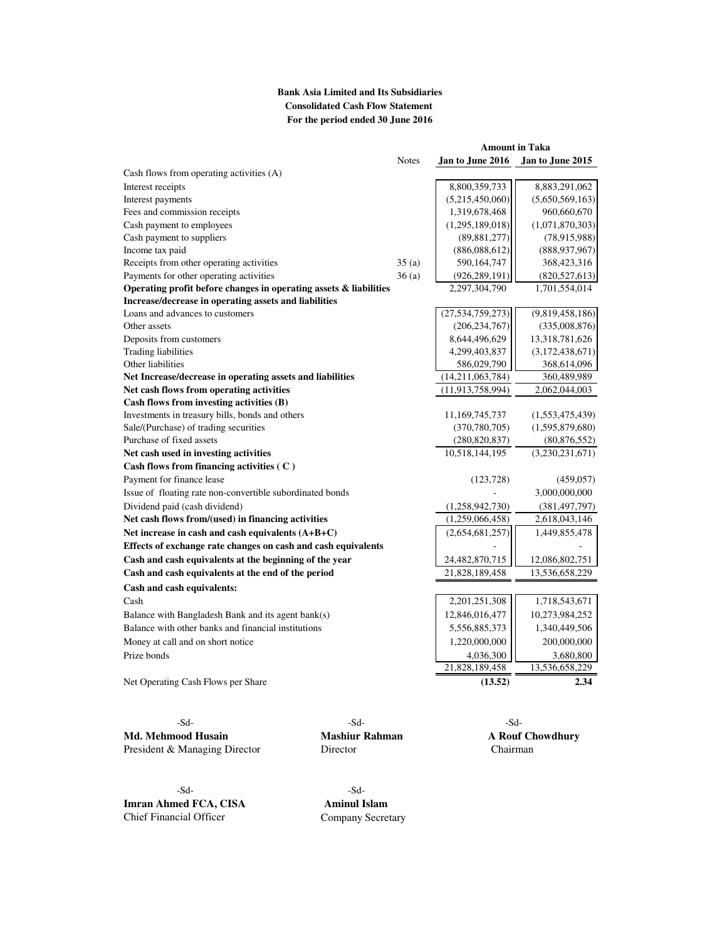## **Bank Asia Limited and Its Subsidiaries Consolidated Cash Flow Statement For the period ended 30 June 2016**

|                                                                   |              | <b>Amount in Taka</b> |                  |  |
|-------------------------------------------------------------------|--------------|-----------------------|------------------|--|
|                                                                   | <b>Notes</b> | Jan to June 2016      | Jan to June 2015 |  |
| Cash flows from operating activities (A)                          |              |                       |                  |  |
| Interest receipts                                                 |              | 8,800,359,733         | 8,883,291,062    |  |
| Interest payments                                                 |              | (5,215,450,060)       | (5,650,569,163)  |  |
| Fees and commission receipts                                      |              | 1,319,678,468         | 960,660,670      |  |
| Cash payment to employees                                         |              | (1,295,189,018)       | (1,071,870,303)  |  |
| Cash payment to suppliers                                         |              | (89, 881, 277)        | (78,915,988)     |  |
| Income tax paid                                                   |              | (886,088,612)         | (888, 937, 967)  |  |
| Receipts from other operating activities                          | 35(a)        | 590,164,747           | 368,423,316      |  |
| Payments for other operating activities                           | 36(a)        | (926, 289, 191)       | (820, 527, 613)  |  |
| Operating profit before changes in operating assets & liabilities |              | 2,297,304,790         | 1,701,554,014    |  |
| Increase/decrease in operating assets and liabilities             |              |                       |                  |  |
| Loans and advances to customers                                   |              | (27, 534, 759, 273)   | (9,819,458,186)  |  |
| Other assets                                                      |              | (206, 234, 767)       | (335,008,876)    |  |
| Deposits from customers                                           |              | 8,644,496,629         | 13,318,781,626   |  |
| <b>Trading liabilities</b>                                        |              | 4,299,403,837         | (3,172,438,671)  |  |
| Other liabilities                                                 |              | 586,029,790           | 368,614,096      |  |
| Net Increase/decrease in operating assets and liabilities         |              | (14,211,063,784)      | 360,489,989      |  |
| Net cash flows from operating activities                          |              | (11, 913, 758, 994)   | 2,062,044,003    |  |
| Cash flows from investing activities (B)                          |              |                       |                  |  |
| Investments in treasury bills, bonds and others                   |              | 11,169,745,737        | (1,553,475,439)  |  |
| Sale/(Purchase) of trading securities                             |              | (370, 780, 705)       | (1,595,879,680)  |  |
| Purchase of fixed assets                                          |              | (280, 820, 837)       | (80, 876, 552)   |  |
| Net cash used in investing activities                             |              | 10,518,144,195        | (3,230,231,671)  |  |
| Cash flows from financing activities (C)                          |              |                       |                  |  |
| Payment for finance lease                                         |              | (123, 728)            | (459, 057)       |  |
| Issue of floating rate non-convertible subordinated bonds         |              |                       | 3,000,000,000    |  |
| Dividend paid (cash dividend)                                     |              | (1,258,942,730)       | (381, 497, 797)  |  |
| Net cash flows from/(used) in financing activities                |              | (1,259,066,458)       | 2,618,043,146    |  |
| Net increase in cash and cash equivalents (A+B+C)                 |              | (2,654,681,257)       | 1,449,855,478    |  |
| Effects of exchange rate changes on cash and cash equivalents     |              |                       |                  |  |
| Cash and cash equivalents at the beginning of the year            |              | 24,482,870,715        | 12,086,802,751   |  |
| Cash and cash equivalents at the end of the period                |              | 21,828,189,458        | 13,536,658,229   |  |
| Cash and cash equivalents:                                        |              |                       |                  |  |
| Cash                                                              |              | 2,201,251,308         | 1,718,543,671    |  |
| Balance with Bangladesh Bank and its agent bank(s)                |              | 12,846,016,477        | 10,273,984,252   |  |
| Balance with other banks and financial institutions               |              | 5,556,885,373         | 1,340,449,506    |  |
| Money at call and on short notice                                 |              | 1,220,000,000         | 200,000,000      |  |
| Prize bonds                                                       |              | 4,036,300             | 3,680,800        |  |
|                                                                   |              | 21,828,189,458        | 13,536,658,229   |  |
| Net Operating Cash Flows per Share                                |              | (13.52)               | 2.34             |  |
|                                                                   |              |                       |                  |  |

-Sd- -Sd- -Sd-Md. Mehmood Husain **Mashiur Rahman** A Rouf Chowdhury President & Managing Director Director Director Chairman

-Sd- -Sd-**Imran Ahmed FCA, CISA Aminul Islam**<br> **Company Secre Company Secre** 

Company Secretary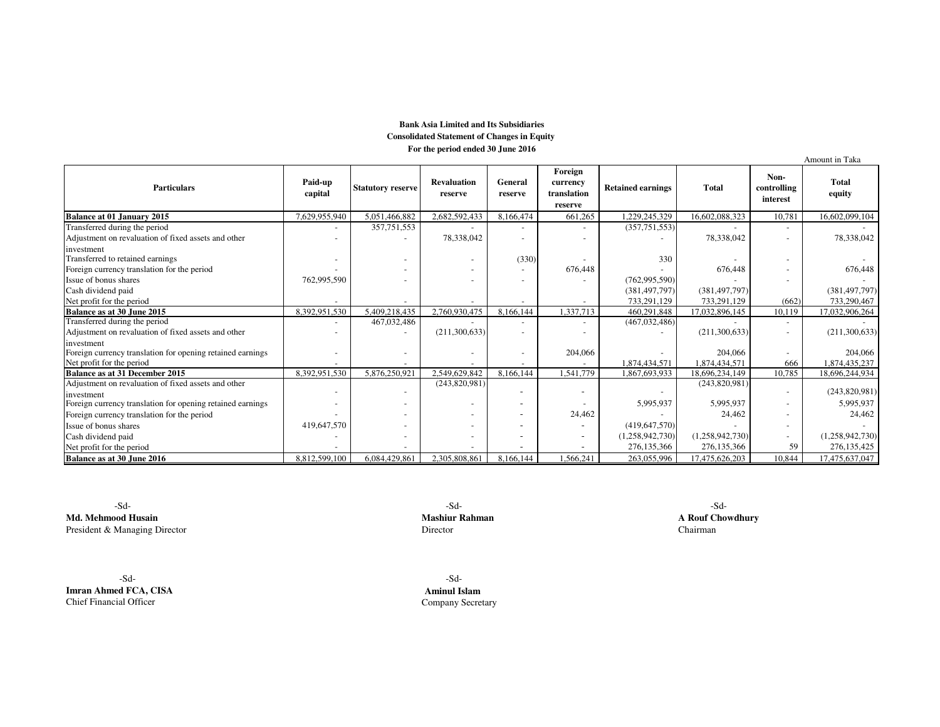#### **Bank Asia Limited and Its Subsidiaries Consolidated Statement of Changes in Equity For the period ended 30 June 2016**

|                                                                                                       |                    |                          |                               |                          |                                               |                          |                          |                                 | Amount in Taka           |
|-------------------------------------------------------------------------------------------------------|--------------------|--------------------------|-------------------------------|--------------------------|-----------------------------------------------|--------------------------|--------------------------|---------------------------------|--------------------------|
| <b>Particulars</b>                                                                                    | Paid-up<br>capital | <b>Statutory reserve</b> | <b>Revaluation</b><br>reserve | General<br>reserve       | Foreign<br>currency<br>translation<br>reserve | <b>Retained earnings</b> | <b>Total</b>             | Non-<br>controlling<br>interest | <b>Total</b><br>equity   |
| <b>Balance at 01 January 2015</b>                                                                     | 7,629,955,940      | 5,051,466,882            | 2,682,592,433                 | 8,166,474                | 661,265                                       | 1,229,245,329            | 16,602,088,323           | 10,781                          | 16,602,099,104           |
| Transferred during the period                                                                         |                    | 357,751,553              |                               |                          |                                               | (357, 751, 553)          |                          |                                 |                          |
| Adjustment on revaluation of fixed assets and other                                                   |                    |                          | 78,338,042                    |                          |                                               |                          | 78,338,042               | $\overline{\phantom{a}}$        | 78,338,042               |
| investment<br>Transferred to retained earnings                                                        |                    |                          |                               | (330)                    | 676,448                                       | 330                      | 676,448                  |                                 |                          |
| Foreign currency translation for the period<br>Issue of bonus shares                                  | 762,995,590        |                          |                               | $\overline{\phantom{a}}$ |                                               | (762,995,590)            |                          |                                 | 676,448                  |
| Cash dividend paid                                                                                    |                    |                          |                               |                          |                                               | (381, 497, 797)          | (381, 497, 797)          |                                 | (381, 497, 797)          |
| Net profit for the period                                                                             |                    |                          |                               |                          |                                               | 733,291,129              | 733,291,129              | (662)                           | 733,290,467              |
| Balance as at 30 June 2015                                                                            | 8,392,951,530      | 5,409,218,435            | 2,760,930,475                 | 8,166,144                | 1,337,713                                     | 460,291,848              | 17,032,896,145           | 10,119                          | 17,032,906,264           |
| Transferred during the period                                                                         |                    | 467,032,486              |                               |                          |                                               | (467, 032, 486)          |                          |                                 |                          |
| Adjustment on revaluation of fixed assets and other                                                   |                    |                          | (211,300,633)                 |                          |                                               |                          | (211,300,633)            |                                 | (211,300,633)            |
| investment<br>Foreign currency translation for opening retained earnings<br>Net profit for the period |                    |                          |                               |                          | 204,066                                       | 1,874,434,571            | 204,066<br>1,874,434,571 | 666                             | 204,066<br>1,874,435,237 |
| Balance as at 31 December 2015                                                                        | 8,392,951,530      | 5,876,250,921            | 2.549.629.842                 | 8,166,144                | 1.541.779                                     | 1,867,693,933            | 18,696,234,149           | 10,785                          | 18,696,244,934           |
| Adjustment on revaluation of fixed assets and other<br>investment                                     |                    |                          | (243,820,981)                 |                          |                                               |                          | (243,820,981)            |                                 | (243,820,981)            |
| Foreign currency translation for opening retained earnings                                            |                    |                          |                               |                          |                                               | 5,995,937                | 5,995,937                | $\sim$                          | 5,995,937                |
| Foreign currency translation for the period                                                           |                    |                          |                               |                          | 24,462                                        |                          | 24,462                   |                                 | 24,462                   |
| Issue of bonus shares                                                                                 | 419,647,570        |                          |                               |                          |                                               | (419, 647, 570)          |                          |                                 |                          |
| Cash dividend paid                                                                                    |                    |                          |                               |                          |                                               | (1,258,942,730)          | (1,258,942,730)          | $\overline{\phantom{a}}$        | (1,258,942,730)          |
| Net profit for the period                                                                             |                    |                          |                               |                          |                                               | 276,135,366              | 276,135,366              | 59                              | 276,135,425              |
| Balance as at 30 June 2016                                                                            | 8,812,599,100      | 6,084,429,861            | 2.305.808.861                 | 8,166,144                | 1,566,241                                     | 263,055,996              | 17,475,626,203           | 10,844                          | 17,475,637,047           |

 -Sd-**Md. Mehmood Husain**President & Managing Director

 $-Sd$ - $Sd$ -**Mashiur Rahman A Rouf Chowdhury**<br>Director **Chairman** r Chairman Chairman Chairman Chairman Chairman Chairman Chairman Chairman Chairman

 -Sd- -Sd-**Imran Ahmed FCA, CISA**Chief Financial Officer

 **Aminul Islam**r **Company Secretary**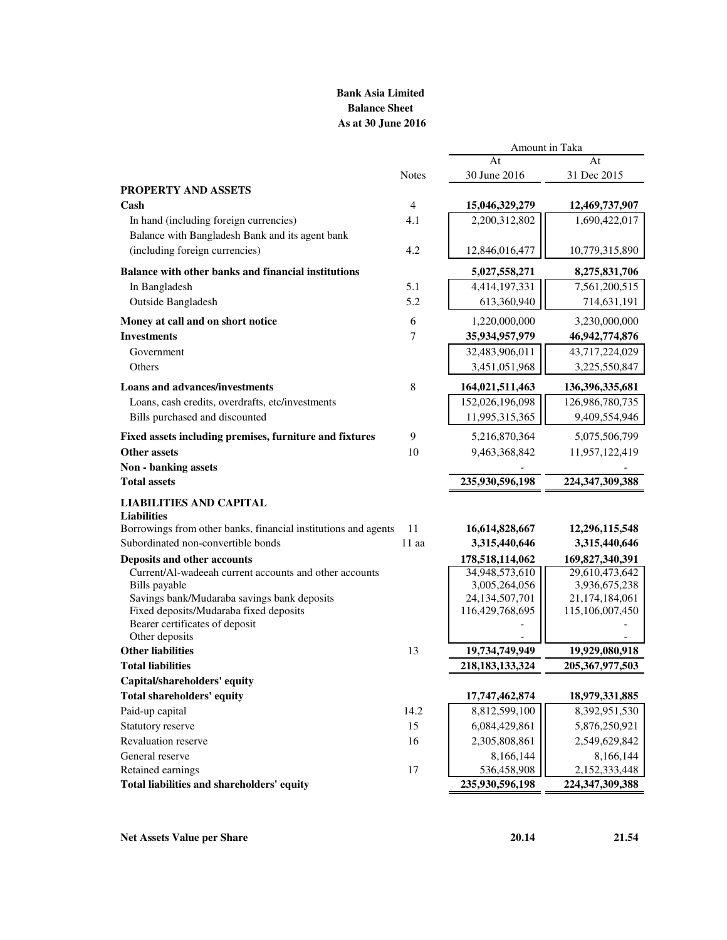# **Bank Asia Limited Balance Sheet As at 30 June 2016**

|                                                                |              | At                                 | At                              |
|----------------------------------------------------------------|--------------|------------------------------------|---------------------------------|
|                                                                | <b>Notes</b> | 30 June 2016                       | 31 Dec 2015                     |
| <b>PROPERTY AND ASSETS</b>                                     |              |                                    |                                 |
| Cash                                                           | 4            | 15,046,329,279                     | 12,469,737,907                  |
| In hand (including foreign currencies)                         | 4.1          | 2,200,312,802                      | 1,690,422,017                   |
| Balance with Bangladesh Bank and its agent bank                |              |                                    |                                 |
| (including foreign currencies)                                 | 4.2          | 12,846,016,477                     | 10,779,315,890                  |
| Balance with other banks and financial institutions            |              | 5,027,558,271                      | 8,275,831,706                   |
| In Bangladesh                                                  | 5.1          | 4,414,197,331                      | 7,561,200,515                   |
| Outside Bangladesh                                             | 5.2          | 613,360,940                        | 714,631,191                     |
| Money at call and on short notice                              | 6            | 1,220,000,000                      | 3,230,000,000                   |
| <b>Investments</b>                                             | 7            | 35,934,957,979                     | 46,942,774,876                  |
| Government                                                     |              | 32,483,906,011                     | 43,717,224,029                  |
| Others                                                         |              | 3,451,051,968                      | 3,225,550,847                   |
| <b>Loans and advances/investments</b>                          | 8            | 164,021,511,463                    | 136, 396, 335, 681              |
| Loans, cash credits, overdrafts, etc/investments               |              | 152,026,196,098                    | 126,986,780,735                 |
| Bills purchased and discounted                                 |              | 11,995,315,365                     | 9,409,554,946                   |
| Fixed assets including premises, furniture and fixtures        | 9            | 5,216,870,364                      | 5,075,506,799                   |
| <b>Other assets</b>                                            | 10           | 9,463,368,842                      | 11,957,122,419                  |
| Non - banking assets                                           |              |                                    |                                 |
| <b>Total assets</b>                                            |              | 235,930,596,198                    | 224,347,309,388                 |
| <b>LIABILITIES AND CAPITAL</b>                                 |              |                                    |                                 |
| <b>Liabilities</b>                                             |              |                                    |                                 |
| Borrowings from other banks, financial institutions and agents | 11           | 16,614,828,667                     | 12,296,115,548                  |
| Subordinated non-convertible bonds                             | $11$ aa      | 3,315,440,646                      | 3,315,440,646                   |
| Deposits and other accounts                                    |              | 178,518,114,062                    | 169,827,340,391                 |
| Current/Al-wadeeah current accounts and other accounts         |              | 34,948,573,610                     | 29,610,473,642                  |
| Bills payable<br>Savings bank/Mudaraba savings bank deposits   |              | 3,005,264,056<br>24, 134, 507, 701 | 3,936,675,238<br>21,174,184,061 |
| Fixed deposits/Mudaraba fixed deposits                         |              | 116,429,768,695                    | 115,106,007,450                 |
| Bearer certificates of deposit                                 |              |                                    |                                 |
| Other deposits                                                 |              |                                    |                                 |
| <b>Other liabilities</b>                                       | 13           | 19,734,749,949                     | 19,929,080,918                  |
| <b>Total liabilities</b>                                       |              | 218, 183, 133, 324                 | 205, 367, 977, 503              |
| Capital/shareholders' equity                                   |              |                                    |                                 |
| <b>Total shareholders' equity</b>                              |              | 17,747,462,874                     | 18,979,331,885                  |
| Paid-up capital                                                | 14.2         | 8,812,599,100                      | 8,392,951,530                   |
| Statutory reserve                                              | 15           | 6,084,429,861                      | 5,876,250,921                   |
| Revaluation reserve                                            | 16           | 2,305,808,861                      | 2,549,629,842                   |
| General reserve                                                |              | 8,166,144                          | 8,166,144                       |
| Retained earnings                                              | 17           | 536,458,908                        | 2,152,333,448                   |
| Total liabilities and shareholders' equity                     |              | 235,930,596,198                    | 224, 347, 309, 388              |

Amount in Taka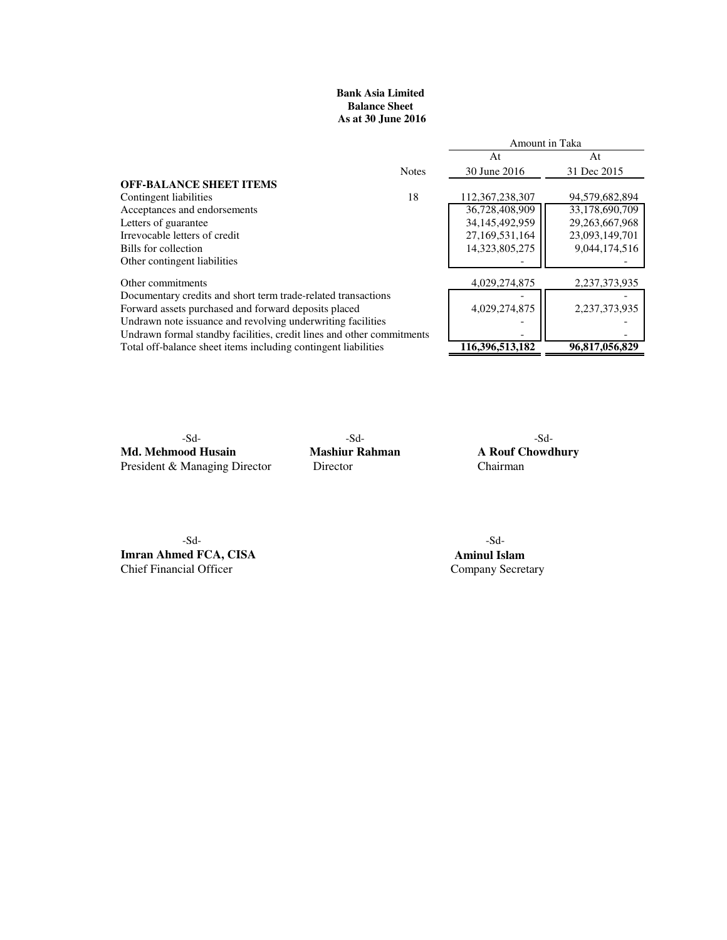## **Balance Sheet As at 30 June 2016 Bank Asia Limited**

|                                                                       |              | Amount in Taka     |                   |  |
|-----------------------------------------------------------------------|--------------|--------------------|-------------------|--|
|                                                                       |              | At                 | At                |  |
|                                                                       | <b>Notes</b> | 30 June 2016       | 31 Dec 2015       |  |
| <b>OFF-BALANCE SHEET ITEMS</b>                                        |              |                    |                   |  |
| Contingent liabilities                                                | 18           | 112, 367, 238, 307 | 94,579,682,894    |  |
| Acceptances and endorsements                                          |              | 36,728,408,909     | 33,178,690,709    |  |
| Letters of guarantee                                                  |              | 34,145,492,959     | 29, 263, 667, 968 |  |
| Irrevocable letters of credit                                         |              | 27,169,531,164     | 23,093,149,701    |  |
| Bills for collection                                                  |              | 14,323,805,275     | 9,044,174,516     |  |
| Other contingent liabilities                                          |              |                    |                   |  |
| Other commitments                                                     |              | 4,029,274,875      | 2,237,373,935     |  |
| Documentary credits and short term trade-related transactions         |              |                    |                   |  |
| Forward assets purchased and forward deposits placed                  |              | 4,029,274,875      | 2.237.373.935     |  |
| Undrawn note issuance and revolving underwriting facilities           |              |                    |                   |  |
| Undrawn formal standby facilities, credit lines and other commitments |              |                    |                   |  |
| Total off-balance sheet items including contingent liabilities        |              | 116,396,513,182    | 96,817,056,829    |  |
|                                                                       |              |                    |                   |  |

**Md. Mehmood Husain Mashiur Rahman A Rouf Chowdhury**<br>President & Managing Director Director Chairman Chairman President & Managing Director

-Sd- -Sd- -Sd-

-Sd- -Sd-**Imran Ahmed FCA, CISA Aminul Islam**<br> **Company Secretary** Chief Financial Officer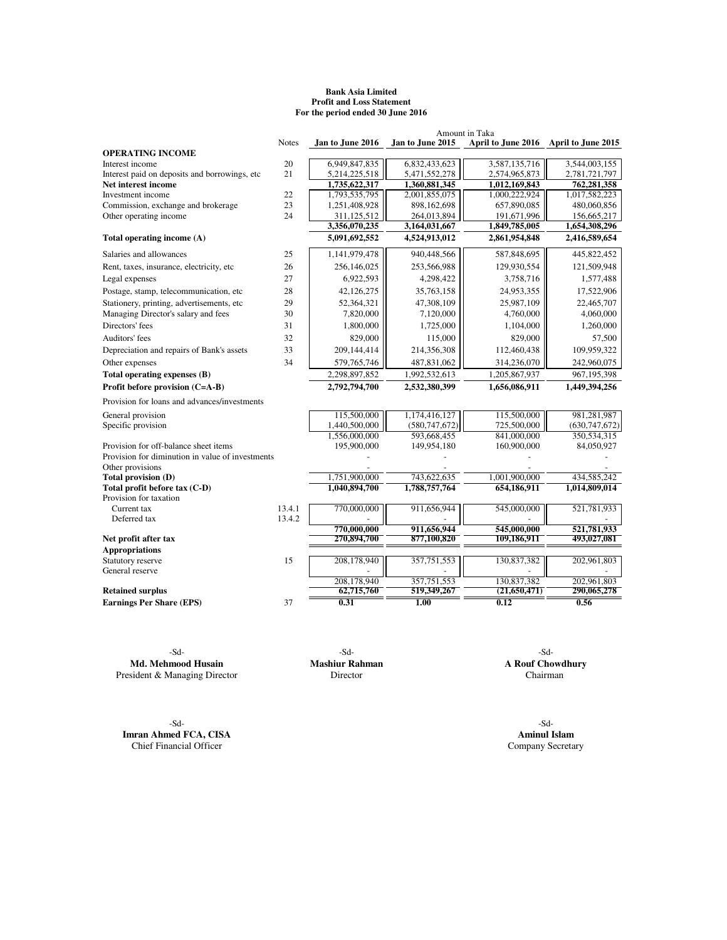#### **Bank Asia Limited Profit and Loss Statement For the period ended 30 June 2016**

|                                                  |              |                              |                              | Amount in Taka                        |                              |
|--------------------------------------------------|--------------|------------------------------|------------------------------|---------------------------------------|------------------------------|
|                                                  | <b>Notes</b> | Jan to June 2016             | Jan to June 2015             | April to June 2016 April to June 2015 |                              |
| <b>OPERATING INCOME</b>                          |              |                              |                              |                                       |                              |
| Interest income                                  | 20           | 6,949,847,835                | 6,832,433,623                | 3,587,135,716                         | 3,544,003,155                |
| Interest paid on deposits and borrowings, etc.   | 21           | 5,214,225,518                | 5,471,552,278                | 2,574,965,873                         | 2,781,721,797                |
| Net interest income                              |              | 1,735,622,317                | 1,360,881,345                | 1,012,169,843                         | 762,281,358                  |
| Investment income                                | 22           | 1,793,535,795                | 2,001,855,075                | 1,000,222,924                         | 1,017,582,223                |
| Commission, exchange and brokerage               | 23           | 1,251,408,928                | 898,162,698                  | 657,890,085                           | 480,060,856                  |
| Other operating income                           | 24           | 311,125,512<br>3,356,070,235 | 264,013,894<br>3,164,031,667 | 191,671,996<br>1,849,785,005          | 156,665,217<br>1,654,308,296 |
| Total operating income (A)                       |              | 5,091,692,552                | 4,524,913,012                | 2,861,954,848                         | 2,416,589,654                |
|                                                  |              |                              |                              |                                       |                              |
| Salaries and allowances                          | 25           | 1,141,979,478                | 940,448,566                  | 587,848,695                           | 445,822,452                  |
| Rent, taxes, insurance, electricity, etc.        | 26           | 256,146,025                  | 253,566,988                  | 129,930,554                           | 121,509,948                  |
| Legal expenses                                   | 27           | 6,922,593                    | 4,298,422                    | 3,758,716                             | 1,577,488                    |
| Postage, stamp, telecommunication, etc           | 28           | 42,126,275                   | 35,763,158                   | 24,953,355                            | 17,522,906                   |
| Stationery, printing, advertisements, etc        | 29           | 52,364,321                   | 47.308.109                   | 25.987.109                            | 22,465,707                   |
| Managing Director's salary and fees              | 30           | 7,820,000                    | 7,120,000                    | 4,760,000                             | 4,060,000                    |
| Directors' fees                                  | 31           | 1,800,000                    | 1.725,000                    | 1,104,000                             | 1,260,000                    |
| Auditors' fees                                   | 32           | 829,000                      | 115,000                      | 829,000                               | 57,500                       |
| Depreciation and repairs of Bank's assets        | 33           | 209,144,414                  | 214,356,308                  | 112,460,438                           | 109,959,322                  |
| Other expenses                                   | 34           | 579, 765, 746                | 487,831,062                  | 314,236,070                           | 242,960,075                  |
| Total operating expenses (B)                     |              | 2,298,897,852                | 1,992,532,613                | 1,205,867,937                         | 967, 195, 398                |
| Profit before provision (C=A-B)                  |              | 2,792,794,700                | 2,532,380,399                | 1,656,086,911                         | 1,449,394,256                |
| Provision for loans and advances/investments     |              |                              |                              |                                       |                              |
| General provision                                |              | 115,500,000                  | 1,174,416,127                | 115,500,000                           | 981,281,987                  |
| Specific provision                               |              | 1,440,500,000                | (580, 747, 672)              | 725,500,000                           | (630, 747, 672)              |
|                                                  |              | 1.556,000,000                | 593.668.455                  | 841,000,000                           | 350,534,315                  |
| Provision for off-balance sheet items            |              | 195,900,000                  | 149,954,180                  | 160,900,000                           | 84,050,927                   |
| Provision for diminution in value of investments |              |                              |                              |                                       |                              |
| Other provisions                                 |              |                              |                              |                                       |                              |
| Total provision (D)                              |              | 1,751,900,000                | 743,622,635                  | 1,001,900,000                         | 434,585,242                  |
| Total profit before tax (C-D)                    |              | 1,040,894,700                | 1,788,757,764                | 654,186,911                           | 1,014,809,014                |
| Provision for taxation<br>Current tax            | 13.4.1       |                              |                              |                                       |                              |
| Deferred tax                                     | 13.4.2       | 770,000,000                  | 911,656,944                  | 545,000,000                           | 521,781,933                  |
|                                                  |              | 770,000,000                  | 911,656,944                  | 545,000,000                           | 521,781,933                  |
| Net profit after tax                             |              | 270,894,700                  | 877,100,820                  | 109,186,911                           | 493,027,081                  |
| <b>Appropriations</b>                            |              |                              |                              |                                       |                              |
| Statutory reserve                                | 15           | 208,178,940                  | 357,751,553                  | 130,837,382                           | 202,961,803                  |
| General reserve                                  |              |                              |                              |                                       |                              |
|                                                  |              | 208,178,940                  | 357,751,553                  | 130,837,382                           | 202.961.803                  |
| <b>Retained surplus</b>                          |              | 62,715,760                   | 519,349,267                  | (21,650,471)                          | 290,065,278                  |
| <b>Earnings Per Share (EPS)</b>                  | 37           | 0.31                         | 1.00                         | 0.12                                  | 0.56                         |
|                                                  |              |                              |                              |                                       |                              |

-Sd- -Sd- -Sd-**Md. Mehmood Husain Mashiur Rahman A Rouf Chowd<br>
Sincetor Chairman A Rouf Chairman A Rouf Chairman** President & Managing Director

-Sd- -Sd-**Imran Ahmed FCA, CISA Aminul Islam**<br> **Chief Financial Officer Company Secretary** Chief Financial Officer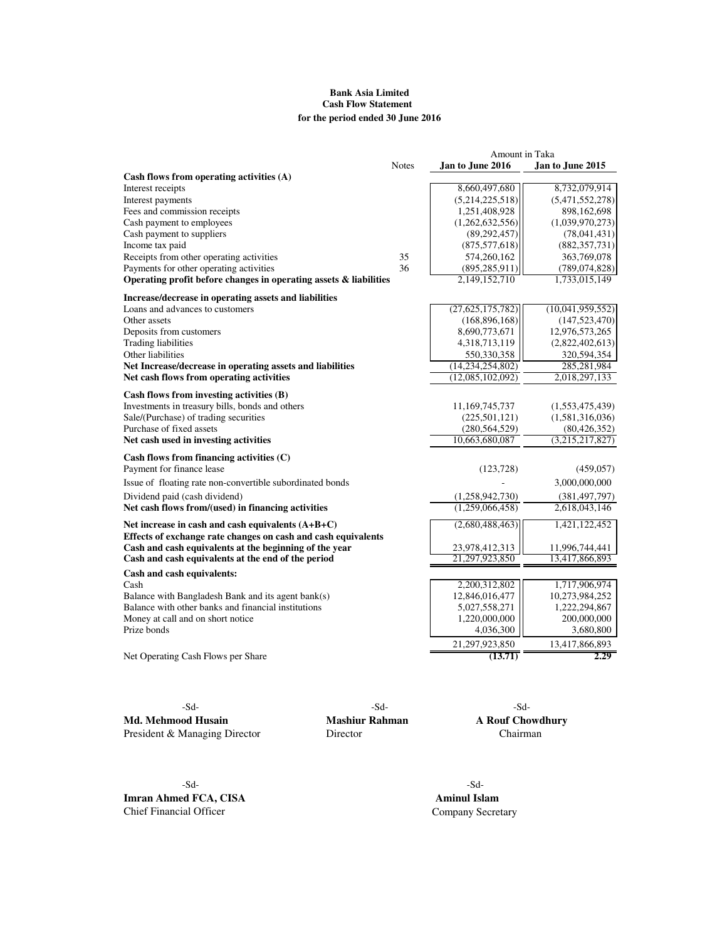## **Bank Asia Limited Cash Flow Statement for the period ended 30 June 2016**

|                                                                                                                      |              | Amount in Taka   |                  |
|----------------------------------------------------------------------------------------------------------------------|--------------|------------------|------------------|
| Cash flows from operating activities (A)                                                                             | <b>Notes</b> | Jan to June 2016 | Jan to June 2015 |
| Interest receipts                                                                                                    |              | 8,660,497,680    | 8,732,079,914    |
| Interest payments                                                                                                    |              | (5,214,225,518)  | (5,471,552,278)  |
| Fees and commission receipts                                                                                         |              | 1,251,408,928    | 898,162,698      |
| Cash payment to employees                                                                                            |              | (1,262,632,556)  | (1,039,970,273)  |
| Cash payment to suppliers                                                                                            |              | (89, 292, 457)   | (78,041,431)     |
| Income tax paid                                                                                                      |              | (875, 577, 618)  | (882, 357, 731)  |
| Receipts from other operating activities                                                                             | 35           | 574,260,162      | 363,769,078      |
| Payments for other operating activities                                                                              | 36           | (895, 285, 911)  | (789, 074, 828)  |
| Operating profit before changes in operating assets & liabilities                                                    |              | 2,149,152,710    | 1,733,015,149    |
| Increase/decrease in operating assets and liabilities                                                                |              |                  |                  |
| Loans and advances to customers                                                                                      |              | (27,625,175,782) | (10,041,959,552) |
| Other assets                                                                                                         |              | (168, 896, 168)  | (147, 523, 470)  |
| Deposits from customers                                                                                              |              | 8,690,773,671    | 12,976,573,265   |
| <b>Trading liabilities</b>                                                                                           |              | 4,318,713,119    | (2,822,402,613)  |
| Other liabilities                                                                                                    |              | 550,330,358      | 320,594,354      |
| Net Increase/decrease in operating assets and liabilities                                                            |              | (14,234,254,802) | 285,281,984      |
| Net cash flows from operating activities                                                                             |              | (12,085,102,092) | 2,018,297,133    |
| Cash flows from investing activities (B)                                                                             |              |                  |                  |
| Investments in treasury bills, bonds and others                                                                      |              | 11,169,745,737   | (1,553,475,439)  |
| Sale/(Purchase) of trading securities                                                                                |              | (225, 501, 121)  | (1,581,316,036)  |
| Purchase of fixed assets                                                                                             |              | (280, 564, 529)  | (80, 426, 352)   |
| Net cash used in investing activities                                                                                |              | 10,663,680,087   | (3,215,217,827)  |
| Cash flows from financing activities (C)                                                                             |              |                  |                  |
| Payment for finance lease                                                                                            |              | (123, 728)       | (459, 057)       |
| Issue of floating rate non-convertible subordinated bonds                                                            |              |                  | 3,000,000,000    |
| Dividend paid (cash dividend)                                                                                        |              | (1,258,942,730)  | (381, 497, 797)  |
| Net cash flows from/(used) in financing activities                                                                   |              | (1,259,066,458)  | 2,618,043,146    |
| Net increase in cash and cash equivalents $(A+B+C)$<br>Effects of exchange rate changes on cash and cash equivalents |              | (2,680,488,463)  | 1,421,122,452    |
| Cash and cash equivalents at the beginning of the year                                                               |              | 23,978,412,313   | 11,996,744,441   |
| Cash and cash equivalents at the end of the period                                                                   |              | 21,297,923,850   | 13,417,866,893   |
| Cash and cash equivalents:                                                                                           |              |                  |                  |
| Cash                                                                                                                 |              | 2,200,312,802    | 1,717,906,974    |
| Balance with Bangladesh Bank and its agent bank(s)                                                                   |              | 12,846,016,477   | 10,273,984,252   |
| Balance with other banks and financial institutions                                                                  |              | 5,027,558,271    | 1,222,294,867    |
| Money at call and on short notice                                                                                    |              | 1,220,000,000    | 200,000,000      |
| Prize bonds                                                                                                          |              | 4,036,300        | 3,680,800        |
|                                                                                                                      |              | 21,297,923,850   | 13,417,866,893   |
| Net Operating Cash Flows per Share                                                                                   |              | (13.71)          | 2.29             |

**Md. Mehmood Husain Mashiur Rahman A Rouf Chowdhury**<br>President & Managing Director **Director Chairman** President & Managing Director

-Sd- -Sd- -Sd-

-Sd- -Sd-**Imran Ahmed FCA, CISA Aminul Islam** Chief Financial Officer Company Secretary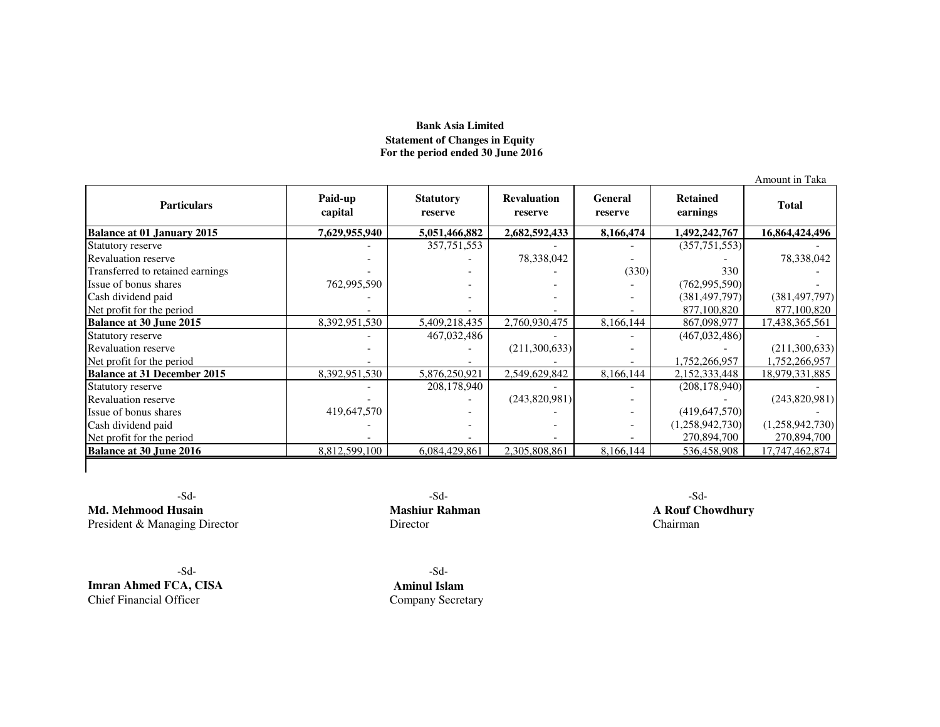## **Bank Asia Limited Statement of Changes in Equity For the period ended 30 June 2016**

| <b>Particulars</b>                 | Paid-up<br>capital | <b>Statutory</b><br>reserve | <b>Revaluation</b><br>reserve | <b>General</b><br>reserve | <b>Retained</b><br>earnings | <b>Total</b>    |
|------------------------------------|--------------------|-----------------------------|-------------------------------|---------------------------|-----------------------------|-----------------|
| <b>Balance at 01 January 2015</b>  | 7,629,955,940      | 5,051,466,882               | 2,682,592,433                 | 8,166,474                 | 1,492,242,767               | 16,864,424,496  |
| Statutory reserve                  |                    | 357, 751, 553               |                               |                           | (357,751,553)               |                 |
| <b>Revaluation reserve</b>         |                    |                             | 78,338,042                    |                           |                             | 78,338,042      |
| Transferred to retained earnings   |                    |                             |                               | (330)                     | 330                         |                 |
| Issue of bonus shares              | 762,995,590        |                             |                               |                           | (762, 995, 590)             |                 |
| Cash dividend paid                 |                    |                             |                               |                           | (381, 497, 797)             | (381, 497, 797) |
| Net profit for the period          |                    |                             |                               |                           | 877,100,820                 | 877,100,820     |
| <b>Balance at 30 June 2015</b>     | 8,392,951,530      | 5,409,218,435               | 2,760,930,475                 | 8,166,144                 | 867,098,977                 | 17,438,365,561  |
| Statutory reserve                  |                    | 467,032,486                 |                               |                           | (467, 032, 486)             |                 |
| <b>Revaluation reserve</b>         |                    |                             | (211,300,633)                 |                           |                             | (211,300,633)   |
| Net profit for the period          |                    |                             |                               |                           | 1,752,266,957               | 1,752,266,957   |
| <b>Balance at 31 December 2015</b> | 8,392,951,530      | 5,876,250,921               | 2,549,629,842                 | 8,166,144                 | 2,152,333,448               | 18,979,331,885  |
| Statutory reserve                  |                    | 208,178,940                 |                               |                           | (208, 178, 940)             |                 |
| <b>Revaluation reserve</b>         |                    | $\overline{\phantom{a}}$    | (243,820,981)                 | $\overline{\phantom{0}}$  |                             | (243,820,981)   |
| Issue of bonus shares              | 419,647,570        |                             |                               |                           | (419, 647, 570)             |                 |
| Cash dividend paid                 |                    |                             |                               |                           | (1,258,942,730)             | (1,258,942,730) |
| Net profit for the period          |                    |                             |                               |                           | 270,894,700                 | 270,894,700     |
| <b>Balance at 30 June 2016</b>     | 8,812,599,100      | 6,084,429,861               | 2,305,808,861                 | 8,166,144                 | 536,458,908                 | 17,747,462,874  |

-Sd-**Md. Mehmood Husain**<br> **Mashiur Rahman**<br> **President & Managing Director**<br> **Director**<br> **Director**<br> **Chairman** President & Managing Director

-Sd-**Imran Ahmed FCA, CISA**Chief Financial Officer

 $-Sd-$ 

Chairman

- Sd- **Aminul Islam**r Company Secretary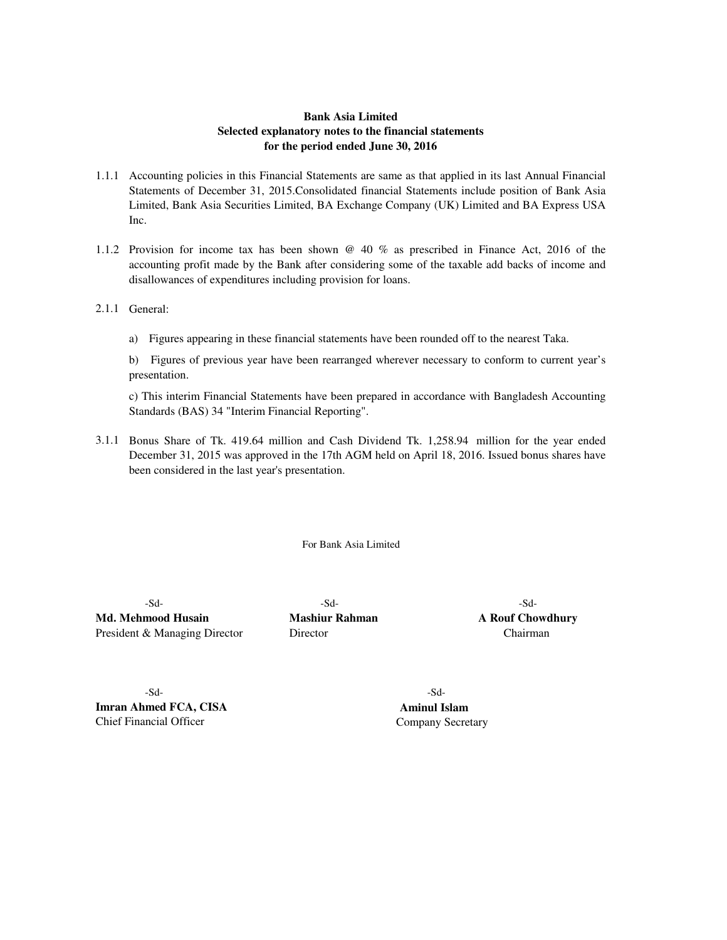## **Bank Asia Limited Selected explanatory notes to the financial statements for the period ended June 30, 2016**

- 1.1.1 Accounting policies in this Financial Statements are same as that applied in its last Annual Financial Statements of December 31, 2015.Consolidated financial Statements include position of Bank Asia Limited, Bank Asia Securities Limited, BA Exchange Company (UK) Limited and BA Express USA Inc.
- 1.1.2 Provision for income tax has been shown @ 40 % as prescribed in Finance Act, 2016 of the accounting profit made by the Bank after considering some of the taxable add backs of income and disallowances of expenditures including provision for loans.
- 2.1.1 General:
	- a) Figures appearing in these financial statements have been rounded off to the nearest Taka.

b) Figures of previous year have been rearranged wherever necessary to conform to current year's presentation.

c) This interim Financial Statements have been prepared in accordance with Bangladesh Accounting Standards (BAS) 34 "Interim Financial Reporting".

3.1.1 Bonus Share of Tk. 419.64 million and Cash Dividend Tk. 1,258.94 million for the year ended December 31, 2015 was approved in the 17th AGM held on April 18, 2016. Issued bonus shares have been considered in the last year's presentation.

For Bank Asia Limited

-Sd- -Sd- -Sd-**Md. Mehmood Husain Mashiur Rahman A Rouf Chowdhury** President & Managing Director **Director Director** Chairman

-Sd- -Sd-**Imran Ahmed FCA, CISA Aminul Islam** Chief Financial Officer Company Secretary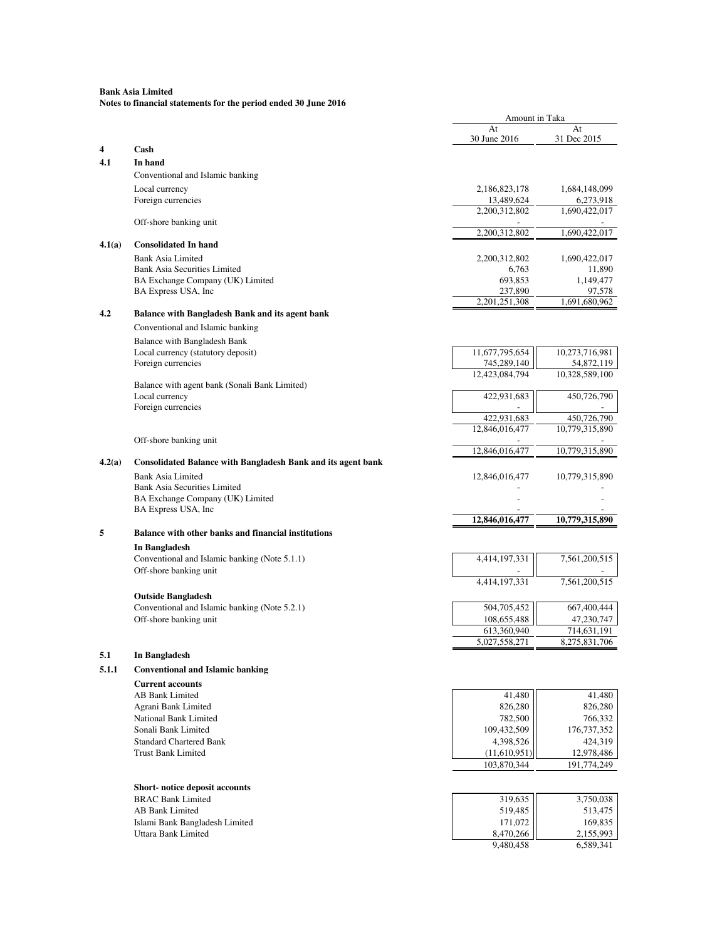|        |                                                                            | Amount in Taka                |                              |
|--------|----------------------------------------------------------------------------|-------------------------------|------------------------------|
|        |                                                                            | At                            | At                           |
| 4      | Cash                                                                       | 30 June 2016                  | 31 Dec 2015                  |
| 4.1    | In hand                                                                    |                               |                              |
|        | Conventional and Islamic banking                                           |                               |                              |
|        | Local currency                                                             | 2,186,823,178                 | 1,684,148,099                |
|        | Foreign currencies                                                         | 13,489,624                    | 6,273,918                    |
|        | Off-shore banking unit                                                     | 2,200,312,802                 | 1,690,422,017                |
|        |                                                                            | 2,200,312,802                 | 1,690,422,017                |
| 4.1(a) | <b>Consolidated In hand</b>                                                |                               |                              |
|        | <b>Bank Asia Limited</b>                                                   | 2,200,312,802                 | 1,690,422,017                |
|        | <b>Bank Asia Securities Limited</b>                                        | 6.763                         | 11,890                       |
|        | BA Exchange Company (UK) Limited                                           | 693,853                       | 1,149,477                    |
|        | BA Express USA, Inc                                                        | 237,890                       | 97,578                       |
| 4.2    | Balance with Bangladesh Bank and its agent bank                            | 2, 201, 251, 308              | 1,691,680,962                |
|        |                                                                            |                               |                              |
|        | Conventional and Islamic banking                                           |                               |                              |
|        | Balance with Bangladesh Bank                                               |                               |                              |
|        | Local currency (statutory deposit)<br>Foreign currencies                   | 11,677,795,654<br>745,289,140 | 10,273,716,981<br>54,872,119 |
|        |                                                                            | 12,423,084,794                | 10,328,589,100               |
|        | Balance with agent bank (Sonali Bank Limited)                              |                               |                              |
|        | Local currency                                                             | 422,931,683                   | 450,726,790                  |
|        | Foreign currencies                                                         |                               |                              |
|        |                                                                            | 422,931,683                   | 450,726,790                  |
|        |                                                                            | 12,846,016,477                | 10,779,315,890               |
|        | Off-shore banking unit                                                     |                               |                              |
|        |                                                                            | 12.846.016.477                | 10.779.315.890               |
| 4.2(a) | <b>Consolidated Balance with Bangladesh Bank and its agent bank</b>        |                               |                              |
|        | <b>Bank Asia Limited</b>                                                   | 12,846,016,477                | 10,779,315,890               |
|        | <b>Bank Asia Securities Limited</b>                                        |                               |                              |
|        | BA Exchange Company (UK) Limited<br>BA Express USA, Inc                    |                               |                              |
|        |                                                                            | 12,846,016,477                | 10,779,315,890               |
| 5      | Balance with other banks and financial institutions                        |                               |                              |
|        |                                                                            |                               |                              |
|        | In Bangladesh                                                              |                               |                              |
|        | Conventional and Islamic banking (Note 5.1.1)<br>Off-shore banking unit    | 4,414,197,331                 | 7,561,200,515                |
|        |                                                                            | 4,414,197,331                 | 7,561,200,515                |
|        |                                                                            |                               |                              |
|        | <b>Outside Bangladesh</b><br>Conventional and Islamic banking (Note 5.2.1) | 504,705,452                   | 667,400,444                  |
|        | Off-shore banking unit                                                     | 108,655,488                   | 47,230,747                   |
|        |                                                                            | 613,360,940                   | 714,631,191                  |
|        |                                                                            | 5,027,558,271                 | 8,275,831,706                |
| 5.1    | In Bangladesh                                                              |                               |                              |
| 5.1.1  | <b>Conventional and Islamic banking</b>                                    |                               |                              |
|        |                                                                            |                               |                              |
|        | <b>Current accounts</b>                                                    |                               |                              |
|        | AB Bank Limited                                                            | 41,480                        | 41,480                       |
|        | Agrani Bank Limited                                                        | 826,280                       | 826,280                      |
|        | National Bank Limited<br>Sonali Bank Limited                               | 782,500                       | 766,332                      |
|        | <b>Standard Chartered Bank</b>                                             | 109,432,509<br>4,398,526      | 176,737,352<br>424,319       |
|        | <b>Trust Bank Limited</b>                                                  | (11,610,951)                  | 12,978,486                   |
|        |                                                                            | 103,870,344                   | 191,774,249                  |
|        |                                                                            |                               |                              |
|        | Short-notice deposit accounts                                              |                               |                              |
|        | <b>BRAC Bank Limited</b>                                                   | 319,635                       | 3,750,038                    |
|        | AB Bank Limited                                                            | 519,485                       | 513,475                      |
|        | Islami Bank Bangladesh Limited                                             | 171,072                       | 169,835                      |
|        | Uttara Bank Limited                                                        | 8,470,266                     | 2,155,993                    |
|        |                                                                            | 9,480,458                     | 6,589,341                    |
|        |                                                                            |                               |                              |
|        |                                                                            |                               |                              |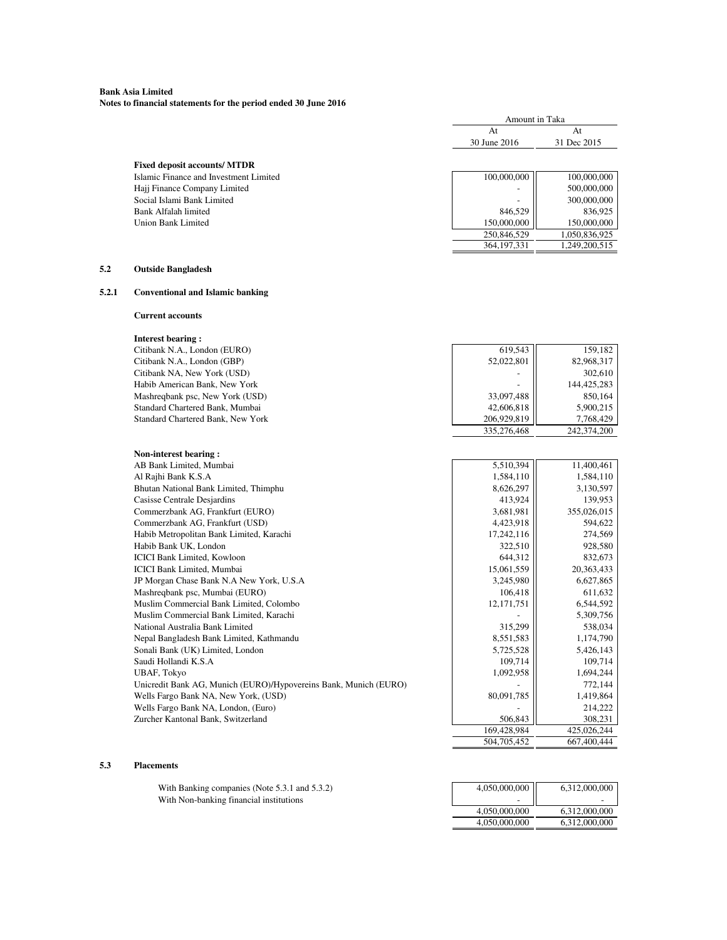#### **Bank Asia Limited Notes to financial statements for the period ended 30 June 2016**

|                                          |              | Amount in Taka |  |  |
|------------------------------------------|--------------|----------------|--|--|
|                                          | At           | At             |  |  |
|                                          | 30 June 2016 | 31 Dec 2015    |  |  |
|                                          |              |                |  |  |
| <b>Fixed deposit accounts/ MTDR</b>      |              |                |  |  |
| Islamic Finance and Investment Limited   | 100,000,000  | 100,000,000    |  |  |
| Hajj Finance Company Limited             |              | 500,000,000    |  |  |
| Social Islami Bank Limited               |              | 300,000,000    |  |  |
| <b>Bank Alfalah limited</b>              | 846,529      | 836,925        |  |  |
| <b>Union Bank Limited</b>                | 150,000,000  | 150,000,000    |  |  |
|                                          | 250,846,529  | 1,050,836,925  |  |  |
|                                          | 364,197,331  | 1,249,200,515  |  |  |
| <b>Outside Bangladesh</b>                |              |                |  |  |
| <b>Conventional and Islamic banking</b>  |              |                |  |  |
| <b>Current accounts</b>                  |              |                |  |  |
| <b>Interest bearing:</b>                 |              |                |  |  |
| Citibank N.A., London (EURO)             | 619,543      | 159,182        |  |  |
| Citibank N.A., London (GBP)              | 52,022,801   | 82,968,317     |  |  |
| Citibank NA, New York (USD)              |              | 302,610        |  |  |
| Habib American Bank, New York            |              | 144,425,283    |  |  |
| Mashreqbank psc, New York (USD)          | 33,097,488   | 850,164        |  |  |
| Standard Chartered Bank, Mumbai          | 42,606,818   | 5,900,215      |  |  |
| Standard Chartered Bank, New York        | 206,929,819  | 7,768,429      |  |  |
|                                          | 335,276,468  | 242,374,200    |  |  |
| Non-interest bearing:                    |              |                |  |  |
| AB Bank Limited, Mumbai                  | 5,510,394    | 11,400,461     |  |  |
| Al Rajhi Bank K.S.A                      | 1,584,110    | 1,584,110      |  |  |
| Bhutan National Bank Limited, Thimphu    | 8,626,297    | 3,130,597      |  |  |
| <b>Casisse Centrale Desjardins</b>       | 413,924      | 139,953        |  |  |
| Commerzbank AG, Frankfurt (EURO)         | 3,681,981    | 355,026,015    |  |  |
| Commerzbank AG, Frankfurt (USD)          | 4,423,918    | 594,622        |  |  |
| Habib Metropolitan Bank Limited, Karachi | 17,242,116   | 274,569        |  |  |
| Habib Bank UK, London                    | 322,510      | 928,580        |  |  |
| <b>ICICI Bank Limited, Kowloon</b>       | 644,312      | 832,673        |  |  |
|                                          |              |                |  |  |

# **5.2 Outside Bangladesh**

## 5.2.1

| Citibank N.A., London (EURO)                                     | 619,543     | 159,182      |
|------------------------------------------------------------------|-------------|--------------|
| Citibank N.A., London (GBP)                                      | 52,022,801  | 82,968,317   |
| Citibank NA, New York (USD)                                      |             | 302,610      |
| Habib American Bank, New York                                    |             | 144,425,283  |
| Mashreqbank psc, New York (USD)                                  | 33,097,488  | 850,164      |
| Standard Chartered Bank, Mumbai                                  | 42,606,818  | 5,900,215    |
| Standard Chartered Bank, New York                                | 206,929,819 | 7,768,429    |
|                                                                  | 335,276,468 | 242,374,200  |
| Non-interest bearing:                                            |             |              |
| AB Bank Limited, Mumbai                                          | 5,510,394   | 11,400,461   |
| Al Rajhi Bank K.S.A                                              | 1,584,110   | 1,584,110    |
| Bhutan National Bank Limited, Thimphu                            | 8,626,297   | 3,130,597    |
| <b>Casisse Centrale Desjardins</b>                               | 413,924     | 139,953      |
| Commerzbank AG, Frankfurt (EURO)                                 | 3,681,981   | 355,026,015  |
| Commerzbank AG, Frankfurt (USD)                                  | 4,423,918   | 594,622      |
| Habib Metropolitan Bank Limited, Karachi                         | 17,242,116  | 274,569      |
| Habib Bank UK, London                                            | 322,510     | 928,580      |
| <b>ICICI Bank Limited, Kowloon</b>                               | 644,312     | 832,673      |
| <b>ICICI Bank Limited, Mumbai</b>                                | 15,061,559  | 20, 363, 433 |
| JP Morgan Chase Bank N.A New York, U.S.A                         | 3,245,980   | 6,627,865    |
| Mashreqbank psc, Mumbai (EURO)                                   | 106,418     | 611,632      |
| Muslim Commercial Bank Limited, Colombo                          | 12,171,751  | 6,544,592    |
| Muslim Commercial Bank Limited, Karachi                          |             | 5,309,756    |
| National Australia Bank Limited                                  | 315,299     | 538,034      |
| Nepal Bangladesh Bank Limited, Kathmandu                         | 8,551,583   | 1,174,790    |
| Sonali Bank (UK) Limited, London                                 | 5,725,528   | 5,426,143    |
| Saudi Hollandi K.S.A                                             | 109,714     | 109,714      |
| <b>UBAF, Tokyo</b>                                               | 1,092,958   | 1,694,244    |
| Unicredit Bank AG, Munich (EURO)/Hypovereins Bank, Munich (EURO) |             | 772,144      |
| Wells Fargo Bank NA, New York, (USD)                             | 80,091,785  | 1,419,864    |
| Wells Fargo Bank NA, London, (Euro)                              |             | 214,222      |
| Zurcher Kantonal Bank, Switzerland                               | 506,843     | 308,231      |
|                                                                  | 169,428,984 | 425,026,244  |
|                                                                  | 504,705,452 | 667,400,444  |

#### **5.3 Placements**

With Banking companies (Note 5.3.1 and 5.3.2) With Non-banking financial institutions

| 4,050,000,000 | 6,312,000,000 |
|---------------|---------------|
|               |               |
|               |               |
| 4,050,000,000 | 6.312.000.000 |
| 4,050,000,000 | 6,312,000,000 |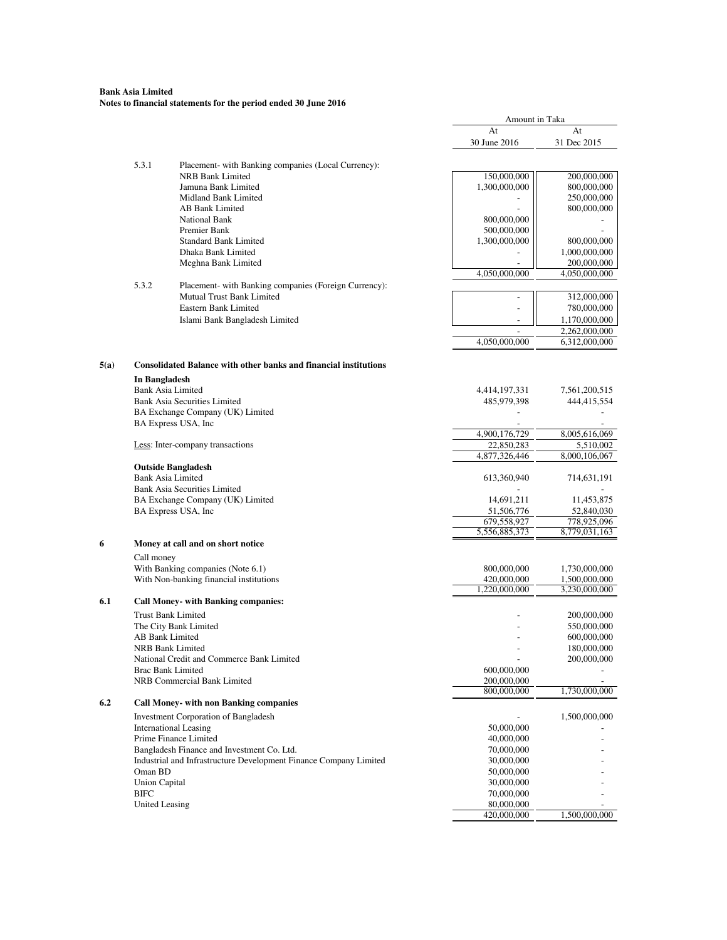## **Bank Asia Limited Notes to financial statements for the period ended 30 June 2016**

|      |                       |                                                                                | Amount in Taka |               |
|------|-----------------------|--------------------------------------------------------------------------------|----------------|---------------|
|      |                       |                                                                                | At             | At            |
|      |                       |                                                                                | 30 June 2016   | 31 Dec 2015   |
|      |                       |                                                                                |                |               |
|      | 5.3.1                 | Placement- with Banking companies (Local Currency):<br><b>NRB Bank Limited</b> | 150,000,000    | 200,000,000   |
|      |                       |                                                                                |                | 800,000,000   |
|      |                       | Jamuna Bank Limited                                                            | 1,300,000,000  |               |
|      |                       | Midland Bank Limited                                                           |                | 250,000,000   |
|      |                       | <b>AB Bank Limited</b>                                                         |                | 800,000,000   |
|      |                       | National Bank                                                                  | 800,000,000    |               |
|      |                       | Premier Bank                                                                   | 500,000,000    |               |
|      |                       | <b>Standard Bank Limited</b>                                                   | 1,300,000,000  | 800,000,000   |
|      |                       | Dhaka Bank Limited                                                             |                | 1,000,000,000 |
|      |                       | Meghna Bank Limited                                                            |                | 200,000,000   |
|      |                       |                                                                                | 4,050,000,000  | 4,050,000,000 |
|      | 5.3.2                 | Placement- with Banking companies (Foreign Currency):                          |                |               |
|      |                       | Mutual Trust Bank Limited                                                      |                | 312,000,000   |
|      |                       | Eastern Bank Limited                                                           |                | 780,000,000   |
|      |                       | Islami Bank Bangladesh Limited                                                 |                | 1,170,000,000 |
|      |                       |                                                                                |                | 2,262,000,000 |
|      |                       |                                                                                | 4,050,000,000  | 6,312,000,000 |
|      |                       |                                                                                |                |               |
| 5(a) |                       | <b>Consolidated Balance with other banks and financial institutions</b>        |                |               |
|      | In Bangladesh         | <b>Bank Asia Limited</b>                                                       | 4,414,197,331  | 7,561,200,515 |
|      |                       | <b>Bank Asia Securities Limited</b>                                            | 485,979,398    | 444,415,554   |
|      |                       |                                                                                |                |               |
|      |                       | BA Exchange Company (UK) Limited                                               |                |               |
|      |                       | BA Express USA, Inc                                                            |                |               |
|      |                       |                                                                                | 4,900,176,729  | 8,005,616,069 |
|      |                       | Less: Inter-company transactions                                               | 22,850,283     | 5,510,002     |
|      |                       |                                                                                | 4,877,326,446  | 8,000,106,067 |
|      |                       | <b>Outside Bangladesh</b>                                                      |                |               |
|      |                       | <b>Bank Asia Limited</b>                                                       | 613,360,940    | 714,631,191   |
|      |                       | <b>Bank Asia Securities Limited</b>                                            |                |               |
|      |                       | BA Exchange Company (UK) Limited                                               | 14,691,211     | 11,453,875    |
|      |                       | BA Express USA, Inc                                                            | 51,506,776     | 52,840,030    |
|      |                       |                                                                                | 679,558,927    | 778,925,096   |
|      |                       |                                                                                | 5,556,885,373  | 8,779,031,163 |
| 6    |                       | Money at call and on short notice                                              |                |               |
|      | Call money            |                                                                                |                |               |
|      |                       | With Banking companies (Note 6.1)                                              | 800,000,000    | 1,730,000,000 |
|      |                       | With Non-banking financial institutions                                        | 420,000,000    | 1,500,000,000 |
|      |                       |                                                                                | 1.220.000.000  | 3,230,000,000 |
| 6.1  |                       | <b>Call Money- with Banking companies:</b>                                     |                |               |
|      |                       | <b>Trust Bank Limited</b>                                                      |                | 200,000,000   |
|      |                       | The City Bank Limited                                                          |                | 550,000,000   |
|      |                       | AB Bank Limited                                                                |                | 600,000,000   |
|      |                       | <b>NRB Bank Limited</b>                                                        |                | 180,000,000   |
|      |                       | National Credit and Commerce Bank Limited                                      |                | 200,000,000   |
|      |                       | <b>Brac Bank Limited</b>                                                       | 600,000,000    |               |
|      |                       | NRB Commercial Bank Limited                                                    | 200,000,000    |               |
|      |                       |                                                                                | 800,000,000    | 1,730,000,000 |
| 6.2  |                       | <b>Call Money- with non Banking companies</b>                                  |                |               |
|      |                       | Investment Corporation of Bangladesh                                           |                | 1,500,000,000 |
|      |                       | <b>International Leasing</b>                                                   | 50,000,000     |               |
|      |                       | Prime Finance Limited                                                          | 40,000,000     |               |
|      |                       | Bangladesh Finance and Investment Co. Ltd.                                     | 70,000,000     |               |
|      |                       | Industrial and Infrastructure Development Finance Company Limited              | 30,000,000     |               |
|      | Oman BD               |                                                                                | 50,000,000     |               |
|      | <b>Union Capital</b>  |                                                                                | 30,000,000     |               |
|      | <b>BIFC</b>           |                                                                                | 70,000,000     |               |
|      | <b>United Leasing</b> |                                                                                | 80,000,000     |               |
|      |                       |                                                                                | 420,000,000    | 1,500,000,000 |
|      |                       |                                                                                |                |               |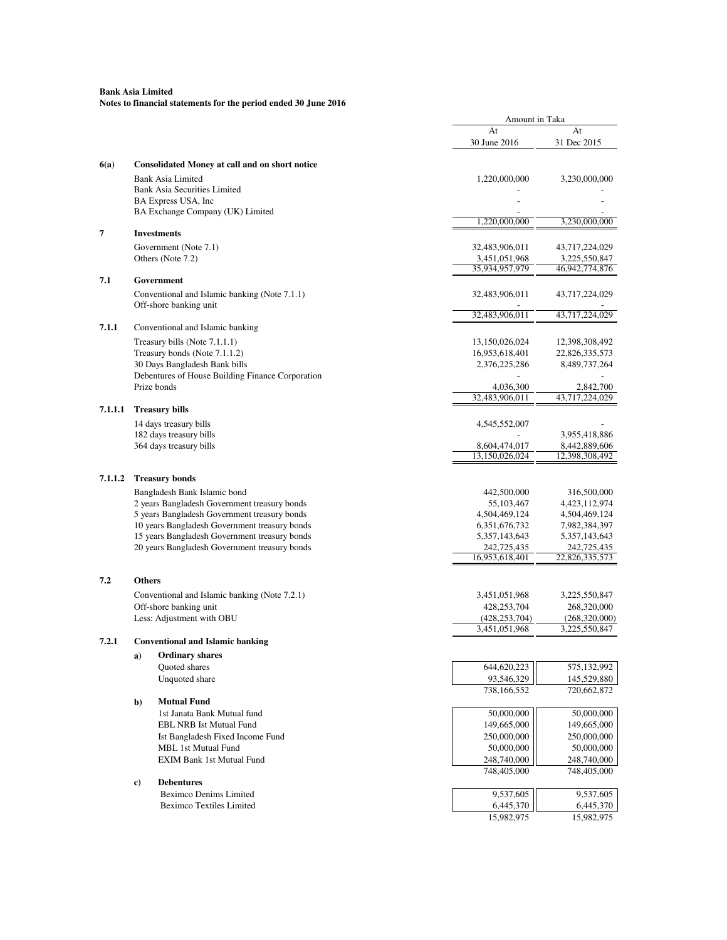|         |               |                                                                                              | Amount in Taka                  |                                 |
|---------|---------------|----------------------------------------------------------------------------------------------|---------------------------------|---------------------------------|
|         |               |                                                                                              | At<br>30 June 2016              | At<br>31 Dec 2015               |
| 6(a)    |               | <b>Consolidated Money at call and on short notice</b>                                        |                                 |                                 |
|         |               | <b>Bank Asia Limited</b><br><b>Bank Asia Securities Limited</b>                              | 1,220,000,000                   | 3,230,000,000                   |
|         |               | BA Express USA, Inc.<br>BA Exchange Company (UK) Limited                                     |                                 |                                 |
|         |               |                                                                                              | 1,220,000,000                   | 3,230,000,000                   |
| 7       |               | <b>Investments</b>                                                                           |                                 |                                 |
|         |               | Government (Note 7.1)                                                                        | 32,483,906,011                  | 43,717,224,029                  |
|         |               | Others (Note 7.2)                                                                            | 3,451,051,968                   | 3,225,550,847                   |
| 7.1     |               | Government                                                                                   | 35,934,957,979                  | 46,942,774,876                  |
|         |               | Conventional and Islamic banking (Note 7.1.1)                                                | 32,483,906,011                  | 43,717,224,029                  |
|         |               | Off-shore banking unit                                                                       |                                 |                                 |
|         |               |                                                                                              | 32,483,906,011                  | 43,717,224,029                  |
| 7.1.1   |               | Conventional and Islamic banking                                                             |                                 |                                 |
|         |               | Treasury bills (Note 7.1.1.1)                                                                | 13,150,026,024                  | 12,398,308,492                  |
|         |               | Treasury bonds (Note 7.1.1.2)<br>30 Days Bangladesh Bank bills                               | 16,953,618,401<br>2,376,225,286 | 22,826,335,573<br>8,489,737,264 |
|         |               | Debentures of House Building Finance Corporation                                             |                                 |                                 |
|         |               | Prize bonds                                                                                  | 4,036,300                       | 2,842,700                       |
|         |               |                                                                                              | 32,483,906,011                  | 43,717,224,029                  |
| 7.1.1.1 |               | <b>Treasury bills</b>                                                                        |                                 |                                 |
|         |               | 14 days treasury bills                                                                       | 4,545,552,007                   |                                 |
|         |               | 182 days treasury bills<br>364 days treasury bills                                           | 8,604,474,017                   | 3,955,418,886<br>8,442,889,606  |
|         |               |                                                                                              | 13,150,026,024                  | 12,398,308,492                  |
|         |               |                                                                                              |                                 |                                 |
| 7.1.1.2 |               | <b>Treasury bonds</b>                                                                        |                                 |                                 |
|         |               | Bangladesh Bank Islamic bond                                                                 | 442,500,000                     | 316,500,000                     |
|         |               | 2 years Bangladesh Government treasury bonds<br>5 years Bangladesh Government treasury bonds | 55,103,467<br>4,504,469,124     | 4,423,112,974<br>4,504,469,124  |
|         |               | 10 years Bangladesh Government treasury bonds                                                | 6, 351, 676, 732                | 7,982,384,397                   |
|         |               | 15 years Bangladesh Government treasury bonds                                                | 5, 357, 143, 643                | 5, 357, 143, 643                |
|         |               | 20 years Bangladesh Government treasury bonds                                                | 242,725,435                     | 242,725,435                     |
|         |               |                                                                                              | 16,953,618,401                  | 22,826,335,573                  |
| 7.2     | <b>Others</b> |                                                                                              |                                 |                                 |
|         |               | Conventional and Islamic banking (Note 7.2.1)                                                | 3,451,051,968                   | 3,225,550,847                   |
|         |               | Off-shore banking unit                                                                       | 428,253,704                     | 268,320,000                     |
|         |               | Less: Adjustment with OBU                                                                    | (428, 253, 704)                 | (268,320,000)                   |
| 7.2.1   |               | Conventional and Islamic hanking                                                             | 3,451,051,968                   | 3,225,550,847                   |
|         | a)            | <b>Ordinary shares</b>                                                                       |                                 |                                 |
|         |               | Quoted shares                                                                                | 644,620,223                     | 575,132,992                     |
|         |               | Unquoted share                                                                               | 93,546,329                      | 145,529,880                     |
|         |               |                                                                                              | 738,166,552                     | 720,662,872                     |
|         | $\mathbf{b}$  | <b>Mutual Fund</b>                                                                           |                                 |                                 |
|         |               | 1st Janata Bank Mutual fund<br>EBL NRB Ist Mutual Fund                                       | 50,000,000<br>149,665,000       | 50,000,000                      |
|         |               | Ist Bangladesh Fixed Income Fund                                                             | 250,000,000                     | 149,665,000<br>250,000,000      |
|         |               | MBL 1st Mutual Fund                                                                          | 50,000,000                      | 50,000,000                      |
|         |               | <b>EXIM Bank 1st Mutual Fund</b>                                                             | 248,740,000                     | 248,740,000                     |
|         |               |                                                                                              | 748,405,000                     | 748,405,000                     |
|         | $\bf c)$      | <b>Debentures</b><br><b>Beximco Denims Limited</b>                                           | 9,537,605                       | 9,537,605                       |
|         |               | <b>Beximco Textiles Limited</b>                                                              | 6,445,370                       | 6,445,370                       |
|         |               |                                                                                              | 15,982,975                      | 15,982,975                      |
|         |               |                                                                                              |                                 |                                 |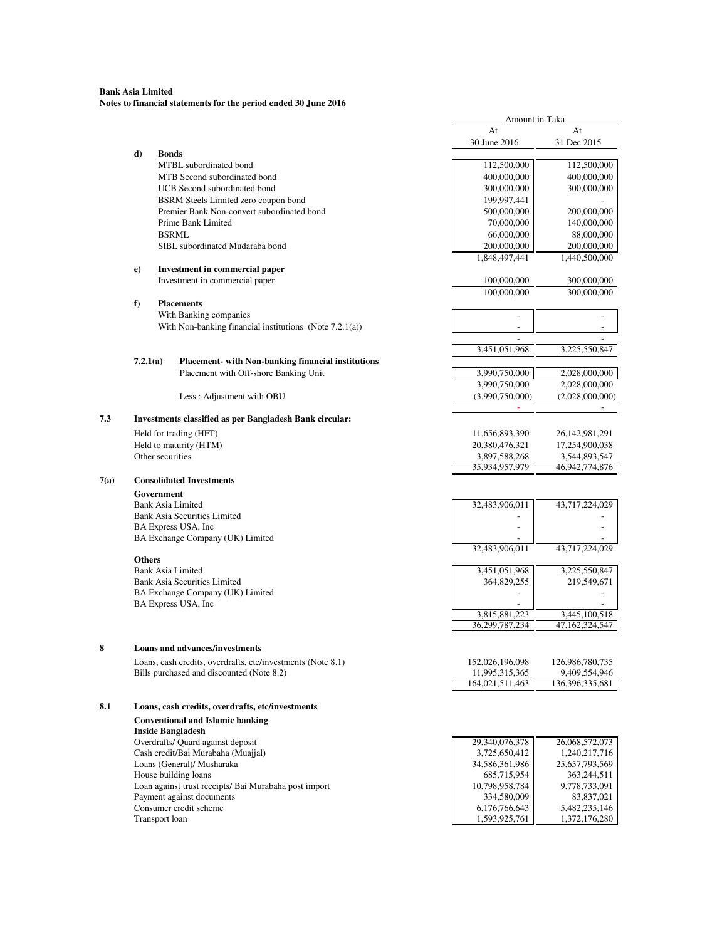|      |                  |                                                             | Amount in Taka                    |                                  |
|------|------------------|-------------------------------------------------------------|-----------------------------------|----------------------------------|
|      |                  |                                                             | At                                | At                               |
|      |                  |                                                             | 30 June 2016                      | 31 Dec 2015                      |
|      | d)               | <b>Bonds</b>                                                |                                   |                                  |
|      |                  | MTBL subordinated bond<br>MTB Second subordinated bond      | 112,500,000<br>400,000,000        | 112,500,000<br>400,000,000       |
|      |                  | UCB Second subordinated bond                                |                                   |                                  |
|      |                  |                                                             | 300,000,000                       | 300,000,000                      |
|      |                  | BSRM Steels Limited zero coupon bond                        | 199,997,441                       |                                  |
|      |                  | Premier Bank Non-convert subordinated bond                  | 500,000,000                       | 200,000,000                      |
|      |                  | Prime Bank Limited                                          | 70,000,000                        | 140,000,000                      |
|      |                  | <b>BSRML</b>                                                | 66,000,000                        | 88,000,000                       |
|      |                  | SIBL subordinated Mudaraba bond                             | 200,000,000<br>1,848,497,441      | 200,000,000<br>1,440,500,000     |
|      | e)               | <b>Investment in commercial paper</b>                       |                                   |                                  |
|      |                  | Investment in commercial paper                              | 100,000,000                       | 300,000,000                      |
|      |                  |                                                             | 100,000,000                       | 300,000,000                      |
|      | f)               | <b>Placements</b>                                           |                                   |                                  |
|      |                  | With Banking companies                                      | $\overline{a}$                    |                                  |
|      |                  | With Non-banking financial institutions (Note $7.2.1(a)$ )  |                                   |                                  |
|      |                  |                                                             |                                   |                                  |
|      | 7.2.1(a)         | Placement- with Non-banking financial institutions          | 3,451,051,968                     | 3,225,550,847                    |
|      |                  | Placement with Off-shore Banking Unit                       | 3,990,750,000                     | 2,028,000,000                    |
|      |                  |                                                             | 3,990,750,000                     | 2,028,000,000                    |
|      |                  | Less: Adjustment with OBU                                   | (3,990,750,000)                   | (2,028,000,000)                  |
|      |                  |                                                             |                                   |                                  |
| 7.3  |                  | Investments classified as per Bangladesh Bank circular:     |                                   |                                  |
|      |                  | Held for trading (HFT)                                      | 11,656,893,390                    | 26, 142, 981, 291                |
|      |                  | Held to maturity (HTM)                                      | 20,380,476,321                    | 17,254,900,038                   |
|      | Other securities |                                                             | 3,897,588,268                     | 3,544,893,547                    |
|      |                  |                                                             | 35,934,957,979                    | 46,942,774,876                   |
| 7(a) |                  | <b>Consolidated Investments</b>                             |                                   |                                  |
|      | Government       |                                                             |                                   |                                  |
|      |                  | <b>Bank Asia Limited</b>                                    | 32,483,906,011                    | 43,717,224,029                   |
|      |                  | <b>Bank Asia Securities Limited</b>                         |                                   |                                  |
|      |                  | BA Express USA, Inc.                                        |                                   |                                  |
|      |                  | BA Exchange Company (UK) Limited                            |                                   |                                  |
|      | <b>Others</b>    |                                                             | 32,483,906,011                    | 43,717,224,029                   |
|      |                  | Bank Asia Limited                                           | 3,451,051,968                     | 3,225,550,847                    |
|      |                  | <b>Bank Asia Securities Limited</b>                         | 364,829,255                       | 219,549,671                      |
|      |                  | BA Exchange Company (UK) Limited                            |                                   |                                  |
|      |                  | BA Express USA, Inc                                         |                                   |                                  |
|      |                  |                                                             | 3,815,881,223                     | 3,445,100,518                    |
|      |                  |                                                             | 36,299,787,234                    | 47,162,324,547                   |
|      |                  |                                                             |                                   |                                  |
| 8    |                  | <b>Loans and advances/investments</b>                       |                                   |                                  |
|      |                  | Loans, cash credits, overdrafts, etc/investments (Note 8.1) | 152,026,196,098                   | 126,986,780,735                  |
|      |                  | Bills purchased and discounted (Note 8.2)                   | 11,995,315,365<br>164,021,511,463 | 9,409,554,946<br>136,396,335,681 |
|      |                  |                                                             |                                   |                                  |
| 8.1  |                  | Loans, cash credits, overdrafts, etc/investments            |                                   |                                  |
|      |                  | <b>Conventional and Islamic banking</b>                     |                                   |                                  |
|      |                  | <b>Inside Bangladesh</b>                                    |                                   |                                  |
|      |                  | Overdrafts/ Quard against deposit                           | 29,340,076,378                    | 26,068,572,073                   |
|      |                  | Cash credit/Bai Murabaha (Muajjal)                          | 3,725,650,412                     | 1,240,217,716                    |
|      |                  | Loans (General)/ Musharaka                                  | 34,586,361,986                    | 25,657,793,569                   |
|      |                  | House building loans                                        | 685,715,954                       | 363,244,511                      |
|      |                  | Loan against trust receipts/ Bai Murabaha post import       | 10,798,958,784                    | 9,778,733,091                    |
|      |                  | Payment against documents                                   | 334,580,009                       | 83,837,021                       |
|      |                  | Consumer credit scheme                                      | 6,176,766,643                     | 5,482,235,146                    |
|      | Transport loan   |                                                             | 1,593,925,761                     | 1,372,176,280                    |
|      |                  |                                                             |                                   |                                  |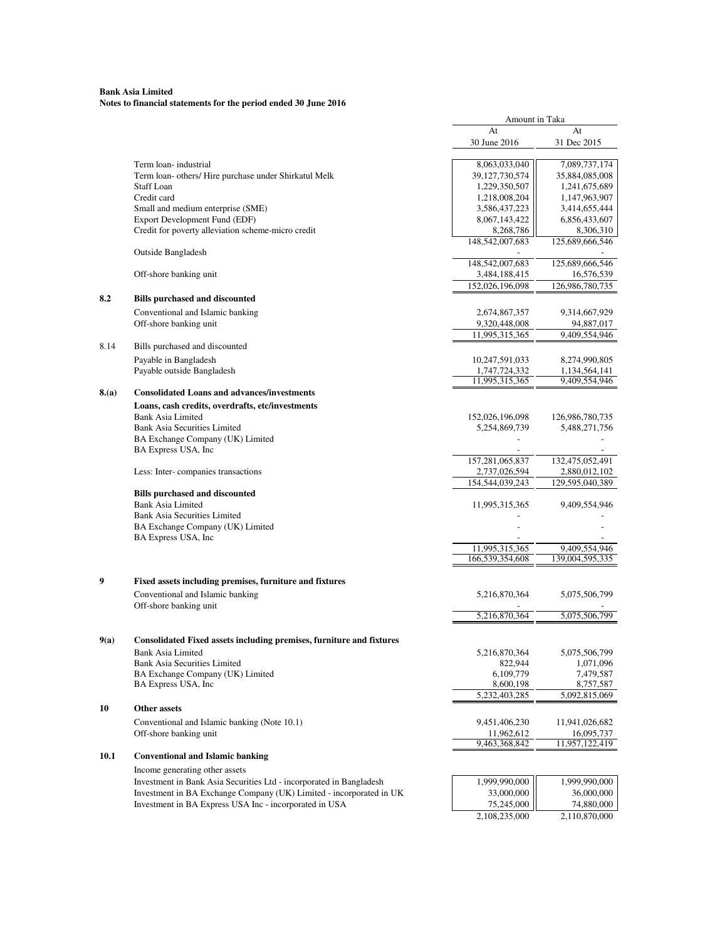## **Bank Asia Limited Notes to financial statements for the period ended 30 June 2016**

|      |                                                                                                  | Amount in Taka                    |                                  |
|------|--------------------------------------------------------------------------------------------------|-----------------------------------|----------------------------------|
|      |                                                                                                  | At                                | At                               |
|      |                                                                                                  | 30 June 2016                      | 31 Dec 2015                      |
|      | Term loan-industrial                                                                             | 8,063,033,040                     | 7,089,737,174                    |
|      | Term loan- others/ Hire purchase under Shirkatul Melk                                            | 39, 127, 730, 574                 | 35,884,085,008                   |
|      | <b>Staff Loan</b>                                                                                | 1,229,350,507                     | 1,241,675,689                    |
|      | Credit card                                                                                      | 1,218,008,204                     | 1,147,963,907                    |
|      | Small and medium enterprise (SME)                                                                | 3,586,437,223                     | 3,414,655,444                    |
|      | Export Development Fund (EDF)                                                                    | 8,067,143,422                     | 6,856,433,607                    |
|      | Credit for poverty alleviation scheme-micro credit                                               | 8,268,786                         | 8,306,310                        |
|      |                                                                                                  | 148,542,007,683                   | 125,689,666,546                  |
|      | Outside Bangladesh                                                                               | 148,542,007,683                   | 125,689,666,546                  |
|      | Off-shore banking unit                                                                           | 3,484,188,415                     | 16,576,539                       |
|      |                                                                                                  | 152,026,196,098                   | 126,986,780,735                  |
| 8.2  | <b>Bills purchased and discounted</b>                                                            |                                   |                                  |
|      | Conventional and Islamic banking                                                                 | 2,674,867,357                     | 9,314,667,929                    |
|      | Off-shore banking unit                                                                           | 9,320,448,008                     | 94,887,017                       |
|      |                                                                                                  | 11,995,315,365                    | 9,409,554,946                    |
| 8.14 | Bills purchased and discounted                                                                   |                                   |                                  |
|      | Payable in Bangladesh                                                                            | 10,247,591,033                    | 8,274,990,805                    |
|      | Payable outside Bangladesh                                                                       | 1,747,724,332                     | 1,134,564,141                    |
|      |                                                                                                  | 11,995,315,365                    | 9,409,554,946                    |
| 8(a) | <b>Consolidated Loans and advances/investments</b>                                               |                                   |                                  |
|      | Loans, cash credits, overdrafts, etc/investments                                                 |                                   |                                  |
|      | <b>Bank Asia Limited</b>                                                                         | 152,026,196,098                   | 126,986,780,735                  |
|      | <b>Bank Asia Securities Limited</b>                                                              | 5,254,869,739                     | 5,488,271,756                    |
|      | BA Exchange Company (UK) Limited                                                                 |                                   |                                  |
|      | BA Express USA, Inc                                                                              | 157,281,065,837                   | 132,475,052,491                  |
|      | Less: Inter-companies transactions                                                               | 2,737,026,594                     | 2,880,012,102                    |
|      |                                                                                                  | 154,544,039,243                   | 129,595,040,389                  |
|      | <b>Bills purchased and discounted</b>                                                            |                                   |                                  |
|      | <b>Bank Asia Limited</b>                                                                         | 11,995,315,365                    | 9,409,554,946                    |
|      | <b>Bank Asia Securities Limited</b>                                                              |                                   |                                  |
|      | BA Exchange Company (UK) Limited                                                                 |                                   |                                  |
|      | BA Express USA, Inc                                                                              |                                   |                                  |
|      |                                                                                                  | 11,995,315,365<br>166,539,354,608 | 9,409,554,946<br>139,004,595,335 |
|      |                                                                                                  |                                   |                                  |
| 9    | Fixed assets including premises, furniture and fixtures                                          |                                   |                                  |
|      | Conventional and Islamic banking                                                                 | 5,216,870,364                     | 5,075,506,799                    |
|      | Off-shore banking unit                                                                           |                                   |                                  |
|      |                                                                                                  | 5,216,870,364                     | 5,075,506,799                    |
| 9(a) |                                                                                                  |                                   |                                  |
|      | Consolidated Fixed assets including premises, furniture and fixtures<br><b>Bank Asia Limited</b> | 5,216,870,364                     | 5,075,506,799                    |
|      | <b>Bank Asia Securities Limited</b>                                                              | 822,944                           | 1,071,096                        |
|      | BA Exchange Company (UK) Limited                                                                 | 6,109,779                         | 7,479,587                        |
|      | BA Express USA, Inc.                                                                             | 8,600,198                         | 8,757,587                        |
|      |                                                                                                  | 5, 232, 403, 285                  | 5,092,815,069                    |
| 10   | Other assets                                                                                     |                                   |                                  |
|      | Conventional and Islamic banking (Note 10.1)                                                     | 9,451,406,230                     | 11,941,026,682                   |
|      | Off-shore banking unit                                                                           | 11,962,612                        | 16,095,737                       |
|      |                                                                                                  | 9,463,368,842                     | 11,957,122,419                   |
| 10.1 | <b>Conventional and Islamic banking</b>                                                          |                                   |                                  |
|      | Income generating other assets                                                                   |                                   |                                  |
|      | Investment in Bank Asia Securities Ltd - incorporated in Bangladesh                              | 1,999,990,000                     | 1,999,990,000                    |
|      | Investment in BA Exchange Company (UK) Limited - incorporated in UK                              | 33,000,000                        | 36,000,000                       |
|      | Investment in BA Express USA Inc - incorporated in USA                                           | 75,245,000                        | 74,880,000                       |
|      |                                                                                                  | 2,108,235,000                     | 2,110,870,000                    |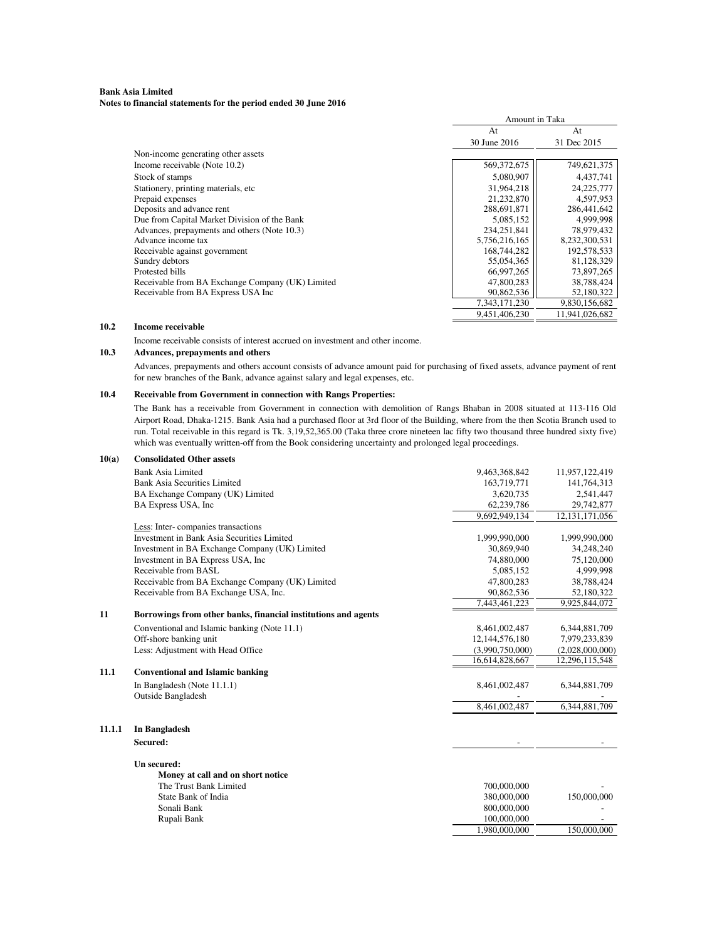#### **Bank Asia Limited Notes to financial statements for the period ended 30 June 2016**

|                                                  | Amount in Taka |                |
|--------------------------------------------------|----------------|----------------|
|                                                  | At             | At             |
|                                                  | 30 June 2016   | 31 Dec 2015    |
| Non-income generating other assets               |                |                |
| Income receivable (Note 10.2)                    | 569,372,675    | 749,621,375    |
| Stock of stamps                                  | 5,080,907      | 4,437,741      |
| Stationery, printing materials, etc.             | 31,964,218     | 24, 225, 777   |
| Prepaid expenses                                 | 21,232,870     | 4,597,953      |
| Deposits and advance rent                        | 288,691,871    | 286,441,642    |
| Due from Capital Market Division of the Bank     | 5,085,152      | 4,999,998      |
| Advances, prepayments and others (Note 10.3)     | 234, 251, 841  | 78,979,432     |
| Advance income tax                               | 5,756,216,165  | 8,232,300,531  |
| Receivable against government                    | 168,744,282    | 192,578,533    |
| Sundry debtors                                   | 55,054,365     | 81,128,329     |
| Protested bills                                  | 66,997,265     | 73,897,265     |
| Receivable from BA Exchange Company (UK) Limited | 47,800,283     | 38,788,424     |
| Receivable from BA Express USA Inc               | 90,862,536     | 52,180,322     |
|                                                  | 7,343,171,230  | 9,830,156,682  |
|                                                  | 9,451,406,230  | 11,941,026,682 |

#### **10.2 Income receivable**

Income receivable consists of interest accrued on investment and other income.

## **10.3 Advances, prepayments and others**

Advances, prepayments and others account consists of advance amount paid for purchasing of fixed assets, advance payment of rent for new branches of the Bank, advance against salary and legal expenses, etc.

#### **10.4 Receivable from Government in connection with Rangs Properties:**

The Bank has a receivable from Government in connection with demolition of Rangs Bhaban in 2008 situated at 113-116 Old Airport Road, Dhaka-1215. Bank Asia had a purchased floor at 3rd floor of the Building, where from the then Scotia Branch used to run. Total receivable in this regard is Tk. 3,19,52,365.00 (Taka three crore nineteen lac fifty two thousand three hundred sixty five) which was eventually written-off from the Book considering uncertainty and prolonged legal proceedings.

| 10(a)  | <b>Consolidated Other assets</b>                               |                 |                   |
|--------|----------------------------------------------------------------|-----------------|-------------------|
|        | Bank Asia Limited                                              | 9,463,368,842   | 11,957,122,419    |
|        | <b>Bank Asia Securities Limited</b>                            | 163,719,771     | 141,764,313       |
|        | BA Exchange Company (UK) Limited                               | 3,620,735       | 2,541,447         |
|        | BA Express USA, Inc.                                           | 62,239,786      | 29,742,877        |
|        |                                                                | 9,692,949,134   | 12, 131, 171, 056 |
|        | Less: Inter-companies transactions                             |                 |                   |
|        | Investment in Bank Asia Securities Limited                     | 1,999,990,000   | 1,999,990,000     |
|        | Investment in BA Exchange Company (UK) Limited                 | 30,869,940      | 34,248,240        |
|        | Investment in BA Express USA, Inc.                             | 74,880,000      | 75,120,000        |
|        | Receivable from BASL                                           | 5.085.152       | 4,999,998         |
|        | Receivable from BA Exchange Company (UK) Limited               | 47,800,283      | 38,788,424        |
|        | Receivable from BA Exchange USA, Inc.                          | 90,862,536      | 52,180,322        |
|        |                                                                | 7,443,461,223   | 9,925,844,072     |
| 11     | Borrowings from other banks, financial institutions and agents |                 |                   |
|        | Conventional and Islamic banking (Note 11.1)                   | 8,461,002,487   | 6,344,881,709     |
|        | Off-shore banking unit                                         | 12,144,576,180  | 7,979,233,839     |
|        | Less: Adjustment with Head Office                              | (3,990,750,000) | (2,028,000,000)   |
|        |                                                                | 16,614,828,667  | 12,296,115,548    |
| 11.1   | <b>Conventional and Islamic banking</b>                        |                 |                   |
|        | In Bangladesh (Note 11.1.1)                                    | 8,461,002,487   | 6,344,881,709     |
|        | Outside Bangladesh                                             |                 |                   |
|        |                                                                | 8,461,002,487   | 6,344,881,709     |
| 11.1.1 | In Bangladesh                                                  |                 |                   |
|        | Secured:                                                       |                 |                   |
|        | Un secured:                                                    |                 |                   |
|        | Money at call and on short notice                              |                 |                   |
|        | The Trust Bank Limited                                         | 700,000,000     |                   |
|        | State Bank of India                                            | 380,000,000     | 150,000,000       |
|        | Sonali Bank                                                    | 800,000,000     |                   |
|        | Rupali Bank                                                    | 100,000,000     |                   |
|        |                                                                | 1,980,000,000   | 150,000,000       |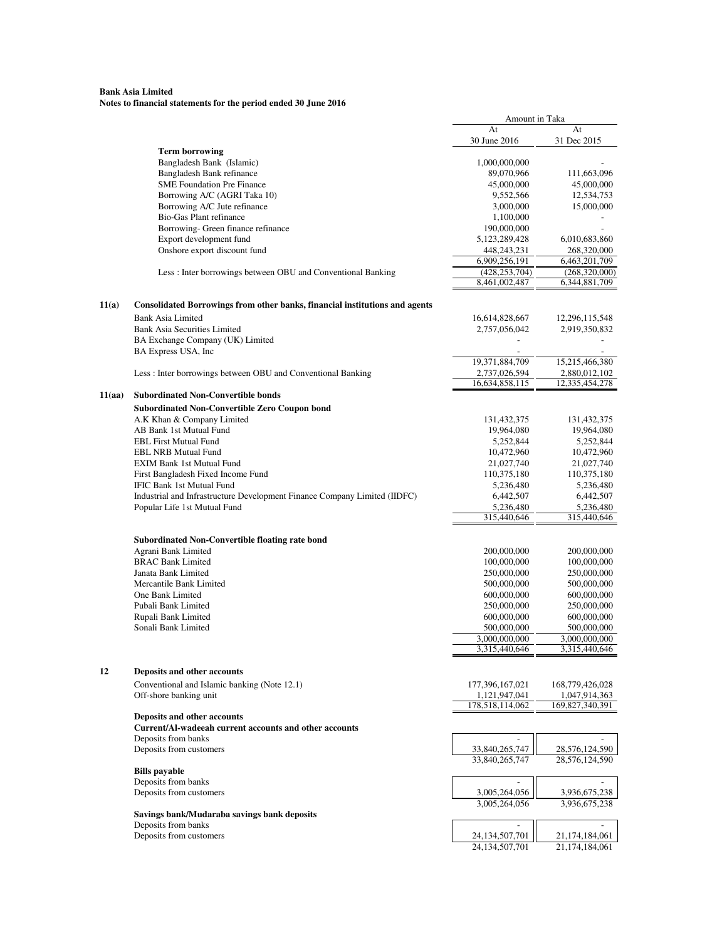|        |                                                                             | Amount in Taka           |                          |
|--------|-----------------------------------------------------------------------------|--------------------------|--------------------------|
|        |                                                                             | At                       | At                       |
|        |                                                                             | 30 June 2016             | 31 Dec 2015              |
|        | <b>Term borrowing</b><br>Bangladesh Bank (Islamic)                          | 1,000,000,000            |                          |
|        | Bangladesh Bank refinance                                                   | 89,070,966               | 111,663,096              |
|        | <b>SME Foundation Pre Finance</b>                                           | 45,000,000               | 45,000,000               |
|        | Borrowing A/C (AGRI Taka 10)                                                | 9,552,566                | 12,534,753               |
|        | Borrowing A/C Jute refinance                                                | 3,000,000                | 15,000,000               |
|        | Bio-Gas Plant refinance                                                     | 1,100,000                |                          |
|        | Borrowing- Green finance refinance                                          | 190,000,000              |                          |
|        | Export development fund                                                     | 5, 123, 289, 428         | 6,010,683,860            |
|        | Onshore export discount fund                                                | 448,243,231              | 268,320,000              |
|        |                                                                             | 6,909,256,191            | 6,463,201,709            |
|        | Less : Inter borrowings between OBU and Conventional Banking                | (428, 253, 704)          | (268,320,000)            |
|        |                                                                             | 8,461,002,487            | 6,344,881,709            |
| 11(a)  | Consolidated Borrowings from other banks, financial institutions and agents |                          |                          |
|        | <b>Bank Asia Limited</b>                                                    | 16,614,828,667           | 12,296,115,548           |
|        | <b>Bank Asia Securities Limited</b>                                         | 2,757,056,042            | 2,919,350,832            |
|        | BA Exchange Company (UK) Limited                                            |                          |                          |
|        | BA Express USA, Inc                                                         |                          |                          |
|        |                                                                             | 19,371,884,709           | 15,215,466,380           |
|        | Less: Inter borrowings between OBU and Conventional Banking                 | 2,737,026,594            | 2,880,012,102            |
|        |                                                                             | 16,634,858,115           | 12,335,454,278           |
| 11(aa) | <b>Subordinated Non-Convertible bonds</b>                                   |                          |                          |
|        | <b>Subordinated Non-Convertible Zero Coupon bond</b>                        |                          |                          |
|        | A.K Khan & Company Limited                                                  | 131,432,375              | 131,432,375              |
|        | AB Bank 1st Mutual Fund                                                     | 19,964,080               | 19,964,080               |
|        | <b>EBL First Mutual Fund</b>                                                | 5,252,844                | 5,252,844                |
|        | <b>EBL NRB Mutual Fund</b>                                                  | 10,472,960               | 10,472,960               |
|        | <b>EXIM Bank 1st Mutual Fund</b>                                            | 21,027,740               | 21,027,740               |
|        | First Bangladesh Fixed Income Fund                                          | 110,375,180              | 110,375,180              |
|        | IFIC Bank 1st Mutual Fund                                                   | 5,236,480                | 5,236,480                |
|        | Industrial and Infrastructure Development Finance Company Limited (IIDFC)   | 6,442,507                | 6,442,507                |
|        | Popular Life 1st Mutual Fund                                                | 5,236,480<br>315,440,646 | 5,236,480<br>315,440,646 |
|        |                                                                             |                          |                          |
|        | <b>Subordinated Non-Convertible floating rate bond</b>                      |                          |                          |
|        | Agrani Bank Limited                                                         | 200,000,000              | 200,000,000              |
|        | <b>BRAC Bank Limited</b>                                                    | 100,000,000              | 100,000,000              |
|        | Janata Bank Limited                                                         | 250,000,000              | 250,000,000              |
|        | Mercantile Bank Limited                                                     | 500,000,000              | 500,000,000              |
|        | One Bank Limited                                                            | 600,000,000              | 600,000,000              |
|        | Pubali Bank Limited                                                         | 250,000,000              | 250,000,000              |
|        | Rupali Bank Limited                                                         | 600,000,000              | 600,000,000              |
|        | Sonali Bank Limited                                                         | 500,000,000              | 500,000,000              |
|        |                                                                             | 3,000,000,000            | 3,000,000,000            |
|        |                                                                             | 3,315,440,646            | 3,315,440,646            |
| 12     | Deposits and other accounts                                                 |                          |                          |
|        | Conventional and Islamic banking (Note 12.1)                                | 177,396,167,021          | 168,779,426,028          |
|        | Off-shore banking unit                                                      | 1,121,947,041            | 1,047,914,363            |
|        |                                                                             | 178,518,114,062          | 169,827,340,391          |
|        | Deposits and other accounts                                                 |                          |                          |
|        | Current/Al-wadeeah current accounts and other accounts                      |                          |                          |
|        | Deposits from banks                                                         |                          |                          |
|        | Deposits from customers                                                     | 33,840,265,747           | 28,576,124,590           |
|        |                                                                             | 33,840,265,747           | 28,576,124,590           |
|        | <b>Bills</b> payable                                                        |                          |                          |
|        | Deposits from banks                                                         | $\overline{a}$           | $\overline{a}$           |
|        | Deposits from customers                                                     | 3,005,264,056            | 3,936,675,238            |
|        |                                                                             | 3,005,264,056            | 3,936,675,238            |
|        | Savings bank/Mudaraba savings bank deposits<br>Deposits from banks          | $\overline{\phantom{a}}$ | $\overline{a}$           |
|        | Deposits from customers                                                     | 24,134,507,701           | 21,174,184,061           |
|        |                                                                             | 24, 134, 507, 701        | 21,174,184,061           |
|        |                                                                             |                          |                          |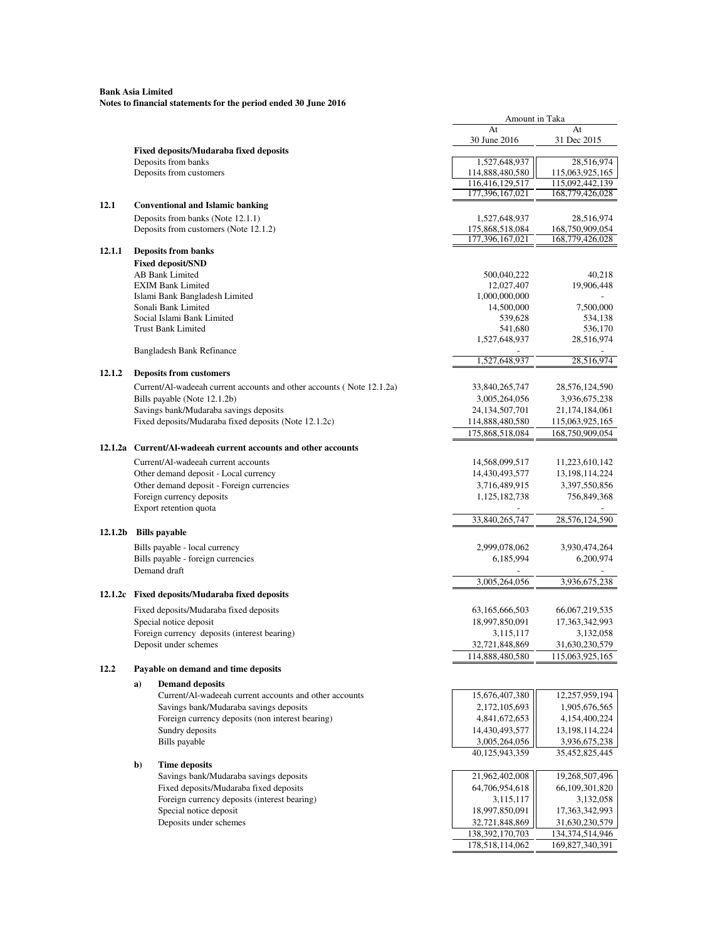|         |              |                                                                       | Amount in Taka                   |                               |
|---------|--------------|-----------------------------------------------------------------------|----------------------------------|-------------------------------|
|         |              |                                                                       | At                               | At                            |
|         |              |                                                                       | 30 June 2016                     | 31 Dec 2015                   |
|         |              | <b>Fixed deposits/Mudaraba fixed deposits</b>                         |                                  |                               |
|         |              | Deposits from banks<br>Deposits from customers                        | 1,527,648,937<br>114,888,480,580 | 28,516,974<br>115,063,925,165 |
|         |              |                                                                       | 116,416,129,517                  | 115,092,442,139               |
|         |              |                                                                       | 177,396,167,021                  | 168,779,426,028               |
| 12.1    |              | <b>Conventional and Islamic banking</b>                               |                                  |                               |
|         |              | Deposits from banks (Note 12.1.1)                                     | 1,527,648,937                    | 28,516,974                    |
|         |              | Deposits from customers (Note 12.1.2)                                 | 175,868,518,084                  | 168,750,909,054               |
|         |              |                                                                       | 177,396,167,021                  | 168,779,426,028               |
| 12.1.1  |              | <b>Deposits from banks</b>                                            |                                  |                               |
|         |              | <b>Fixed deposit/SND</b>                                              |                                  |                               |
|         |              | AB Bank Limited                                                       | 500,040,222                      | 40,218                        |
|         |              | <b>EXIM Bank Limited</b>                                              | 12,027,407                       | 19,906,448                    |
|         |              | Islami Bank Bangladesh Limited                                        | 1,000,000,000                    |                               |
|         |              | Sonali Bank Limited                                                   | 14,500,000                       | 7,500,000                     |
|         |              | Social Islami Bank Limited                                            | 539,628                          | 534,138                       |
|         |              | <b>Trust Bank Limited</b>                                             | 541,680                          | 536,170                       |
|         |              |                                                                       | 1,527,648,937                    | 28,516,974                    |
|         |              | <b>Bangladesh Bank Refinance</b>                                      |                                  |                               |
|         |              |                                                                       | 1,527,648,937                    | 28,516,974                    |
| 12.1.2  |              | <b>Deposits from customers</b>                                        |                                  |                               |
|         |              | Current/Al-wadeeah current accounts and other accounts (Note 12.1.2a) | 33,840,265,747                   | 28,576,124,590                |
|         |              | Bills payable (Note 12.1.2b)                                          | 3,005,264,056                    | 3,936,675,238                 |
|         |              | Savings bank/Mudaraba savings deposits                                | 24, 134, 507, 701                | 21,174,184,061                |
|         |              | Fixed deposits/Mudaraba fixed deposits (Note 12.1.2c)                 | 114,888,480,580                  | 115,063,925,165               |
|         |              |                                                                       | 175,868,518,084                  | 168,750,909,054               |
| 12.1.2a |              | Current/Al-wadeeah current accounts and other accounts                |                                  |                               |
|         |              | Current/Al-wadeeah current accounts                                   | 14,568,099,517                   | 11,223,610,142                |
|         |              | Other demand deposit - Local currency                                 | 14,430,493,577                   | 13, 198, 114, 224             |
|         |              | Other demand deposit - Foreign currencies                             | 3,716,489,915                    | 3,397,550,856                 |
|         |              | Foreign currency deposits                                             | 1,125,182,738                    | 756,849,368                   |
|         |              | Export retention quota                                                |                                  |                               |
|         |              |                                                                       | 33,840,265,747                   | 28,576,124,590                |
| 12.1.2b |              | <b>Bills</b> payable                                                  |                                  |                               |
|         |              |                                                                       |                                  |                               |
|         |              | Bills payable - local currency                                        | 2,999,078,062                    | 3,930,474,264                 |
|         |              | Bills payable - foreign currencies                                    | 6,185,994                        | 6,200,974                     |
|         |              | Demand draft                                                          | 3,005,264,056                    | 3,936,675,238                 |
|         |              |                                                                       |                                  |                               |
|         |              | 12.1.2c Fixed deposits/Mudaraba fixed deposits                        |                                  |                               |
|         |              | Fixed deposits/Mudaraba fixed deposits                                | 63,165,666,503                   | 66,067,219,535                |
|         |              | Special notice deposit                                                | 18,997,850,091                   | 17,363,342,993                |
|         |              | Foreign currency deposits (interest bearing)                          | 3,115,117                        | 3,132,058                     |
|         |              | Deposit under schemes                                                 | 32,721,848,869                   | 31,630,230,579                |
|         |              |                                                                       | 114,888,480,580                  | 115,063,925,165               |
| 12.2    |              | Payable on demand and time deposits                                   |                                  |                               |
|         | a)           | <b>Demand deposits</b>                                                |                                  |                               |
|         |              | Current/Al-wadeeah current accounts and other accounts                | 15,676,407,380                   | 12,257,959,194                |
|         |              | Savings bank/Mudaraba savings deposits                                | 2,172,105,693                    | 1,905,676,565                 |
|         |              | Foreign currency deposits (non interest bearing)                      | 4,841,672,653                    | 4,154,400,224                 |
|         |              | Sundry deposits                                                       | 14,430,493,577                   | 13,198,114,224                |
|         |              | Bills payable                                                         | 3,005,264,056                    | 3,936,675,238                 |
|         |              |                                                                       | 40,125,943,359                   | 35,452,825,445                |
|         | $\mathbf{b}$ | <b>Time deposits</b>                                                  |                                  |                               |
|         |              | Savings bank/Mudaraba savings deposits                                | 21,962,402,008                   | 19,268,507,496                |
|         |              | Fixed deposits/Mudaraba fixed deposits                                | 64,706,954,618                   | 66, 109, 301, 820             |
|         |              | Foreign currency deposits (interest bearing)                          | 3,115,117                        | 3,132,058                     |
|         |              | Special notice deposit                                                | 18,997,850,091                   | 17,363,342,993                |
|         |              | Deposits under schemes                                                | 32,721,848,869                   | 31,630,230,579                |
|         |              |                                                                       | 138, 392, 170, 703               | 134,374,514,946               |
|         |              |                                                                       | 178,518,114,062                  | 169,827,340,391               |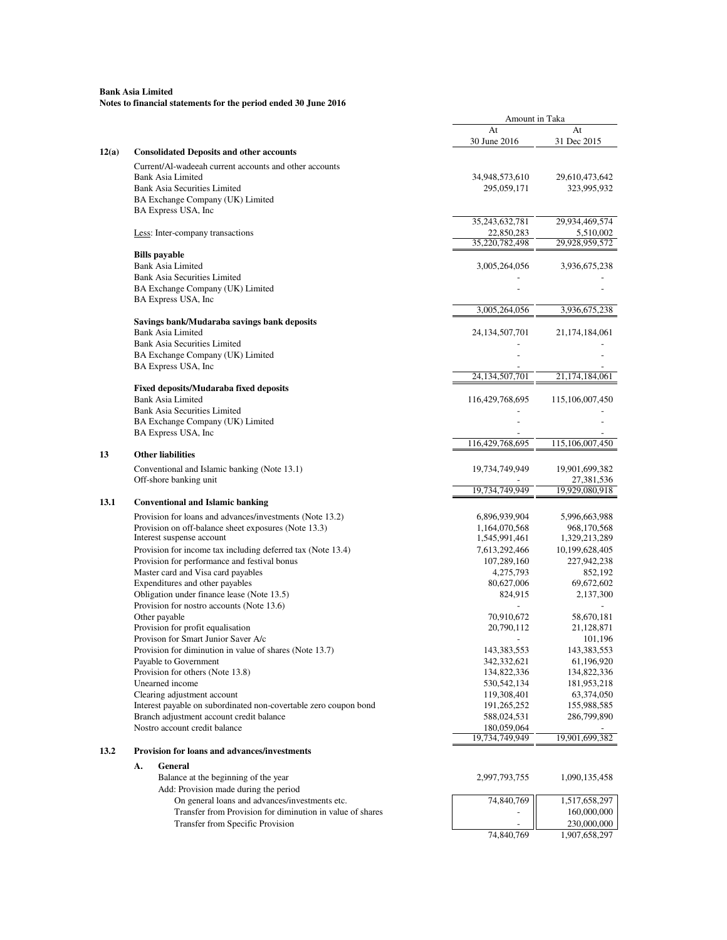|       |                                                                                   | Amount in Taka                 |                               |
|-------|-----------------------------------------------------------------------------------|--------------------------------|-------------------------------|
|       |                                                                                   | At                             | At                            |
|       |                                                                                   | 30 June 2016                   | 31 Dec 2015                   |
| 12(a) | <b>Consolidated Deposits and other accounts</b>                                   |                                |                               |
|       | Current/Al-wadeeah current accounts and other accounts                            |                                |                               |
|       | <b>Bank Asia Limited</b>                                                          | 34,948,573,610                 | 29,610,473,642                |
|       | <b>Bank Asia Securities Limited</b>                                               | 295,059,171                    | 323,995,932                   |
|       | BA Exchange Company (UK) Limited                                                  |                                |                               |
|       | BA Express USA, Inc                                                               |                                |                               |
|       |                                                                                   | 35,243,632,781                 | 29,934,469,574                |
|       | Less: Inter-company transactions                                                  | 22,850,283                     | 5,510,002                     |
|       |                                                                                   | 35,220,782,498                 | 29,928,959,572                |
|       | <b>Bills payable</b>                                                              |                                |                               |
|       | <b>Bank Asia Limited</b>                                                          | 3,005,264,056                  | 3,936,675,238                 |
|       | <b>Bank Asia Securities Limited</b>                                               |                                |                               |
|       | BA Exchange Company (UK) Limited                                                  |                                |                               |
|       | BA Express USA, Inc                                                               |                                |                               |
|       |                                                                                   | 3,005,264,056                  | 3,936,675,238                 |
|       | Savings bank/Mudaraba savings bank deposits                                       |                                |                               |
|       | <b>Bank Asia Limited</b>                                                          | 24, 134, 507, 701              | 21, 174, 184, 061             |
|       | <b>Bank Asia Securities Limited</b>                                               |                                |                               |
|       | BA Exchange Company (UK) Limited                                                  |                                |                               |
|       | BA Express USA, Inc.                                                              |                                |                               |
|       |                                                                                   | 24, 134, 507, 701              | 21,174,184,061                |
|       | <b>Fixed deposits/Mudaraba fixed deposits</b>                                     |                                |                               |
|       | <b>Bank Asia Limited</b>                                                          | 116,429,768,695                | 115,106,007,450               |
|       | <b>Bank Asia Securities Limited</b>                                               |                                |                               |
|       | BA Exchange Company (UK) Limited                                                  |                                |                               |
|       | BA Express USA, Inc.                                                              |                                |                               |
|       |                                                                                   | 116,429,768,695                | 115,106,007,450               |
| 13    | <b>Other liabilities</b>                                                          |                                |                               |
|       | Conventional and Islamic banking (Note 13.1)                                      | 19,734,749,949                 | 19,901,699,382                |
|       | Off-shore banking unit                                                            |                                | 27,381,536                    |
|       |                                                                                   | 19,734,749,949                 | 19,929,080,918                |
| 13.1  | <b>Conventional and Islamic banking</b>                                           |                                |                               |
|       |                                                                                   |                                |                               |
|       | Provision for loans and advances/investments (Note 13.2)                          | 6,896,939,904                  | 5,996,663,988                 |
|       | Provision on off-balance sheet exposures (Note 13.3)<br>Interest suspense account | 1,164,070,568<br>1,545,991,461 | 968,170,568<br>1,329,213,289  |
|       | Provision for income tax including deferred tax (Note 13.4)                       |                                |                               |
|       | Provision for performance and festival bonus                                      | 7,613,292,466<br>107,289,160   | 10,199,628,405<br>227,942,238 |
|       | Master card and Visa card payables                                                | 4,275,793                      | 852,192                       |
|       | Expenditures and other payables                                                   | 80,627,006                     | 69,672,602                    |
|       | Obligation under finance lease (Note 13.5)                                        | 824,915                        | 2,137,300                     |
|       | Provision for nostro accounts (Note 13.6)                                         |                                |                               |
|       | Other payable                                                                     | 70,910,672                     | 58,670,181                    |
|       | Provision for profit equalisation                                                 | 20,790,112                     | 21,128,871                    |
|       | Provison for Smart Junior Saver A/c                                               |                                | 101,196                       |
|       | Provision for diminution in value of shares (Note 13.7)                           | 143, 383, 553                  | 143,383,553                   |
|       | Payable to Government                                                             | 342,332,621                    | 61,196,920                    |
|       | Provision for others (Note 13.8)                                                  | 134,822,336                    | 134,822,336                   |
|       | Unearned income                                                                   | 530, 542, 134                  | 181,953,218                   |
|       | Clearing adjustment account                                                       | 119,308,401                    | 63,374,050                    |
|       | Interest payable on subordinated non-covertable zero coupon bond                  | 191,265,252                    | 155,988,585                   |
|       | Branch adjustment account credit balance                                          | 588,024,531                    | 286,799,890                   |
|       | Nostro account credit balance                                                     | 180,059,064                    |                               |
|       |                                                                                   | 19,734,749,949                 | 19,901,699,382                |
| 13.2  | <b>Provision for loans and advances/investments</b>                               |                                |                               |
|       |                                                                                   |                                |                               |
|       | General<br>А.                                                                     |                                |                               |
|       | Balance at the beginning of the year                                              | 2,997,793,755                  | 1,090,135,458                 |
|       | Add: Provision made during the period                                             |                                |                               |
|       | On general loans and advances/investments etc.                                    | 74,840,769                     | 1,517,658,297                 |
|       | Transfer from Provision for diminution in value of shares                         |                                | 160,000,000                   |
|       | <b>Transfer from Specific Provision</b>                                           |                                | 230,000,000                   |
|       |                                                                                   | 74,840,769                     | 1,907,658,297                 |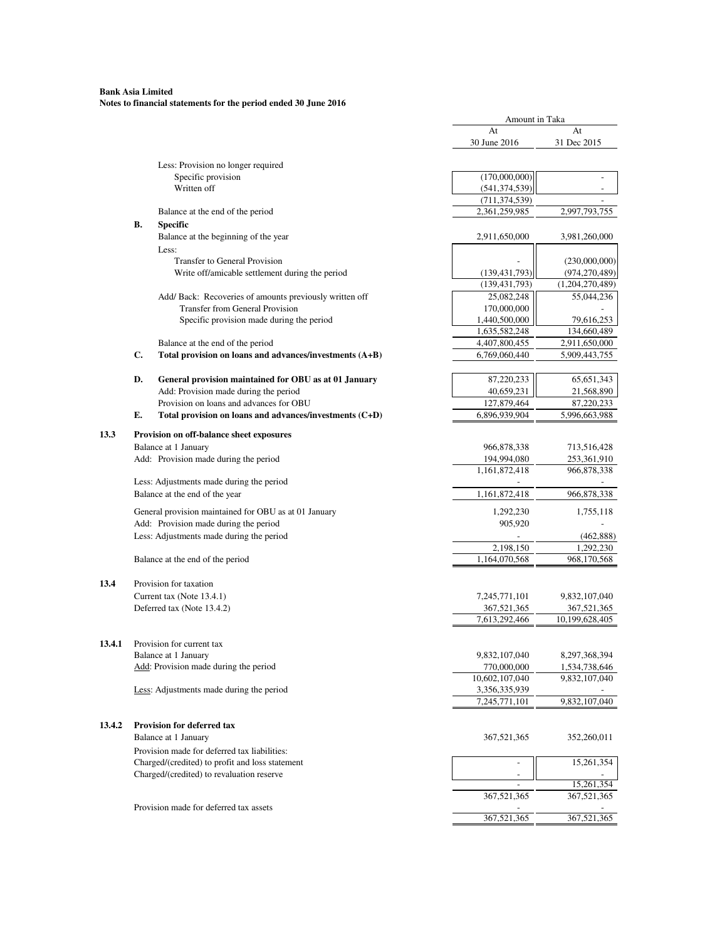## **Bank Asia Limited Notes to financial statements for the period ended 30 June 2016**

|        |    |                                                          | Amount in Taka                     |                                  |
|--------|----|----------------------------------------------------------|------------------------------------|----------------------------------|
|        |    |                                                          | At                                 | At                               |
|        |    |                                                          | 30 June 2016                       | 31 Dec 2015                      |
|        |    |                                                          |                                    |                                  |
|        |    | Less: Provision no longer required<br>Specific provision |                                    | $\overline{a}$                   |
|        |    | Written off                                              | (170,000,000)<br>(541, 374, 539)   |                                  |
|        |    |                                                          | (711, 374, 539)                    |                                  |
|        |    | Balance at the end of the period                         | 2,361,259,985                      | 2,997,793,755                    |
|        | В. |                                                          |                                    |                                  |
|        |    | <b>Specific</b><br>Balance at the beginning of the year  |                                    |                                  |
|        |    |                                                          | 2,911,650,000                      | 3,981,260,000                    |
|        |    | Less:<br>Transfer to General Provision                   |                                    |                                  |
|        |    | Write off/amicable settlement during the period          |                                    | (230,000,000)<br>(974, 270, 489) |
|        |    |                                                          | (139, 431, 793)<br>(139, 431, 793) | (1,204,270,489)                  |
|        |    | Add/Back: Recoveries of amounts previously written off   | 25,082,248                         | 55,044,236                       |
|        |    | Transfer from General Provision                          | 170,000,000                        |                                  |
|        |    | Specific provision made during the period                | 1,440,500,000                      | 79,616,253                       |
|        |    |                                                          | 1,635,582,248                      | 134,660,489                      |
|        |    | Balance at the end of the period                         | 4,407,800,455                      | 2,911,650,000                    |
|        | C. | Total provision on loans and advances/investments (A+B)  | 6,769,060,440                      | 5,909,443,755                    |
|        |    |                                                          |                                    |                                  |
|        | D. | General provision maintained for OBU as at 01 January    | 87,220,233                         | 65, 651, 343                     |
|        |    | Add: Provision made during the period                    | 40,659,231                         | 21,568,890                       |
|        |    | Provision on loans and advances for OBU                  | 127,879,464                        | 87,220,233                       |
|        | Е. | Total provision on loans and advances/investments (C+D)  | 6,896,939,904                      | 5,996,663,988                    |
|        |    |                                                          |                                    |                                  |
| 13.3   |    | Provision on off-balance sheet exposures                 |                                    |                                  |
|        |    | Balance at 1 January                                     | 966,878,338                        | 713,516,428                      |
|        |    | Add: Provision made during the period                    | 194,994,080                        | 253,361,910                      |
|        |    |                                                          | 1,161,872,418                      | 966,878,338                      |
|        |    | Less: Adjustments made during the period                 |                                    |                                  |
|        |    | Balance at the end of the year                           | 1,161,872,418                      | 966,878,338                      |
|        |    | General provision maintained for OBU as at 01 January    | 1,292,230                          | 1,755,118                        |
|        |    | Add: Provision made during the period                    | 905,920                            |                                  |
|        |    | Less: Adjustments made during the period                 |                                    | (462, 888)                       |
|        |    |                                                          | 2,198,150                          | 1,292,230                        |
|        |    | Balance at the end of the period                         | 1,164,070,568                      | 968,170,568                      |
|        |    |                                                          |                                    |                                  |
| 13.4   |    | Provision for taxation                                   |                                    |                                  |
|        |    | Current tax (Note 13.4.1)                                | 7,245,771,101                      | 9,832,107,040                    |
|        |    | Deferred tax (Note 13.4.2)                               | 367,521,365                        | 367,521,365                      |
|        |    |                                                          | 7,613,292,466                      | 10,199,628,405                   |
|        |    |                                                          |                                    |                                  |
| 13.4.1 |    | Provision for current tax                                |                                    |                                  |
|        |    | Balance at 1 January                                     | 9,832,107,040                      | 8,297,368,394                    |
|        |    | Add: Provision made during the period                    | 770,000,000                        | 1,534,738,646                    |
|        |    |                                                          | 10,602,107,040                     | 9,832,107,040                    |
|        |    | Less: Adjustments made during the period                 | 3,356,335,939                      |                                  |
|        |    |                                                          | 7,245,771,101                      | 9,832,107,040                    |
|        |    |                                                          |                                    |                                  |
| 13.4.2 |    | <b>Provision for deferred tax</b>                        |                                    |                                  |
|        |    | Balance at 1 January                                     | 367,521,365                        | 352,260,011                      |
|        |    | Provision made for deferred tax liabilities:             |                                    |                                  |
|        |    | Charged/(credited) to profit and loss statement          |                                    | 15,261,354                       |
|        |    | Charged/(credited) to revaluation reserve                | $\overline{a}$                     | 15,261,354                       |
|        |    |                                                          | 367,521,365                        | 367,521,365                      |
|        |    | Provision made for deferred tax assets                   |                                    |                                  |
|        |    |                                                          | 367,521,365                        | 367,521,365                      |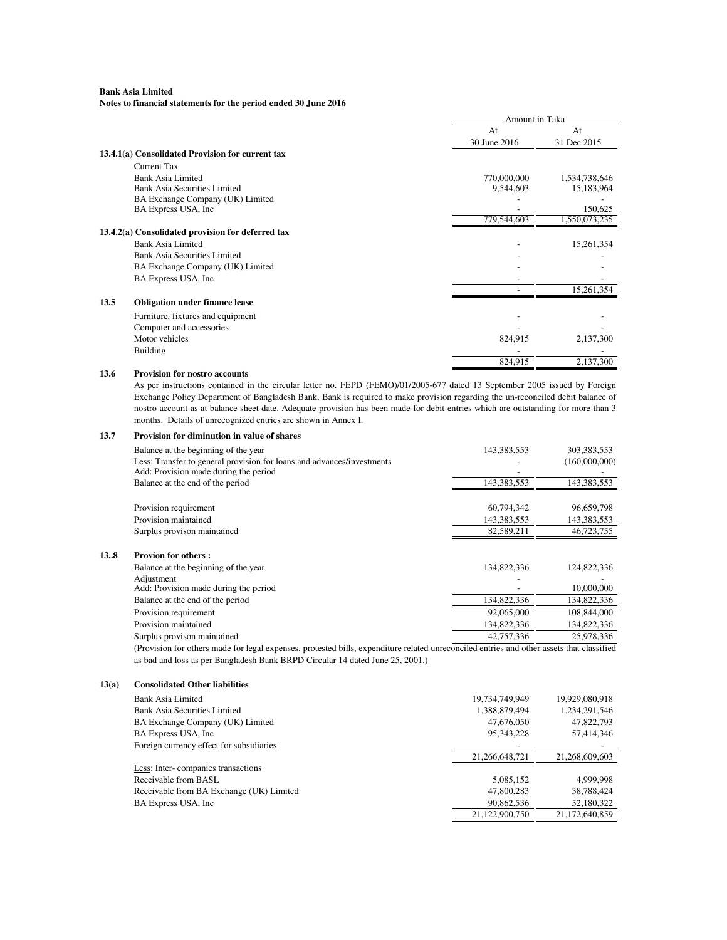**Notes to financial statements for the period ended 30 June 2016**

|      |                                                   | Amount in Taka |               |
|------|---------------------------------------------------|----------------|---------------|
|      |                                                   | At             | At            |
|      |                                                   | 30 June 2016   | 31 Dec 2015   |
|      | 13.4.1(a) Consolidated Provision for current tax  |                |               |
|      | Current Tax                                       |                |               |
|      | Bank Asia Limited                                 | 770,000,000    | 1,534,738,646 |
|      | <b>Bank Asia Securities Limited</b>               | 9,544,603      | 15,183,964    |
|      | BA Exchange Company (UK) Limited                  |                |               |
|      | BA Express USA, Inc.                              |                | 150,625       |
|      |                                                   | 779,544,603    | 1,550,073,235 |
|      | 13.4.2(a) Consolidated provision for deferred tax |                |               |
|      | Bank Asia Limited                                 |                | 15,261,354    |
|      | <b>Bank Asia Securities Limited</b>               |                |               |
|      | BA Exchange Company (UK) Limited                  |                |               |
|      | BA Express USA, Inc.                              |                |               |
|      |                                                   |                | 15,261,354    |
| 13.5 | <b>Obligation under finance lease</b>             |                |               |
|      | Furniture, fixtures and equipment                 |                |               |
|      | Computer and accessories                          |                |               |
|      | Motor vehicles                                    | 824,915        | 2,137,300     |
|      | <b>Building</b>                                   |                |               |
|      |                                                   | 824,915        | 2,137,300     |
| 13.6 | <b>Provision for nostro accounts</b>              |                |               |

As per instructions contained in the circular letter no. FEPD (FEMO)/01/2005-677 dated 13 September 2005 issued by Foreign Exchange Policy Department of Bangladesh Bank, Bank is required to make provision regarding the un-reconciled debit balance of nostro account as at balance sheet date. Adequate provision has been made for debit entries which are outstanding for more than 3 months. Details of unrecognized entries are shown in Annex I.

| 13.7 | <b>Provision for diminution in value of shares</b>                                                              |             |               |
|------|-----------------------------------------------------------------------------------------------------------------|-------------|---------------|
|      | Balance at the beginning of the year                                                                            | 143,383,553 | 303,383,553   |
|      | Less: Transfer to general provision for loans and advances/investments<br>Add: Provision made during the period |             | (160,000,000) |
|      | Balance at the end of the period                                                                                | 143,383,553 | 143,383,553   |
|      | Provision requirement                                                                                           | 60,794,342  | 96,659,798    |
|      | Provision maintained                                                                                            | 143,383,553 | 143,383,553   |
|      | Surplus provison maintained                                                                                     | 82,589,211  | 46,723,755    |
| 138  | <b>Provion for others:</b>                                                                                      |             |               |
|      | Balance at the beginning of the year                                                                            | 134,822,336 | 124,822,336   |
|      | Adjustment                                                                                                      |             |               |
|      | Add: Provision made during the period                                                                           |             | 10,000,000    |
|      | Balance at the end of the period                                                                                | 134,822,336 | 134,822,336   |
|      | Provision requirement                                                                                           | 92,065,000  | 108,844,000   |
|      | Provision maintained                                                                                            | 134,822,336 | 134,822,336   |
|      | Surplus provison maintained                                                                                     | 42,757,336  | 25,978,336    |
|      |                                                                                                                 |             |               |

(Provision for others made for legal expenses, protested bills, expenditure related unreconciled entries and other assets that classified as bad and loss as per Bangladesh Bank BRPD Circular 14 dated June 25, 2001.)

#### **13(a) Consolidated Other liabilities**

| Bank Asia Limited                        | 19,734,749,949 | 19,929,080,918 |
|------------------------------------------|----------------|----------------|
| Bank Asia Securities Limited             | 1,388,879,494  | 1,234,291,546  |
| BA Exchange Company (UK) Limited         | 47,676,050     | 47,822,793     |
| BA Express USA, Inc.                     | 95, 343, 228   | 57,414,346     |
| Foreign currency effect for subsidiaries |                |                |
|                                          | 21.266.648.721 | 21.268.609.603 |
| Less: Inter-companies transactions       |                |                |
| Receivable from BASL                     | 5,085,152      | 4.999.998      |
| Receivable from BA Exchange (UK) Limited | 47,800,283     | 38,788,424     |
| BA Express USA, Inc.                     | 90,862,536     | 52,180,322     |
|                                          | 21,122,900,750 | 21.172.640.859 |
|                                          |                |                |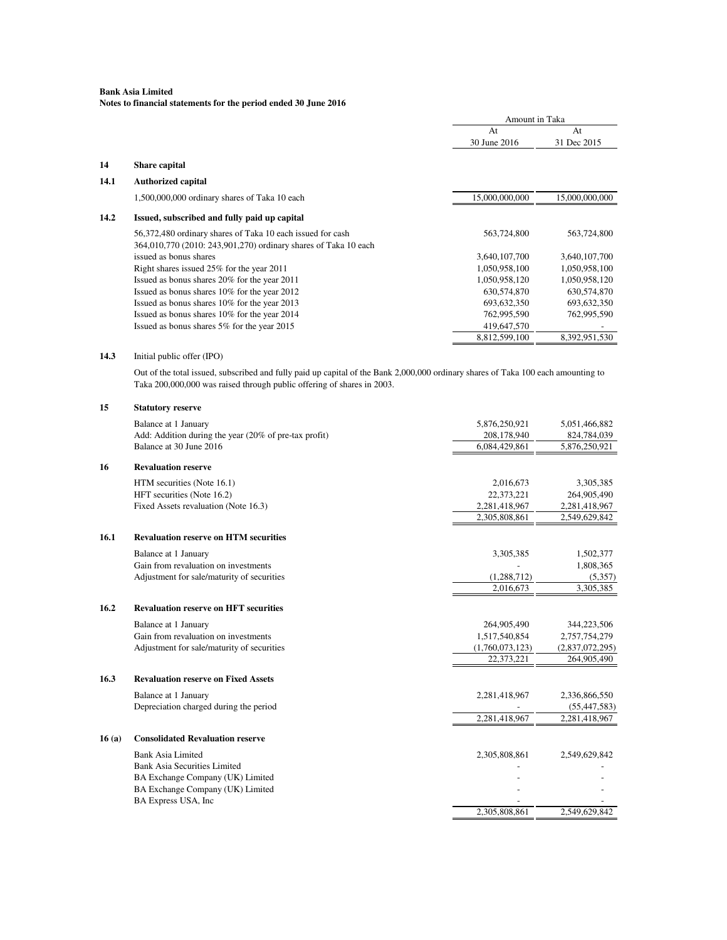|       |                                                                                                                                                                                                             | Amount in Taka     |                 |
|-------|-------------------------------------------------------------------------------------------------------------------------------------------------------------------------------------------------------------|--------------------|-----------------|
|       |                                                                                                                                                                                                             | At<br>30 June 2016 | At              |
|       |                                                                                                                                                                                                             |                    | 31 Dec 2015     |
| 14    | <b>Share capital</b>                                                                                                                                                                                        |                    |                 |
| 14.1  | <b>Authorized capital</b>                                                                                                                                                                                   |                    |                 |
|       | 1,500,000,000 ordinary shares of Taka 10 each                                                                                                                                                               | 15,000,000,000     | 15,000,000,000  |
| 14.2  | Issued, subscribed and fully paid up capital                                                                                                                                                                |                    |                 |
|       | 56,372,480 ordinary shares of Taka 10 each issued for cash                                                                                                                                                  | 563,724,800        | 563,724,800     |
|       | 364,010,770 (2010: 243,901,270) ordinary shares of Taka 10 each                                                                                                                                             |                    |                 |
|       | issued as bonus shares                                                                                                                                                                                      | 3,640,107,700      | 3,640,107,700   |
|       | Right shares issued 25% for the year 2011                                                                                                                                                                   | 1,050,958,100      | 1,050,958,100   |
|       | Issued as bonus shares 20% for the year 2011                                                                                                                                                                | 1,050,958,120      | 1,050,958,120   |
|       | Issued as bonus shares 10% for the year 2012                                                                                                                                                                | 630,574,870        | 630,574,870     |
|       | Issued as bonus shares 10% for the year 2013                                                                                                                                                                | 693, 632, 350      | 693, 632, 350   |
|       | Issued as bonus shares 10% for the year 2014                                                                                                                                                                | 762,995,590        | 762,995,590     |
|       | Issued as bonus shares 5% for the year 2015                                                                                                                                                                 | 419,647,570        |                 |
|       |                                                                                                                                                                                                             | 8,812,599,100      | 8,392,951,530   |
| 14.3  | Initial public offer (IPO)                                                                                                                                                                                  |                    |                 |
|       | Out of the total issued, subscribed and fully paid up capital of the Bank 2,000,000 ordinary shares of Taka 100 each amounting to<br>Taka 200,000,000 was raised through public offering of shares in 2003. |                    |                 |
| 15    | <b>Statutory reserve</b>                                                                                                                                                                                    |                    |                 |
|       | Balance at 1 January                                                                                                                                                                                        | 5,876,250,921      | 5,051,466,882   |
|       | Add: Addition during the year (20% of pre-tax profit)                                                                                                                                                       | 208,178,940        | 824,784,039     |
|       | Balance at 30 June 2016                                                                                                                                                                                     | 6,084,429,861      | 5,876,250,921   |
| 16    | <b>Revaluation reserve</b>                                                                                                                                                                                  |                    |                 |
|       | HTM securities (Note 16.1)                                                                                                                                                                                  | 2,016,673          | 3,305,385       |
|       | HFT securities (Note 16.2)                                                                                                                                                                                  | 22,373,221         | 264,905,490     |
|       | Fixed Assets revaluation (Note 16.3)                                                                                                                                                                        | 2,281,418,967      | 2,281,418,967   |
|       |                                                                                                                                                                                                             | 2,305,808,861      | 2,549,629,842   |
| 16.1  | <b>Revaluation reserve on HTM securities</b>                                                                                                                                                                |                    |                 |
|       | Balance at 1 January                                                                                                                                                                                        | 3,305,385          | 1,502,377       |
|       | Gain from revaluation on investments                                                                                                                                                                        |                    | 1,808,365       |
|       | Adjustment for sale/maturity of securities                                                                                                                                                                  | (1,288,712)        | (5,357)         |
|       |                                                                                                                                                                                                             | 2,016,673          | 3,305,385       |
| 16.2  | <b>Revaluation reserve on HFT securities</b>                                                                                                                                                                |                    |                 |
|       | Balance at 1 January                                                                                                                                                                                        | 264,905,490        | 344,223,506     |
|       | Gain from revaluation on investments                                                                                                                                                                        | 1,517,540,854      | 2,757,754,279   |
|       | Adjustment for sale/maturity of securities                                                                                                                                                                  | (1,760,073,123)    | (2,837,072,295) |
|       |                                                                                                                                                                                                             | 22,373,221         | 264,905,490     |
| 16.3  | <b>Revaluation reserve on Fixed Assets</b>                                                                                                                                                                  |                    |                 |
|       | Balance at 1 January                                                                                                                                                                                        | 2,281,418,967      | 2,336,866,550   |
|       | Depreciation charged during the period                                                                                                                                                                      |                    | (55, 447, 583)  |
|       |                                                                                                                                                                                                             | 2,281,418,967      | 2,281,418,967   |
| 16(a) | <b>Consolidated Revaluation reserve</b>                                                                                                                                                                     |                    |                 |
|       | <b>Bank Asia Limited</b>                                                                                                                                                                                    | 2,305,808,861      | 2,549,629,842   |
|       | <b>Bank Asia Securities Limited</b>                                                                                                                                                                         |                    |                 |
|       | BA Exchange Company (UK) Limited                                                                                                                                                                            |                    |                 |
|       | BA Exchange Company (UK) Limited                                                                                                                                                                            |                    |                 |
|       | BA Express USA, Inc                                                                                                                                                                                         |                    |                 |
|       |                                                                                                                                                                                                             | 2,305,808,861      | 2,549,629,842   |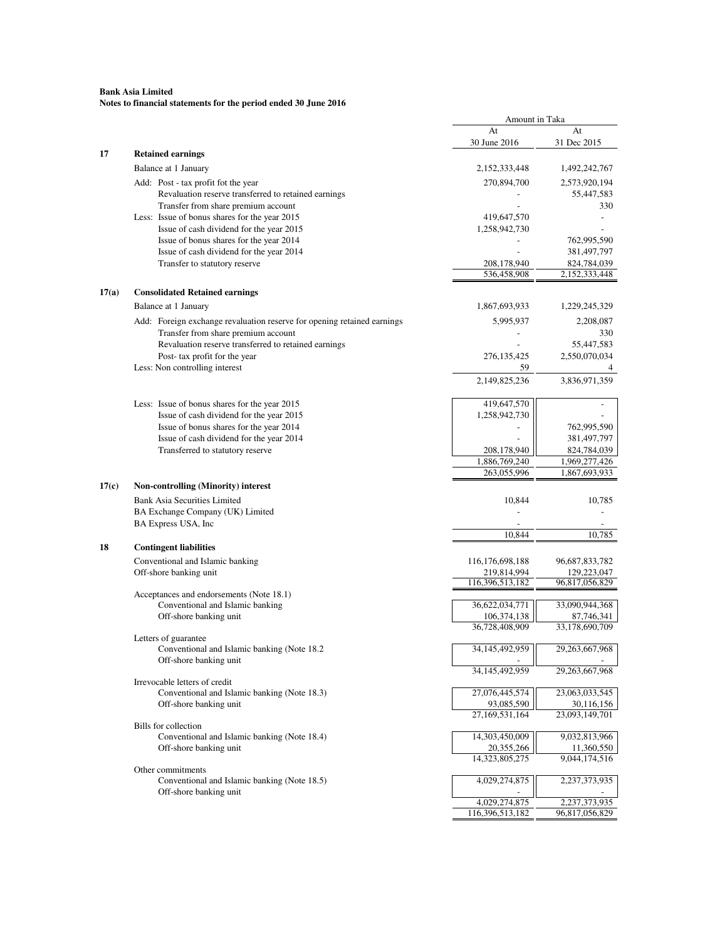| At<br>At<br>30 June 2016<br>31 Dec 2015<br>17<br><b>Retained earnings</b><br>Balance at 1 January<br>2,152,333,448<br>1,492,242,767<br>Add: Post - tax profit fot the year<br>270,894,700<br>2,573,920,194<br>Revaluation reserve transferred to retained earnings<br>55,447,583<br>Transfer from share premium account<br>330<br>Less: Issue of bonus shares for the year 2015<br>419,647,570<br>Issue of cash dividend for the year 2015<br>1,258,942,730<br>Issue of bonus shares for the year 2014<br>762,995,590<br>Issue of cash dividend for the year 2014<br>381,497,797<br>Transfer to statutory reserve<br>208,178,940<br>824,784,039<br>536,458,908<br>2,152,333,448<br>17(a)<br><b>Consolidated Retained earnings</b><br>Balance at 1 January<br>1,867,693,933<br>1,229,245,329<br>Add: Foreign exchange revaluation reserve for opening retained earnings<br>5,995,937<br>2,208,087<br>Transfer from share premium account<br>330<br>Revaluation reserve transferred to retained earnings<br>55,447,583<br>Post-tax profit for the year<br>276, 135, 425<br>2,550,070,034<br>Less: Non controlling interest<br>59<br>4<br>2,149,825,236<br>3,836,971,359<br>Less: Issue of bonus shares for the year 2015<br>419,647,570<br>Issue of cash dividend for the year 2015<br>1,258,942,730<br>Issue of bonus shares for the year 2014<br>762,995,590<br>Issue of cash dividend for the year 2014<br>381,497,797<br>208,178,940<br>824,784,039<br>Transferred to statutory reserve<br>1,886,769,240<br>1,969,277,426<br>263,055,996<br>1,867,693,933<br>17(c)<br><b>Non-controlling (Minority) interest</b><br><b>Bank Asia Securities Limited</b><br>10,844<br>10,785<br>BA Exchange Company (UK) Limited<br>BA Express USA, Inc<br>$\overline{a}$<br>10,844<br>10,785<br>18<br><b>Contingent liabilities</b><br>Conventional and Islamic banking<br>116, 176, 698, 188<br>96,687,833,782<br>Off-shore banking unit<br>219,814,994<br>129,223,047<br>116,396,513,182<br>96,817,056,829<br>Acceptances and endorsements (Note 18.1)<br>36,622,034,771<br>33,090,944,368<br>Conventional and Islamic banking<br>Off-shore banking unit<br>106,374,138<br>87,746,341<br>36,728,408,909<br>33,178,690,709<br>Letters of guarantee<br>Conventional and Islamic banking (Note 18.2)<br>34,145,492,959<br>29,263,667,968<br>Off-shore banking unit<br>34, 145, 492, 959<br>29,263,667,968<br>Irrevocable letters of credit<br>27,076,445,574<br>23,063,033,545<br>Conventional and Islamic banking (Note 18.3)<br>Off-shore banking unit<br>93,085,590<br>30,116,156<br>27,169,531,164<br>23,093,149,701<br><b>Bills</b> for collection<br>Conventional and Islamic banking (Note 18.4)<br>14,303,450,009<br>9,032,813,966<br>Off-shore banking unit<br>20,355,266<br>11,360,550<br>14,323,805,275<br>9,044,174,516<br>Other commitments<br>Conventional and Islamic banking (Note 18.5)<br>4,029,274,875<br>2,237,373,935<br>Off-shore banking unit<br>2,237,373,935<br>4,029,274,875<br>116,396,513,182<br>96,817,056,829 |  | Amount in Taka |  |
|------------------------------------------------------------------------------------------------------------------------------------------------------------------------------------------------------------------------------------------------------------------------------------------------------------------------------------------------------------------------------------------------------------------------------------------------------------------------------------------------------------------------------------------------------------------------------------------------------------------------------------------------------------------------------------------------------------------------------------------------------------------------------------------------------------------------------------------------------------------------------------------------------------------------------------------------------------------------------------------------------------------------------------------------------------------------------------------------------------------------------------------------------------------------------------------------------------------------------------------------------------------------------------------------------------------------------------------------------------------------------------------------------------------------------------------------------------------------------------------------------------------------------------------------------------------------------------------------------------------------------------------------------------------------------------------------------------------------------------------------------------------------------------------------------------------------------------------------------------------------------------------------------------------------------------------------------------------------------------------------------------------------------------------------------------------------------------------------------------------------------------------------------------------------------------------------------------------------------------------------------------------------------------------------------------------------------------------------------------------------------------------------------------------------------------------------------------------------------------------------------------------------------------------------------------------------------------------------------------------------------------------------------------------------------------------------------------------------------------------------------------------------------------------------------------------------------------------------------------------------------------------------------------------------------------------------------------------------------------------------------------------------------|--|----------------|--|
|                                                                                                                                                                                                                                                                                                                                                                                                                                                                                                                                                                                                                                                                                                                                                                                                                                                                                                                                                                                                                                                                                                                                                                                                                                                                                                                                                                                                                                                                                                                                                                                                                                                                                                                                                                                                                                                                                                                                                                                                                                                                                                                                                                                                                                                                                                                                                                                                                                                                                                                                                                                                                                                                                                                                                                                                                                                                                                                                                                                                                              |  |                |  |
|                                                                                                                                                                                                                                                                                                                                                                                                                                                                                                                                                                                                                                                                                                                                                                                                                                                                                                                                                                                                                                                                                                                                                                                                                                                                                                                                                                                                                                                                                                                                                                                                                                                                                                                                                                                                                                                                                                                                                                                                                                                                                                                                                                                                                                                                                                                                                                                                                                                                                                                                                                                                                                                                                                                                                                                                                                                                                                                                                                                                                              |  |                |  |
|                                                                                                                                                                                                                                                                                                                                                                                                                                                                                                                                                                                                                                                                                                                                                                                                                                                                                                                                                                                                                                                                                                                                                                                                                                                                                                                                                                                                                                                                                                                                                                                                                                                                                                                                                                                                                                                                                                                                                                                                                                                                                                                                                                                                                                                                                                                                                                                                                                                                                                                                                                                                                                                                                                                                                                                                                                                                                                                                                                                                                              |  |                |  |
|                                                                                                                                                                                                                                                                                                                                                                                                                                                                                                                                                                                                                                                                                                                                                                                                                                                                                                                                                                                                                                                                                                                                                                                                                                                                                                                                                                                                                                                                                                                                                                                                                                                                                                                                                                                                                                                                                                                                                                                                                                                                                                                                                                                                                                                                                                                                                                                                                                                                                                                                                                                                                                                                                                                                                                                                                                                                                                                                                                                                                              |  |                |  |
|                                                                                                                                                                                                                                                                                                                                                                                                                                                                                                                                                                                                                                                                                                                                                                                                                                                                                                                                                                                                                                                                                                                                                                                                                                                                                                                                                                                                                                                                                                                                                                                                                                                                                                                                                                                                                                                                                                                                                                                                                                                                                                                                                                                                                                                                                                                                                                                                                                                                                                                                                                                                                                                                                                                                                                                                                                                                                                                                                                                                                              |  |                |  |
|                                                                                                                                                                                                                                                                                                                                                                                                                                                                                                                                                                                                                                                                                                                                                                                                                                                                                                                                                                                                                                                                                                                                                                                                                                                                                                                                                                                                                                                                                                                                                                                                                                                                                                                                                                                                                                                                                                                                                                                                                                                                                                                                                                                                                                                                                                                                                                                                                                                                                                                                                                                                                                                                                                                                                                                                                                                                                                                                                                                                                              |  |                |  |
|                                                                                                                                                                                                                                                                                                                                                                                                                                                                                                                                                                                                                                                                                                                                                                                                                                                                                                                                                                                                                                                                                                                                                                                                                                                                                                                                                                                                                                                                                                                                                                                                                                                                                                                                                                                                                                                                                                                                                                                                                                                                                                                                                                                                                                                                                                                                                                                                                                                                                                                                                                                                                                                                                                                                                                                                                                                                                                                                                                                                                              |  |                |  |
|                                                                                                                                                                                                                                                                                                                                                                                                                                                                                                                                                                                                                                                                                                                                                                                                                                                                                                                                                                                                                                                                                                                                                                                                                                                                                                                                                                                                                                                                                                                                                                                                                                                                                                                                                                                                                                                                                                                                                                                                                                                                                                                                                                                                                                                                                                                                                                                                                                                                                                                                                                                                                                                                                                                                                                                                                                                                                                                                                                                                                              |  |                |  |
|                                                                                                                                                                                                                                                                                                                                                                                                                                                                                                                                                                                                                                                                                                                                                                                                                                                                                                                                                                                                                                                                                                                                                                                                                                                                                                                                                                                                                                                                                                                                                                                                                                                                                                                                                                                                                                                                                                                                                                                                                                                                                                                                                                                                                                                                                                                                                                                                                                                                                                                                                                                                                                                                                                                                                                                                                                                                                                                                                                                                                              |  |                |  |
|                                                                                                                                                                                                                                                                                                                                                                                                                                                                                                                                                                                                                                                                                                                                                                                                                                                                                                                                                                                                                                                                                                                                                                                                                                                                                                                                                                                                                                                                                                                                                                                                                                                                                                                                                                                                                                                                                                                                                                                                                                                                                                                                                                                                                                                                                                                                                                                                                                                                                                                                                                                                                                                                                                                                                                                                                                                                                                                                                                                                                              |  |                |  |
|                                                                                                                                                                                                                                                                                                                                                                                                                                                                                                                                                                                                                                                                                                                                                                                                                                                                                                                                                                                                                                                                                                                                                                                                                                                                                                                                                                                                                                                                                                                                                                                                                                                                                                                                                                                                                                                                                                                                                                                                                                                                                                                                                                                                                                                                                                                                                                                                                                                                                                                                                                                                                                                                                                                                                                                                                                                                                                                                                                                                                              |  |                |  |
|                                                                                                                                                                                                                                                                                                                                                                                                                                                                                                                                                                                                                                                                                                                                                                                                                                                                                                                                                                                                                                                                                                                                                                                                                                                                                                                                                                                                                                                                                                                                                                                                                                                                                                                                                                                                                                                                                                                                                                                                                                                                                                                                                                                                                                                                                                                                                                                                                                                                                                                                                                                                                                                                                                                                                                                                                                                                                                                                                                                                                              |  |                |  |
|                                                                                                                                                                                                                                                                                                                                                                                                                                                                                                                                                                                                                                                                                                                                                                                                                                                                                                                                                                                                                                                                                                                                                                                                                                                                                                                                                                                                                                                                                                                                                                                                                                                                                                                                                                                                                                                                                                                                                                                                                                                                                                                                                                                                                                                                                                                                                                                                                                                                                                                                                                                                                                                                                                                                                                                                                                                                                                                                                                                                                              |  |                |  |
|                                                                                                                                                                                                                                                                                                                                                                                                                                                                                                                                                                                                                                                                                                                                                                                                                                                                                                                                                                                                                                                                                                                                                                                                                                                                                                                                                                                                                                                                                                                                                                                                                                                                                                                                                                                                                                                                                                                                                                                                                                                                                                                                                                                                                                                                                                                                                                                                                                                                                                                                                                                                                                                                                                                                                                                                                                                                                                                                                                                                                              |  |                |  |
|                                                                                                                                                                                                                                                                                                                                                                                                                                                                                                                                                                                                                                                                                                                                                                                                                                                                                                                                                                                                                                                                                                                                                                                                                                                                                                                                                                                                                                                                                                                                                                                                                                                                                                                                                                                                                                                                                                                                                                                                                                                                                                                                                                                                                                                                                                                                                                                                                                                                                                                                                                                                                                                                                                                                                                                                                                                                                                                                                                                                                              |  |                |  |
|                                                                                                                                                                                                                                                                                                                                                                                                                                                                                                                                                                                                                                                                                                                                                                                                                                                                                                                                                                                                                                                                                                                                                                                                                                                                                                                                                                                                                                                                                                                                                                                                                                                                                                                                                                                                                                                                                                                                                                                                                                                                                                                                                                                                                                                                                                                                                                                                                                                                                                                                                                                                                                                                                                                                                                                                                                                                                                                                                                                                                              |  |                |  |
|                                                                                                                                                                                                                                                                                                                                                                                                                                                                                                                                                                                                                                                                                                                                                                                                                                                                                                                                                                                                                                                                                                                                                                                                                                                                                                                                                                                                                                                                                                                                                                                                                                                                                                                                                                                                                                                                                                                                                                                                                                                                                                                                                                                                                                                                                                                                                                                                                                                                                                                                                                                                                                                                                                                                                                                                                                                                                                                                                                                                                              |  |                |  |
|                                                                                                                                                                                                                                                                                                                                                                                                                                                                                                                                                                                                                                                                                                                                                                                                                                                                                                                                                                                                                                                                                                                                                                                                                                                                                                                                                                                                                                                                                                                                                                                                                                                                                                                                                                                                                                                                                                                                                                                                                                                                                                                                                                                                                                                                                                                                                                                                                                                                                                                                                                                                                                                                                                                                                                                                                                                                                                                                                                                                                              |  |                |  |
|                                                                                                                                                                                                                                                                                                                                                                                                                                                                                                                                                                                                                                                                                                                                                                                                                                                                                                                                                                                                                                                                                                                                                                                                                                                                                                                                                                                                                                                                                                                                                                                                                                                                                                                                                                                                                                                                                                                                                                                                                                                                                                                                                                                                                                                                                                                                                                                                                                                                                                                                                                                                                                                                                                                                                                                                                                                                                                                                                                                                                              |  |                |  |
|                                                                                                                                                                                                                                                                                                                                                                                                                                                                                                                                                                                                                                                                                                                                                                                                                                                                                                                                                                                                                                                                                                                                                                                                                                                                                                                                                                                                                                                                                                                                                                                                                                                                                                                                                                                                                                                                                                                                                                                                                                                                                                                                                                                                                                                                                                                                                                                                                                                                                                                                                                                                                                                                                                                                                                                                                                                                                                                                                                                                                              |  |                |  |
|                                                                                                                                                                                                                                                                                                                                                                                                                                                                                                                                                                                                                                                                                                                                                                                                                                                                                                                                                                                                                                                                                                                                                                                                                                                                                                                                                                                                                                                                                                                                                                                                                                                                                                                                                                                                                                                                                                                                                                                                                                                                                                                                                                                                                                                                                                                                                                                                                                                                                                                                                                                                                                                                                                                                                                                                                                                                                                                                                                                                                              |  |                |  |
|                                                                                                                                                                                                                                                                                                                                                                                                                                                                                                                                                                                                                                                                                                                                                                                                                                                                                                                                                                                                                                                                                                                                                                                                                                                                                                                                                                                                                                                                                                                                                                                                                                                                                                                                                                                                                                                                                                                                                                                                                                                                                                                                                                                                                                                                                                                                                                                                                                                                                                                                                                                                                                                                                                                                                                                                                                                                                                                                                                                                                              |  |                |  |
|                                                                                                                                                                                                                                                                                                                                                                                                                                                                                                                                                                                                                                                                                                                                                                                                                                                                                                                                                                                                                                                                                                                                                                                                                                                                                                                                                                                                                                                                                                                                                                                                                                                                                                                                                                                                                                                                                                                                                                                                                                                                                                                                                                                                                                                                                                                                                                                                                                                                                                                                                                                                                                                                                                                                                                                                                                                                                                                                                                                                                              |  |                |  |
|                                                                                                                                                                                                                                                                                                                                                                                                                                                                                                                                                                                                                                                                                                                                                                                                                                                                                                                                                                                                                                                                                                                                                                                                                                                                                                                                                                                                                                                                                                                                                                                                                                                                                                                                                                                                                                                                                                                                                                                                                                                                                                                                                                                                                                                                                                                                                                                                                                                                                                                                                                                                                                                                                                                                                                                                                                                                                                                                                                                                                              |  |                |  |
|                                                                                                                                                                                                                                                                                                                                                                                                                                                                                                                                                                                                                                                                                                                                                                                                                                                                                                                                                                                                                                                                                                                                                                                                                                                                                                                                                                                                                                                                                                                                                                                                                                                                                                                                                                                                                                                                                                                                                                                                                                                                                                                                                                                                                                                                                                                                                                                                                                                                                                                                                                                                                                                                                                                                                                                                                                                                                                                                                                                                                              |  |                |  |
|                                                                                                                                                                                                                                                                                                                                                                                                                                                                                                                                                                                                                                                                                                                                                                                                                                                                                                                                                                                                                                                                                                                                                                                                                                                                                                                                                                                                                                                                                                                                                                                                                                                                                                                                                                                                                                                                                                                                                                                                                                                                                                                                                                                                                                                                                                                                                                                                                                                                                                                                                                                                                                                                                                                                                                                                                                                                                                                                                                                                                              |  |                |  |
|                                                                                                                                                                                                                                                                                                                                                                                                                                                                                                                                                                                                                                                                                                                                                                                                                                                                                                                                                                                                                                                                                                                                                                                                                                                                                                                                                                                                                                                                                                                                                                                                                                                                                                                                                                                                                                                                                                                                                                                                                                                                                                                                                                                                                                                                                                                                                                                                                                                                                                                                                                                                                                                                                                                                                                                                                                                                                                                                                                                                                              |  |                |  |
|                                                                                                                                                                                                                                                                                                                                                                                                                                                                                                                                                                                                                                                                                                                                                                                                                                                                                                                                                                                                                                                                                                                                                                                                                                                                                                                                                                                                                                                                                                                                                                                                                                                                                                                                                                                                                                                                                                                                                                                                                                                                                                                                                                                                                                                                                                                                                                                                                                                                                                                                                                                                                                                                                                                                                                                                                                                                                                                                                                                                                              |  |                |  |
|                                                                                                                                                                                                                                                                                                                                                                                                                                                                                                                                                                                                                                                                                                                                                                                                                                                                                                                                                                                                                                                                                                                                                                                                                                                                                                                                                                                                                                                                                                                                                                                                                                                                                                                                                                                                                                                                                                                                                                                                                                                                                                                                                                                                                                                                                                                                                                                                                                                                                                                                                                                                                                                                                                                                                                                                                                                                                                                                                                                                                              |  |                |  |
|                                                                                                                                                                                                                                                                                                                                                                                                                                                                                                                                                                                                                                                                                                                                                                                                                                                                                                                                                                                                                                                                                                                                                                                                                                                                                                                                                                                                                                                                                                                                                                                                                                                                                                                                                                                                                                                                                                                                                                                                                                                                                                                                                                                                                                                                                                                                                                                                                                                                                                                                                                                                                                                                                                                                                                                                                                                                                                                                                                                                                              |  |                |  |
|                                                                                                                                                                                                                                                                                                                                                                                                                                                                                                                                                                                                                                                                                                                                                                                                                                                                                                                                                                                                                                                                                                                                                                                                                                                                                                                                                                                                                                                                                                                                                                                                                                                                                                                                                                                                                                                                                                                                                                                                                                                                                                                                                                                                                                                                                                                                                                                                                                                                                                                                                                                                                                                                                                                                                                                                                                                                                                                                                                                                                              |  |                |  |
|                                                                                                                                                                                                                                                                                                                                                                                                                                                                                                                                                                                                                                                                                                                                                                                                                                                                                                                                                                                                                                                                                                                                                                                                                                                                                                                                                                                                                                                                                                                                                                                                                                                                                                                                                                                                                                                                                                                                                                                                                                                                                                                                                                                                                                                                                                                                                                                                                                                                                                                                                                                                                                                                                                                                                                                                                                                                                                                                                                                                                              |  |                |  |
|                                                                                                                                                                                                                                                                                                                                                                                                                                                                                                                                                                                                                                                                                                                                                                                                                                                                                                                                                                                                                                                                                                                                                                                                                                                                                                                                                                                                                                                                                                                                                                                                                                                                                                                                                                                                                                                                                                                                                                                                                                                                                                                                                                                                                                                                                                                                                                                                                                                                                                                                                                                                                                                                                                                                                                                                                                                                                                                                                                                                                              |  |                |  |
|                                                                                                                                                                                                                                                                                                                                                                                                                                                                                                                                                                                                                                                                                                                                                                                                                                                                                                                                                                                                                                                                                                                                                                                                                                                                                                                                                                                                                                                                                                                                                                                                                                                                                                                                                                                                                                                                                                                                                                                                                                                                                                                                                                                                                                                                                                                                                                                                                                                                                                                                                                                                                                                                                                                                                                                                                                                                                                                                                                                                                              |  |                |  |
|                                                                                                                                                                                                                                                                                                                                                                                                                                                                                                                                                                                                                                                                                                                                                                                                                                                                                                                                                                                                                                                                                                                                                                                                                                                                                                                                                                                                                                                                                                                                                                                                                                                                                                                                                                                                                                                                                                                                                                                                                                                                                                                                                                                                                                                                                                                                                                                                                                                                                                                                                                                                                                                                                                                                                                                                                                                                                                                                                                                                                              |  |                |  |
|                                                                                                                                                                                                                                                                                                                                                                                                                                                                                                                                                                                                                                                                                                                                                                                                                                                                                                                                                                                                                                                                                                                                                                                                                                                                                                                                                                                                                                                                                                                                                                                                                                                                                                                                                                                                                                                                                                                                                                                                                                                                                                                                                                                                                                                                                                                                                                                                                                                                                                                                                                                                                                                                                                                                                                                                                                                                                                                                                                                                                              |  |                |  |
|                                                                                                                                                                                                                                                                                                                                                                                                                                                                                                                                                                                                                                                                                                                                                                                                                                                                                                                                                                                                                                                                                                                                                                                                                                                                                                                                                                                                                                                                                                                                                                                                                                                                                                                                                                                                                                                                                                                                                                                                                                                                                                                                                                                                                                                                                                                                                                                                                                                                                                                                                                                                                                                                                                                                                                                                                                                                                                                                                                                                                              |  |                |  |
|                                                                                                                                                                                                                                                                                                                                                                                                                                                                                                                                                                                                                                                                                                                                                                                                                                                                                                                                                                                                                                                                                                                                                                                                                                                                                                                                                                                                                                                                                                                                                                                                                                                                                                                                                                                                                                                                                                                                                                                                                                                                                                                                                                                                                                                                                                                                                                                                                                                                                                                                                                                                                                                                                                                                                                                                                                                                                                                                                                                                                              |  |                |  |
|                                                                                                                                                                                                                                                                                                                                                                                                                                                                                                                                                                                                                                                                                                                                                                                                                                                                                                                                                                                                                                                                                                                                                                                                                                                                                                                                                                                                                                                                                                                                                                                                                                                                                                                                                                                                                                                                                                                                                                                                                                                                                                                                                                                                                                                                                                                                                                                                                                                                                                                                                                                                                                                                                                                                                                                                                                                                                                                                                                                                                              |  |                |  |
|                                                                                                                                                                                                                                                                                                                                                                                                                                                                                                                                                                                                                                                                                                                                                                                                                                                                                                                                                                                                                                                                                                                                                                                                                                                                                                                                                                                                                                                                                                                                                                                                                                                                                                                                                                                                                                                                                                                                                                                                                                                                                                                                                                                                                                                                                                                                                                                                                                                                                                                                                                                                                                                                                                                                                                                                                                                                                                                                                                                                                              |  |                |  |
|                                                                                                                                                                                                                                                                                                                                                                                                                                                                                                                                                                                                                                                                                                                                                                                                                                                                                                                                                                                                                                                                                                                                                                                                                                                                                                                                                                                                                                                                                                                                                                                                                                                                                                                                                                                                                                                                                                                                                                                                                                                                                                                                                                                                                                                                                                                                                                                                                                                                                                                                                                                                                                                                                                                                                                                                                                                                                                                                                                                                                              |  |                |  |
|                                                                                                                                                                                                                                                                                                                                                                                                                                                                                                                                                                                                                                                                                                                                                                                                                                                                                                                                                                                                                                                                                                                                                                                                                                                                                                                                                                                                                                                                                                                                                                                                                                                                                                                                                                                                                                                                                                                                                                                                                                                                                                                                                                                                                                                                                                                                                                                                                                                                                                                                                                                                                                                                                                                                                                                                                                                                                                                                                                                                                              |  |                |  |
|                                                                                                                                                                                                                                                                                                                                                                                                                                                                                                                                                                                                                                                                                                                                                                                                                                                                                                                                                                                                                                                                                                                                                                                                                                                                                                                                                                                                                                                                                                                                                                                                                                                                                                                                                                                                                                                                                                                                                                                                                                                                                                                                                                                                                                                                                                                                                                                                                                                                                                                                                                                                                                                                                                                                                                                                                                                                                                                                                                                                                              |  |                |  |
|                                                                                                                                                                                                                                                                                                                                                                                                                                                                                                                                                                                                                                                                                                                                                                                                                                                                                                                                                                                                                                                                                                                                                                                                                                                                                                                                                                                                                                                                                                                                                                                                                                                                                                                                                                                                                                                                                                                                                                                                                                                                                                                                                                                                                                                                                                                                                                                                                                                                                                                                                                                                                                                                                                                                                                                                                                                                                                                                                                                                                              |  |                |  |
|                                                                                                                                                                                                                                                                                                                                                                                                                                                                                                                                                                                                                                                                                                                                                                                                                                                                                                                                                                                                                                                                                                                                                                                                                                                                                                                                                                                                                                                                                                                                                                                                                                                                                                                                                                                                                                                                                                                                                                                                                                                                                                                                                                                                                                                                                                                                                                                                                                                                                                                                                                                                                                                                                                                                                                                                                                                                                                                                                                                                                              |  |                |  |
|                                                                                                                                                                                                                                                                                                                                                                                                                                                                                                                                                                                                                                                                                                                                                                                                                                                                                                                                                                                                                                                                                                                                                                                                                                                                                                                                                                                                                                                                                                                                                                                                                                                                                                                                                                                                                                                                                                                                                                                                                                                                                                                                                                                                                                                                                                                                                                                                                                                                                                                                                                                                                                                                                                                                                                                                                                                                                                                                                                                                                              |  |                |  |
|                                                                                                                                                                                                                                                                                                                                                                                                                                                                                                                                                                                                                                                                                                                                                                                                                                                                                                                                                                                                                                                                                                                                                                                                                                                                                                                                                                                                                                                                                                                                                                                                                                                                                                                                                                                                                                                                                                                                                                                                                                                                                                                                                                                                                                                                                                                                                                                                                                                                                                                                                                                                                                                                                                                                                                                                                                                                                                                                                                                                                              |  |                |  |
|                                                                                                                                                                                                                                                                                                                                                                                                                                                                                                                                                                                                                                                                                                                                                                                                                                                                                                                                                                                                                                                                                                                                                                                                                                                                                                                                                                                                                                                                                                                                                                                                                                                                                                                                                                                                                                                                                                                                                                                                                                                                                                                                                                                                                                                                                                                                                                                                                                                                                                                                                                                                                                                                                                                                                                                                                                                                                                                                                                                                                              |  |                |  |
|                                                                                                                                                                                                                                                                                                                                                                                                                                                                                                                                                                                                                                                                                                                                                                                                                                                                                                                                                                                                                                                                                                                                                                                                                                                                                                                                                                                                                                                                                                                                                                                                                                                                                                                                                                                                                                                                                                                                                                                                                                                                                                                                                                                                                                                                                                                                                                                                                                                                                                                                                                                                                                                                                                                                                                                                                                                                                                                                                                                                                              |  |                |  |
|                                                                                                                                                                                                                                                                                                                                                                                                                                                                                                                                                                                                                                                                                                                                                                                                                                                                                                                                                                                                                                                                                                                                                                                                                                                                                                                                                                                                                                                                                                                                                                                                                                                                                                                                                                                                                                                                                                                                                                                                                                                                                                                                                                                                                                                                                                                                                                                                                                                                                                                                                                                                                                                                                                                                                                                                                                                                                                                                                                                                                              |  |                |  |
|                                                                                                                                                                                                                                                                                                                                                                                                                                                                                                                                                                                                                                                                                                                                                                                                                                                                                                                                                                                                                                                                                                                                                                                                                                                                                                                                                                                                                                                                                                                                                                                                                                                                                                                                                                                                                                                                                                                                                                                                                                                                                                                                                                                                                                                                                                                                                                                                                                                                                                                                                                                                                                                                                                                                                                                                                                                                                                                                                                                                                              |  |                |  |
|                                                                                                                                                                                                                                                                                                                                                                                                                                                                                                                                                                                                                                                                                                                                                                                                                                                                                                                                                                                                                                                                                                                                                                                                                                                                                                                                                                                                                                                                                                                                                                                                                                                                                                                                                                                                                                                                                                                                                                                                                                                                                                                                                                                                                                                                                                                                                                                                                                                                                                                                                                                                                                                                                                                                                                                                                                                                                                                                                                                                                              |  |                |  |
|                                                                                                                                                                                                                                                                                                                                                                                                                                                                                                                                                                                                                                                                                                                                                                                                                                                                                                                                                                                                                                                                                                                                                                                                                                                                                                                                                                                                                                                                                                                                                                                                                                                                                                                                                                                                                                                                                                                                                                                                                                                                                                                                                                                                                                                                                                                                                                                                                                                                                                                                                                                                                                                                                                                                                                                                                                                                                                                                                                                                                              |  |                |  |
|                                                                                                                                                                                                                                                                                                                                                                                                                                                                                                                                                                                                                                                                                                                                                                                                                                                                                                                                                                                                                                                                                                                                                                                                                                                                                                                                                                                                                                                                                                                                                                                                                                                                                                                                                                                                                                                                                                                                                                                                                                                                                                                                                                                                                                                                                                                                                                                                                                                                                                                                                                                                                                                                                                                                                                                                                                                                                                                                                                                                                              |  |                |  |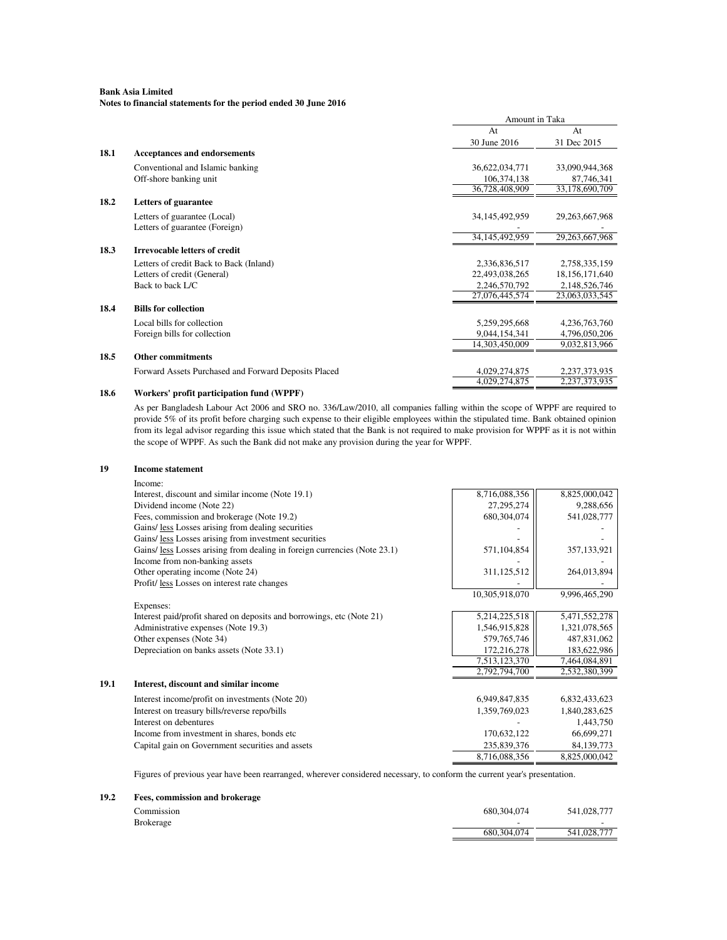**Notes to financial statements for the period ended 30 June 2016**

|      |                                                      | Amount in Taka    |                   |
|------|------------------------------------------------------|-------------------|-------------------|
|      |                                                      | At                | At                |
|      |                                                      | 30 June 2016      | 31 Dec 2015       |
| 18.1 | <b>Acceptances and endorsements</b>                  |                   |                   |
|      | Conventional and Islamic banking                     | 36,622,034,771    | 33,090,944,368    |
|      | Off-shore banking unit                               | 106,374,138       | 87,746,341        |
|      |                                                      | 36,728,408,909    | 33,178,690,709    |
| 18.2 | <b>Letters of guarantee</b>                          |                   |                   |
|      | Letters of guarantee (Local)                         | 34, 145, 492, 959 | 29, 263, 667, 968 |
|      | Letters of guarantee (Foreign)                       |                   |                   |
|      |                                                      | 34,145,492,959    | 29, 263, 667, 968 |
| 18.3 | <b>Irrevocable letters of credit</b>                 |                   |                   |
|      | Letters of credit Back to Back (Inland)              | 2,336,836,517     | 2,758,335,159     |
|      | Letters of credit (General)                          | 22,493,038,265    | 18,156,171,640    |
|      | Back to back L/C                                     | 2,246,570,792     | 2,148,526,746     |
|      |                                                      | 27,076,445,574    | 23,063,033,545    |
| 18.4 | <b>Bills for collection</b>                          |                   |                   |
|      | Local bills for collection                           | 5,259,295,668     | 4,236,763,760     |
|      | Foreign bills for collection                         | 9,044,154,341     | 4,796,050,206     |
|      |                                                      | 14,303,450,009    | 9,032,813,966     |
| 18.5 | <b>Other commitments</b>                             |                   |                   |
|      | Forward Assets Purchased and Forward Deposits Placed | 4,029,274,875     | 2,237,373,935     |
|      |                                                      | 4,029,274,875     | 2, 237, 373, 935  |
| 18.6 | Workers' profit participation fund (WPPF)            |                   |                   |

As per Bangladesh Labour Act 2006 and SRO no. 336/Law/2010, all companies falling within the scope of WPPF are required to provide 5% of its profit before charging such expense to their eligible employees within the stipulated time. Bank obtained opinion from its legal advisor regarding this issue which stated that the Bank is not required to make provision for WPPF as it is not within the scope of WPPF. As such the Bank did not make any provision during the year for WPPF.

#### **19 Income statement** Income: Interest, discount and similar income (Note 19.1) 8,716,088,356 8,825,000,042<br>Dividend income (Note 22) 8,825,000,042 Dividend income (Note 22) Fees, commission and brokerage (Note 19.2) 680,304,074 680,304,074 541,028,777 Gains/ less Losses arising from dealing securities Gains/ <u>less</u> Losses arising from investment securities (Note 23.1) <br>Gains/ less Losses arising from dealing in foreign currencies (Note 23.1) 571,104,854 357,133,921 Gains/ less Losses arising from dealing in foreign currencies (Note 23.1) 571,104,854 Income from non-banking assets Other operating income (Note 24) 311,125,512 264,013,894 Profit/ $\frac{\text{less Losses on interest rate changes}}{10,305,918,070}$  -  $\frac{1}{2,996,465,290}$ 10,305,918,070 Expenses: Interest paid/profit shared on deposits and borrowings, etc (Note 21) 5,214,225,518 5,471,552,278 Administrative expenses (Note 19.3) 1,546,915,828 1,321,078,565<br>Other expenses (Note 34) 579,765,746 487,831,062 Other expenses (Note 34) Depreciation on banks assets (Note 33.1) 172,216,278 183,622,986<br>
7,513,123,370 7,464,084,891<br>
183,622,986  $\frac{7,513,123,370}{2,792,794,700}$   $\frac{7,464,084,891}{2,532,380,399}$ 2,792,794,700 **19.1 Interest, discount and similar income** Interest income/profit on investments (Note 20) 6,832,433,623 6,949,847,835 Interest on treasury bills/reverse repo/bills 1,359,769,023 1,840,283,625 Interest on debentures 1,443,750 - Income from investment in shares, bonds etc 66,699,271 170,632,122 66,699,271 Capital gain on Government securities and assets <br>8,716,088,356 235,839,376 8,825,000,042<br>8,825,000,042

Figures of previous year have been rearranged, wherever considered necessary, to conform the current year's presentation.

#### **19.2 Fees, commission and brokerage**

| .`ommission      | 680,304,074              | 541,028,777              |
|------------------|--------------------------|--------------------------|
| <b>Brokerage</b> | $\overline{\phantom{0}}$ | $\overline{\phantom{0}}$ |
|                  | 680,304,074              | 541,028,777              |

8,716,088,356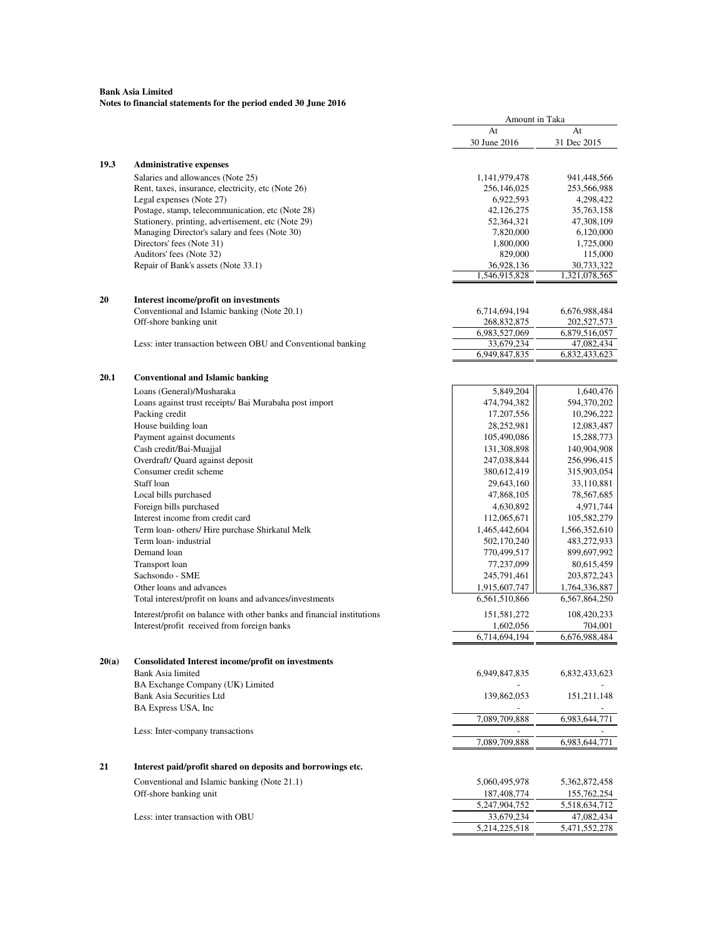## **Bank Asia Limited Notes to financial statements for the period ended 30 June 2016**

|       |                                                                        | Amount in Taka              |                             |
|-------|------------------------------------------------------------------------|-----------------------------|-----------------------------|
|       |                                                                        | At                          | At                          |
|       |                                                                        | 30 June 2016                | 31 Dec 2015                 |
|       |                                                                        |                             |                             |
| 19.3  | <b>Administrative expenses</b>                                         |                             |                             |
|       | Salaries and allowances (Note 25)                                      | 1,141,979,478               | 941,448,566                 |
|       | Rent, taxes, insurance, electricity, etc (Note 26)                     | 256,146,025                 | 253,566,988                 |
|       | Legal expenses (Note 27)                                               | 6,922,593                   | 4,298,422                   |
|       | Postage, stamp, telecommunication, etc (Note 28)                       | 42,126,275                  | 35,763,158                  |
|       | Stationery, printing, advertisement, etc (Note 29)                     | 52,364,321                  | 47,308,109                  |
|       | Managing Director's salary and fees (Note 30)                          | 7,820,000                   | 6,120,000                   |
|       | Directors' fees (Note 31)                                              | 1,800,000                   | 1,725,000                   |
|       | Auditors' fees (Note 32)                                               | 829,000                     | 115,000                     |
|       | Repair of Bank's assets (Note 33.1)                                    | 36,928,136                  | 30,733,322                  |
|       |                                                                        | 1,546,915,828               | 1,321,078,565               |
|       |                                                                        |                             |                             |
| 20    | Interest income/profit on investments                                  |                             |                             |
|       | Conventional and Islamic banking (Note 20.1)                           | 6,714,694,194               | 6,676,988,484               |
|       | Off-shore banking unit                                                 | 268,832,875                 | 202,527,573                 |
|       |                                                                        | 6,983,527,069               | 6,879,516,057               |
|       | Less: inter transaction between OBU and Conventional banking           | 33,679,234<br>6,949,847,835 | 47,082,434<br>6,832,433,623 |
|       |                                                                        |                             |                             |
| 20.1  |                                                                        |                             |                             |
|       | <b>Conventional and Islamic banking</b>                                |                             |                             |
|       | Loans (General)/Musharaka                                              | 5,849,204                   | 1,640,476                   |
|       | Loans against trust receipts/ Bai Murabaha post import                 | 474,794,382                 | 594,370,202                 |
|       | Packing credit                                                         | 17,207,556                  | 10,296,222                  |
|       | House building loan                                                    | 28,252,981                  | 12,083,487                  |
|       | Payment against documents                                              | 105,490,086                 | 15,288,773                  |
|       | Cash credit/Bai-Muajjal                                                | 131,308,898                 | 140,904,908                 |
|       | Overdraft/ Quard against deposit                                       | 247,038,844                 | 256,996,415                 |
|       | Consumer credit scheme                                                 | 380,612,419                 | 315,903,054                 |
|       | Staff loan                                                             | 29,643,160                  | 33,110,881                  |
|       | Local bills purchased                                                  | 47,868,105                  | 78,567,685                  |
|       | Foreign bills purchased                                                | 4,630,892                   | 4,971,744                   |
|       | Interest income from credit card                                       | 112,065,671                 | 105,582,279                 |
|       | Term loan- others/ Hire purchase Shirkatul Melk                        | 1,465,442,604               | 1,566,352,610               |
|       | Term loan-industrial                                                   | 502,170,240                 | 483,272,933                 |
|       | Demand loan                                                            | 770,499,517                 | 899,697,992                 |
|       | <b>Transport</b> loan                                                  | 77,237,099                  | 80,615,459                  |
|       | Sachsondo - SME                                                        | 245,791,461                 | 203,872,243                 |
|       | Other loans and advances                                               | 1,915,607,747               | 1,764,336,887               |
|       | Total interest/profit on loans and advances/investments                | 6,561,510,866               | 6,567,864,250               |
|       |                                                                        |                             |                             |
|       | Interest/profit on balance with other banks and financial institutions | 151,581,272                 | 108,420,233                 |
|       | Interest/profit received from foreign banks                            | 1,602,056                   | 704,001                     |
|       |                                                                        | 6,714,694,194               | 6,676,988,484               |
|       |                                                                        |                             |                             |
| 20(a) | <b>Consolidated Interest income/profit on investments</b>              |                             |                             |
|       | Bank Asia limited                                                      | 6,949,847,835               | 6,832,433,623               |
|       | BA Exchange Company (UK) Limited                                       |                             |                             |
|       | Bank Asia Securities Ltd                                               | 139,862,053                 | 151,211,148                 |
|       | BA Express USA, Inc                                                    |                             |                             |
|       |                                                                        | 7,089,709,888               | 6,983,644,771               |
|       | Less: Inter-company transactions                                       |                             |                             |
|       |                                                                        | 7,089,709,888               | 6,983,644,771               |
|       |                                                                        |                             |                             |
| 21    | Interest paid/profit shared on deposits and borrowings etc.            |                             |                             |
|       |                                                                        |                             |                             |
|       | Conventional and Islamic banking (Note 21.1)                           | 5,060,495,978               | 5,362,872,458               |
|       | Off-shore banking unit                                                 | 187,408,774                 | 155,762,254                 |
|       |                                                                        | 5,247,904,752               | 5,518,634,712               |
|       | Less: inter transaction with OBU                                       | 33,679,234                  | 47,082,434                  |
|       |                                                                        | 5,214,225,518               | 5,471,552,278               |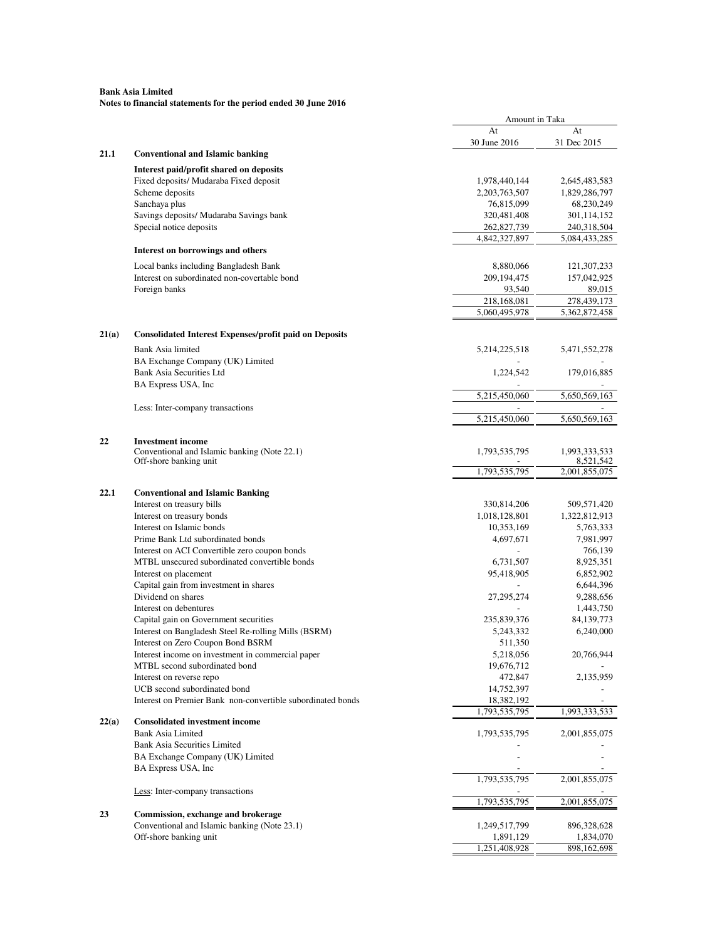|       |                                                                                       | Amount in Taka           |                            |
|-------|---------------------------------------------------------------------------------------|--------------------------|----------------------------|
|       |                                                                                       | At<br>30 June 2016       | At<br>31 Dec 2015          |
| 21.1  | <b>Conventional and Islamic banking</b>                                               |                          |                            |
|       | Interest paid/profit shared on deposits                                               |                          |                            |
|       | Fixed deposits/ Mudaraba Fixed deposit                                                | 1,978,440,144            | 2,645,483,583              |
|       | Scheme deposits                                                                       | 2,203,763,507            | 1,829,286,797              |
|       | Sanchaya plus                                                                         | 76,815,099               | 68,230,249                 |
|       | Savings deposits/ Mudaraba Savings bank                                               | 320,481,408              | 301,114,152                |
|       | Special notice deposits                                                               | 262,827,739              | 240,318,504                |
|       | Interest on borrowings and others                                                     | 4,842,327,897            | 5,084,433,285              |
|       |                                                                                       |                          |                            |
|       | Local banks including Bangladesh Bank<br>Interest on subordinated non-covertable bond | 8,880,066<br>209,194,475 | 121,307,233<br>157,042,925 |
|       | Foreign banks                                                                         | 93,540                   | 89,015                     |
|       |                                                                                       | 218,168,081              | 278,439,173                |
|       |                                                                                       | 5,060,495,978            | 5,362,872,458              |
|       |                                                                                       |                          |                            |
| 21(a) | <b>Consolidated Interest Expenses/profit paid on Deposits</b>                         |                          |                            |
|       | Bank Asia limited                                                                     | 5,214,225,518            | 5,471,552,278              |
|       | BA Exchange Company (UK) Limited<br><b>Bank Asia Securities Ltd</b>                   | 1,224,542                | 179,016,885                |
|       | BA Express USA, Inc.                                                                  |                          |                            |
|       |                                                                                       | 5,215,450,060            | 5,650,569,163              |
|       | Less: Inter-company transactions                                                      |                          |                            |
|       |                                                                                       | 5,215,450,060            | 5,650,569,163              |
| 22    | <b>Investment</b> income                                                              |                          |                            |
|       | Conventional and Islamic banking (Note 22.1)                                          | 1,793,535,795            | 1,993,333,533              |
|       | Off-shore banking unit                                                                |                          | 8,521,542                  |
|       |                                                                                       | 1,793,535,795            | 2,001,855,075              |
| 22.1  | <b>Conventional and Islamic Banking</b>                                               |                          |                            |
|       | Interest on treasury bills                                                            | 330,814,206              | 509,571,420                |
|       | Interest on treasury bonds                                                            | 1,018,128,801            | 1,322,812,913              |
|       | Interest on Islamic bonds                                                             | 10,353,169               | 5,763,333                  |
|       | Prime Bank Ltd subordinated bonds                                                     | 4,697,671                | 7,981,997                  |
|       | Interest on ACI Convertible zero coupon bonds                                         |                          | 766,139                    |
|       | MTBL unsecured subordinated convertible bonds                                         | 6,731,507                | 8,925,351                  |
|       | Interest on placement                                                                 | 95,418,905               | 6,852,902                  |
|       | Capital gain from investment in shares                                                |                          | 6,644,396                  |
|       | Dividend on shares                                                                    | 27, 295, 274             | 9,288,656                  |
|       | Interest on debentures                                                                |                          | 1,443,750                  |
|       | Capital gain on Government securities                                                 | 235,839,376              | 84, 139, 773               |
|       | Interest on Bangladesh Steel Re-rolling Mills (BSRM)                                  | 5,243,332                | 6,240,000                  |
|       | Interest on Zero Coupon Bond BSRM                                                     | 511,350                  |                            |
|       | Interest income on investment in commercial paper                                     | 5,218,056                | 20,766,944                 |
|       | MTBL second subordinated bond                                                         | 19,676,712               |                            |
|       | Interest on reverse repo                                                              | 472,847                  | 2,135,959                  |
|       | UCB second subordinated bond                                                          | 14,752,397               |                            |
|       | Interest on Premier Bank non-convertible subordinated bonds                           | 18,382,192               |                            |
| 22(a) | <b>Consolidated investment income</b>                                                 | 1,793,535,795            | 1,993,333,533              |
|       | <b>Bank Asia Limited</b>                                                              | 1,793,535,795            | 2,001,855,075              |
|       | <b>Bank Asia Securities Limited</b>                                                   |                          |                            |
|       | BA Exchange Company (UK) Limited                                                      |                          |                            |
|       | BA Express USA, Inc                                                                   |                          |                            |
|       |                                                                                       | 1,793,535,795            | 2,001,855,075              |
|       | Less: Inter-company transactions                                                      | 1,793,535,795            | 2,001,855,075              |
| 23    | Commission, exchange and brokerage                                                    |                          |                            |
|       | Conventional and Islamic banking (Note 23.1)                                          | 1,249,517,799            | 896,328,628                |
|       | Off-shore banking unit                                                                | 1,891,129                | 1,834,070                  |
|       |                                                                                       | 1,251,408,928            | 898, 162, 698              |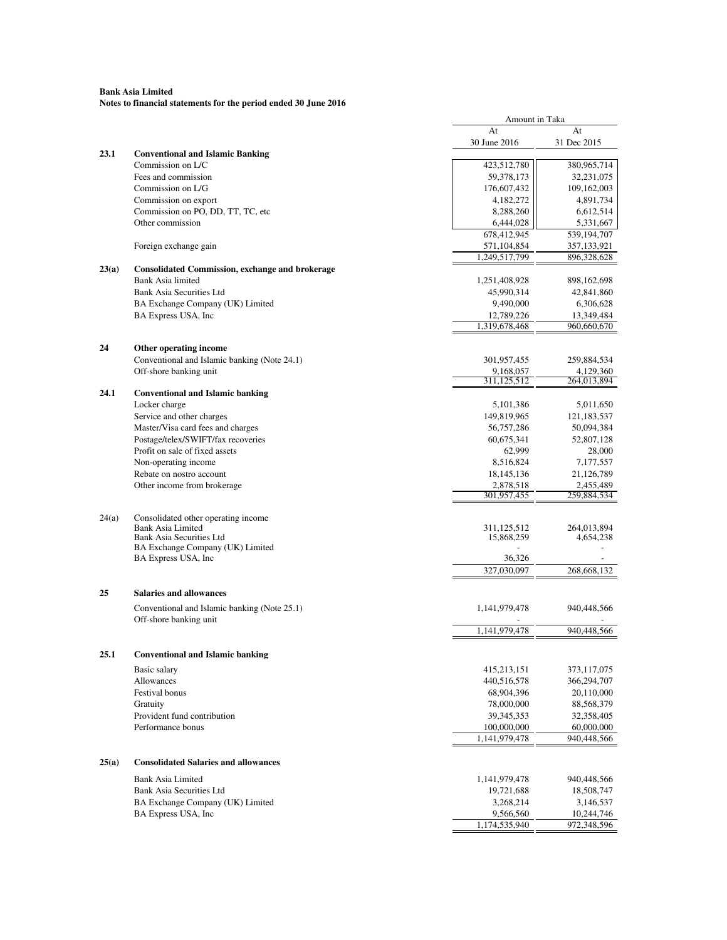|       |                                                                             | Amount in Taka               |                              |
|-------|-----------------------------------------------------------------------------|------------------------------|------------------------------|
|       |                                                                             | At                           | At                           |
|       |                                                                             | 30 June 2016                 | 31 Dec 2015                  |
| 23.1  | <b>Conventional and Islamic Banking</b>                                     |                              |                              |
|       | Commission on L/C                                                           | 423,512,780                  | 380,965,714                  |
|       | Fees and commission                                                         | 59,378,173                   | 32,231,075                   |
|       | Commission on L/G                                                           | 176,607,432                  | 109,162,003                  |
|       | Commission on export                                                        | 4,182,272                    | 4,891,734                    |
|       | Commission on PO, DD, TT, TC, etc                                           | 8,288,260                    | 6,612,514                    |
|       | Other commission                                                            | 6,444,028                    | 5,331,667                    |
|       |                                                                             | 678,412,945                  | 539,194,707                  |
|       | Foreign exchange gain                                                       | 571,104,854<br>1.249.517.799 | 357, 133, 921<br>896,328,628 |
|       |                                                                             |                              |                              |
| 23(a) | <b>Consolidated Commission, exchange and brokerage</b><br>Bank Asia limited |                              |                              |
|       | Bank Asia Securities Ltd                                                    | 1,251,408,928<br>45,990,314  | 898, 162, 698<br>42,841,860  |
|       | BA Exchange Company (UK) Limited                                            | 9,490,000                    | 6,306,628                    |
|       | BA Express USA, Inc                                                         | 12,789,226                   | 13,349,484                   |
|       |                                                                             | 1,319,678,468                | 960,660,670                  |
|       |                                                                             |                              |                              |
| 24    | Other operating income                                                      |                              |                              |
|       | Conventional and Islamic banking (Note 24.1)                                | 301,957,455                  | 259,884,534                  |
|       | Off-shore banking unit                                                      | 9,168,057                    | 4,129,360                    |
|       |                                                                             | 311,125,512                  | 264,013,894                  |
| 24.1  | <b>Conventional and Islamic banking</b>                                     |                              |                              |
|       | Locker charge                                                               | 5,101,386                    | 5,011,650                    |
|       | Service and other charges                                                   | 149,819,965                  | 121,183,537                  |
|       | Master/Visa card fees and charges                                           | 56,757,286                   | 50,094,384                   |
|       | Postage/telex/SWIFT/fax recoveries<br>Profit on sale of fixed assets        | 60,675,341                   | 52,807,128                   |
|       | Non-operating income                                                        | 62,999<br>8,516,824          | 28,000                       |
|       | Rebate on nostro account                                                    | 18, 145, 136                 | 7,177,557<br>21,126,789      |
|       | Other income from brokerage                                                 | 2,878,518                    | 2,455,489                    |
|       |                                                                             | 301,957,455                  | 259,884,534                  |
|       |                                                                             |                              |                              |
| 24(a) | Consolidated other operating income                                         |                              |                              |
|       | <b>Bank Asia Limited</b>                                                    | 311,125,512                  | 264,013,894                  |
|       | Bank Asia Securities Ltd<br>BA Exchange Company (UK) Limited                | 15,868,259                   | 4,654,238                    |
|       | BA Express USA, Inc.                                                        | 36,326                       |                              |
|       |                                                                             | 327,030,097                  | 268,668,132                  |
|       |                                                                             |                              |                              |
| 25    | <b>Salaries and allowances</b>                                              |                              |                              |
|       | Conventional and Islamic banking (Note 25.1)                                | 1,141,979,478                | 940,448,566                  |
|       | Off-shore banking unit                                                      |                              |                              |
|       |                                                                             | 1,141,979,478                | 940,448,566                  |
|       |                                                                             |                              |                              |
| 25.1  | <b>Conventional and Islamic banking</b>                                     |                              |                              |
|       | Basic salary                                                                | 415,213,151                  | 373,117,075                  |
|       | Allowances                                                                  | 440,516,578                  | 366,294,707                  |
|       | <b>Festival bonus</b>                                                       | 68,904,396                   | 20,110,000                   |
|       | Gratuity                                                                    | 78,000,000                   | 88,568,379                   |
|       | Provident fund contribution                                                 | 39, 345, 353                 | 32,358,405                   |
|       | Performance bonus                                                           | 100,000,000                  | 60,000,000                   |
|       |                                                                             | 1,141,979,478                | 940,448,566                  |
|       |                                                                             |                              |                              |
| 25(a) | <b>Consolidated Salaries and allowances</b>                                 |                              |                              |
|       | Bank Asia Limited                                                           | 1,141,979,478                | 940,448,566                  |
|       | Bank Asia Securities Ltd                                                    | 19,721,688                   | 18,508,747                   |
|       | BA Exchange Company (UK) Limited                                            | 3,268,214                    | 3,146,537                    |
|       | BA Express USA, Inc                                                         | 9,566,560                    | 10,244,746                   |
|       |                                                                             | 1,174,535,940                | 972,348,596                  |
|       |                                                                             |                              |                              |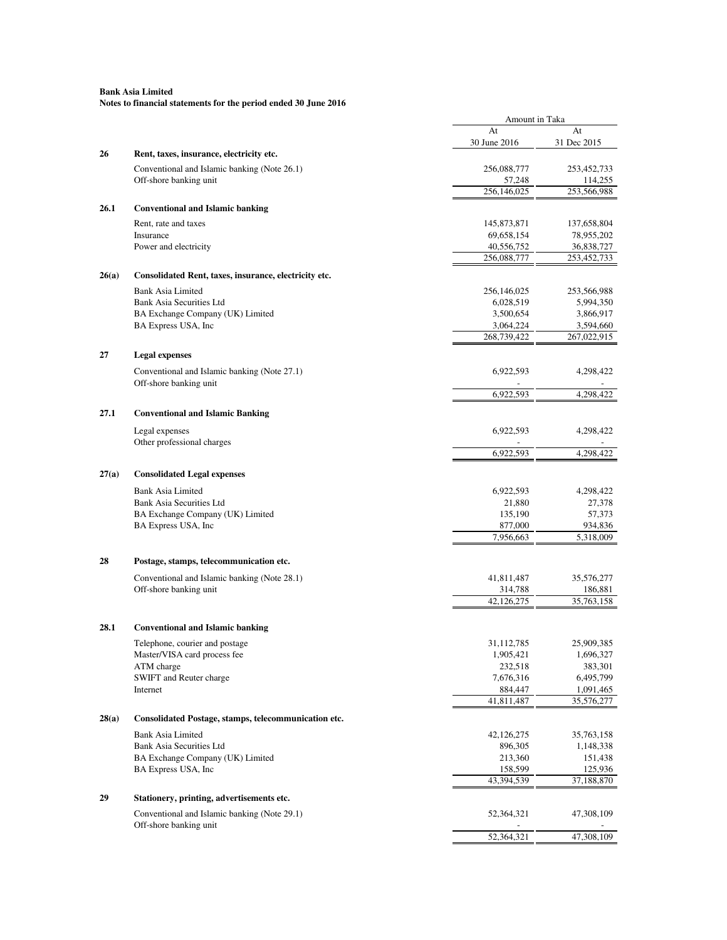|       |                                                       | Amount in Taka            |                           |
|-------|-------------------------------------------------------|---------------------------|---------------------------|
|       |                                                       | At                        | At                        |
|       |                                                       | 30 June 2016              | 31 Dec 2015               |
| 26    | Rent, taxes, insurance, electricity etc.              |                           |                           |
|       | Conventional and Islamic banking (Note 26.1)          | 256,088,777               | 253,452,733               |
|       | Off-shore banking unit                                | 57,248<br>256,146,025     | 114,255<br>253,566,988    |
|       |                                                       |                           |                           |
| 26.1  | <b>Conventional and Islamic banking</b>               |                           |                           |
|       | Rent, rate and taxes                                  | 145,873,871               | 137,658,804               |
|       | Insurance                                             | 69,658,154                | 78,955,202                |
|       | Power and electricity                                 | 40,556,752<br>256,088,777 | 36,838,727<br>253,452,733 |
|       |                                                       |                           |                           |
| 26(a) | Consolidated Rent, taxes, insurance, electricity etc. |                           |                           |
|       | <b>Bank Asia Limited</b>                              | 256,146,025               | 253,566,988               |
|       | Bank Asia Securities Ltd                              | 6,028,519                 | 5,994,350                 |
|       | BA Exchange Company (UK) Limited                      | 3,500,654                 | 3,866,917                 |
|       | BA Express USA, Inc                                   | 3,064,224<br>268,739,422  | 3,594,660                 |
|       |                                                       |                           | 267,022,915               |
| 27    | <b>Legal expenses</b>                                 |                           |                           |
|       | Conventional and Islamic banking (Note 27.1)          | 6,922,593                 | 4,298,422                 |
|       | Off-shore banking unit                                |                           |                           |
|       |                                                       | 6,922,593                 | 4,298,422                 |
| 27.1  | <b>Conventional and Islamic Banking</b>               |                           |                           |
|       |                                                       |                           |                           |
|       | Legal expenses<br>Other professional charges          | 6,922,593                 | 4,298,422                 |
|       |                                                       | 6,922,593                 | 4,298,422                 |
|       |                                                       |                           |                           |
| 27(a) | <b>Consolidated Legal expenses</b>                    |                           |                           |
|       | <b>Bank Asia Limited</b>                              | 6,922,593                 | 4,298,422                 |
|       | Bank Asia Securities Ltd                              | 21,880                    | 27,378                    |
|       | BA Exchange Company (UK) Limited                      | 135,190                   | 57,373                    |
|       | BA Express USA, Inc                                   | 877,000                   | 934,836                   |
|       |                                                       | 7,956,663                 | 5,318,009                 |
| 28    |                                                       |                           |                           |
|       | Postage, stamps, telecommunication etc.               |                           |                           |
|       | Conventional and Islamic banking (Note 28.1)          | 41,811,487                | 35,576,277                |
|       | Off-shore banking unit                                | 314,788<br>42,126,275     | 186,881                   |
|       |                                                       |                           | 35,763,158                |
| 28.1  | <b>Conventional and Islamic banking</b>               |                           |                           |
|       |                                                       |                           |                           |
|       | Telephone, courier and postage                        | 31,112,785                | 25,909,385                |
|       | Master/VISA card process fee<br>ATM charge            | 1,905,421<br>232,518      | 1,696,327<br>383,301      |
|       | SWIFT and Reuter charge                               | 7,676,316                 | 6,495,799                 |
|       | Internet                                              | 884,447                   | 1,091,465                 |
|       |                                                       | 41,811,487                | 35,576,277                |
| 28(a) | Consolidated Postage, stamps, telecommunication etc.  |                           |                           |
|       |                                                       |                           |                           |
|       | <b>Bank Asia Limited</b><br>Bank Asia Securities Ltd  | 42,126,275                | 35,763,158<br>1,148,338   |
|       | BA Exchange Company (UK) Limited                      | 896,305<br>213,360        | 151,438                   |
|       | BA Express USA, Inc                                   | 158,599                   | 125,936                   |
|       |                                                       | 43,394,539                | 37,188,870                |
| 29    | Stationery, printing, advertisements etc.             |                           |                           |
|       |                                                       |                           |                           |
|       | Conventional and Islamic banking (Note 29.1)          | 52,364,321                | 47,308,109                |
|       | Off-shore banking unit                                | 52,364,321                | 47,308,109                |
|       |                                                       |                           |                           |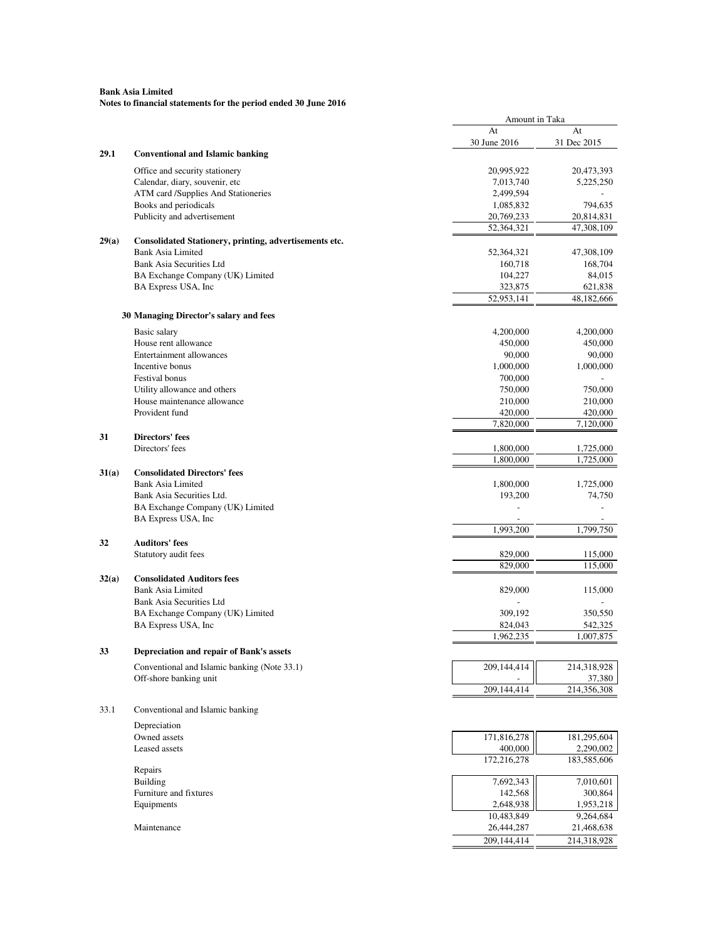|       |                                                        | Amount in Taka       |                      |
|-------|--------------------------------------------------------|----------------------|----------------------|
|       |                                                        | At                   | At                   |
|       |                                                        | 30 June 2016         | 31 Dec 2015          |
| 29.1  | <b>Conventional and Islamic banking</b>                |                      |                      |
|       | Office and security stationery                         | 20,995,922           | 20,473,393           |
|       | Calendar, diary, souvenir, etc                         | 7,013,740            | 5,225,250            |
|       | ATM card /Supplies And Stationeries                    | 2,499,594            |                      |
|       | Books and periodicals                                  | 1,085,832            | 794,635              |
|       | Publicity and advertisement                            | 20,769,233           | 20,814,831           |
|       |                                                        | 52,364,321           | 47,308,109           |
| 29(a) | Consolidated Stationery, printing, advertisements etc. |                      |                      |
|       | <b>Bank Asia Limited</b>                               | 52,364,321           | 47,308,109           |
|       | <b>Bank Asia Securities Ltd</b>                        | 160,718              | 168,704              |
|       | BA Exchange Company (UK) Limited                       | 104,227              | 84,015               |
|       | BA Express USA, Inc                                    | 323,875              | 621,838              |
|       |                                                        | 52,953,141           | 48,182,666           |
|       | 30 Managing Director's salary and fees                 |                      |                      |
|       |                                                        |                      |                      |
|       | Basic salary<br>House rent allowance                   | 4,200,000<br>450,000 | 4,200,000<br>450,000 |
|       | Entertainment allowances                               | 90,000               | 90,000               |
|       | Incentive bonus                                        | 1,000,000            | 1,000,000            |
|       | <b>Festival bonus</b>                                  | 700,000              |                      |
|       | Utility allowance and others                           | 750,000              | 750,000              |
|       | House maintenance allowance                            | 210,000              | 210,000              |
|       | Provident fund                                         | 420,000              | 420,000              |
|       |                                                        | 7,820,000            | 7,120,000            |
| 31    | Directors' fees                                        |                      |                      |
|       | Directors' fees                                        | 1,800,000            | 1,725,000            |
|       |                                                        | 1,800,000            | 1,725,000            |
| 31(a) | <b>Consolidated Directors' fees</b>                    |                      |                      |
|       | <b>Bank Asia Limited</b>                               | 1,800,000            | 1,725,000            |
|       | Bank Asia Securities Ltd.                              | 193,200              | 74,750               |
|       | BA Exchange Company (UK) Limited                       |                      |                      |
|       | BA Express USA, Inc                                    |                      |                      |
|       |                                                        | 1,993,200            | 1,799,750            |
| 32    | <b>Auditors' fees</b>                                  |                      |                      |
|       | Statutory audit fees                                   | 829,000              | 115,000              |
|       |                                                        | 829,000              | 115,000              |
| 32(a) | <b>Consolidated Auditors fees</b>                      |                      |                      |
|       | <b>Bank Asia Limited</b>                               | 829,000              | 115,000              |
|       | Bank Asia Securities Ltd                               |                      |                      |
|       | BA Exchange Company (UK) Limited                       | 309,192              | 350,550              |
|       | BA Express USA, Inc                                    | 824,043              | 542,325              |
|       |                                                        | 1,962,235            | 1,007,875            |
| 33    | Depreciation and repair of Bank's assets               |                      |                      |
|       | Conventional and Islamic banking (Note 33.1)           | 209,144,414          | 214,318,928          |
|       | Off-shore banking unit                                 |                      | 37,380               |
|       |                                                        | 209,144,414          | 214,356,308          |
|       |                                                        |                      |                      |
| 33.1  | Conventional and Islamic banking                       |                      |                      |
|       | Depreciation                                           |                      |                      |
|       | Owned assets                                           | 171,816,278          | 181,295,604          |
|       | Leased assets                                          | 400,000              | 2,290,002            |
|       |                                                        | 172,216,278          | 183,585,606          |
|       | Repairs                                                |                      |                      |
|       | <b>Building</b>                                        | 7,692,343            | 7,010,601            |
|       | Furniture and fixtures                                 | 142,568              | 300,864              |
|       | Equipments                                             | 2,648,938            | 1,953,218            |
|       |                                                        | 10,483,849           | 9,264,684            |
|       | Maintenance                                            | 26,444,287           | 21,468,638           |
|       |                                                        | 209,144,414          | 214,318,928          |
|       |                                                        |                      |                      |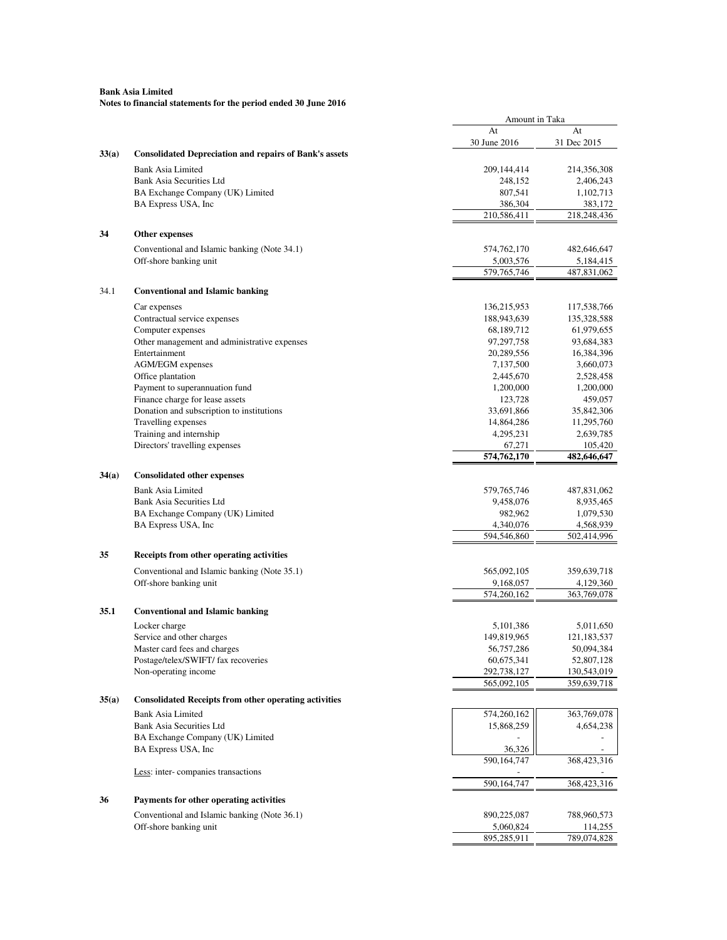|                                                                        | Amount in Taka |               |
|------------------------------------------------------------------------|----------------|---------------|
|                                                                        | At             | At            |
|                                                                        | 30 June 2016   | 31 Dec 2015   |
| 33(a)<br><b>Consolidated Depreciation and repairs of Bank's assets</b> |                |               |
| <b>Bank Asia Limited</b>                                               | 209,144,414    | 214,356,308   |
| <b>Bank Asia Securities Ltd</b>                                        | 248,152        | 2,406,243     |
| BA Exchange Company (UK) Limited                                       | 807,541        | 1,102,713     |
| BA Express USA, Inc                                                    | 386,304        | 383,172       |
|                                                                        | 210,586,411    | 218,248,436   |
| 34<br>Other expenses                                                   |                |               |
| Conventional and Islamic banking (Note 34.1)                           | 574,762,170    | 482,646,647   |
| Off-shore banking unit                                                 | 5,003,576      | 5,184,415     |
|                                                                        | 579,765,746    | 487,831,062   |
| 34.1<br><b>Conventional and Islamic banking</b>                        |                |               |
| Car expenses                                                           | 136,215,953    | 117,538,766   |
| Contractual service expenses                                           | 188,943,639    | 135,328,588   |
| Computer expenses                                                      | 68,189,712     | 61,979,655    |
| Other management and administrative expenses                           | 97,297,758     | 93,684,383    |
| Entertainment                                                          | 20,289,556     | 16,384,396    |
| <b>AGM/EGM</b> expenses                                                | 7,137,500      | 3,660,073     |
| Office plantation                                                      | 2,445,670      | 2,528,458     |
| Payment to superannuation fund                                         | 1,200,000      | 1,200,000     |
| Finance charge for lease assets                                        | 123,728        | 459,057       |
| Donation and subscription to institutions                              | 33,691,866     | 35,842,306    |
| Travelling expenses                                                    | 14,864,286     | 11,295,760    |
| Training and internship                                                | 4,295,231      | 2,639,785     |
| Directors' travelling expenses                                         | 67.271         | 105,420       |
|                                                                        | 574,762,170    | 482,646,647   |
| 34(a)<br><b>Consolidated other expenses</b>                            |                |               |
| <b>Bank Asia Limited</b>                                               | 579,765,746    | 487,831,062   |
| Bank Asia Securities Ltd                                               | 9,458,076      | 8,935,465     |
| BA Exchange Company (UK) Limited                                       | 982,962        | 1,079,530     |
| BA Express USA, Inc                                                    | 4,340,076      | 4,568,939     |
|                                                                        | 594,546,860    | 502,414,996   |
| Receipts from other operating activities<br>35                         |                |               |
| Conventional and Islamic banking (Note 35.1)                           | 565,092,105    | 359,639,718   |
| Off-shore banking unit                                                 | 9,168,057      | 4,129,360     |
|                                                                        | 574,260,162    | 363,769,078   |
| <b>Conventional and Islamic banking</b><br>35.1                        |                |               |
| Locker charge                                                          | 5,101,386      | 5,011,650     |
| Service and other charges                                              | 149,819,965    | 121, 183, 537 |
| Master card fees and charges                                           | 56,757,286     | 50,094,384    |
| Postage/telex/SWIFT/ fax recoveries                                    | 60,675,341     | 52,807,128    |
| Non-operating income                                                   | 292,738,127    | 130,543,019   |
|                                                                        | 565,092,105    | 359,639,718   |
| <b>Consolidated Receipts from other operating activities</b><br>35(a)  |                |               |
| <b>Bank Asia Limited</b>                                               | 574,260,162    | 363,769,078   |
| Bank Asia Securities Ltd                                               | 15,868,259     | 4,654,238     |
| BA Exchange Company (UK) Limited                                       |                |               |
| BA Express USA, Inc                                                    | 36,326         |               |
|                                                                        | 590,164,747    | 368,423,316   |
| Less: inter-companies transactions                                     |                |               |
|                                                                        | 590,164,747    | 368,423,316   |
| Payments for other operating activities<br>36                          |                |               |
| Conventional and Islamic banking (Note 36.1)                           | 890,225,087    | 788,960,573   |
| Off-shore banking unit                                                 | 5,060,824      | 114,255       |
|                                                                        | 895,285,911    | 789,074,828   |